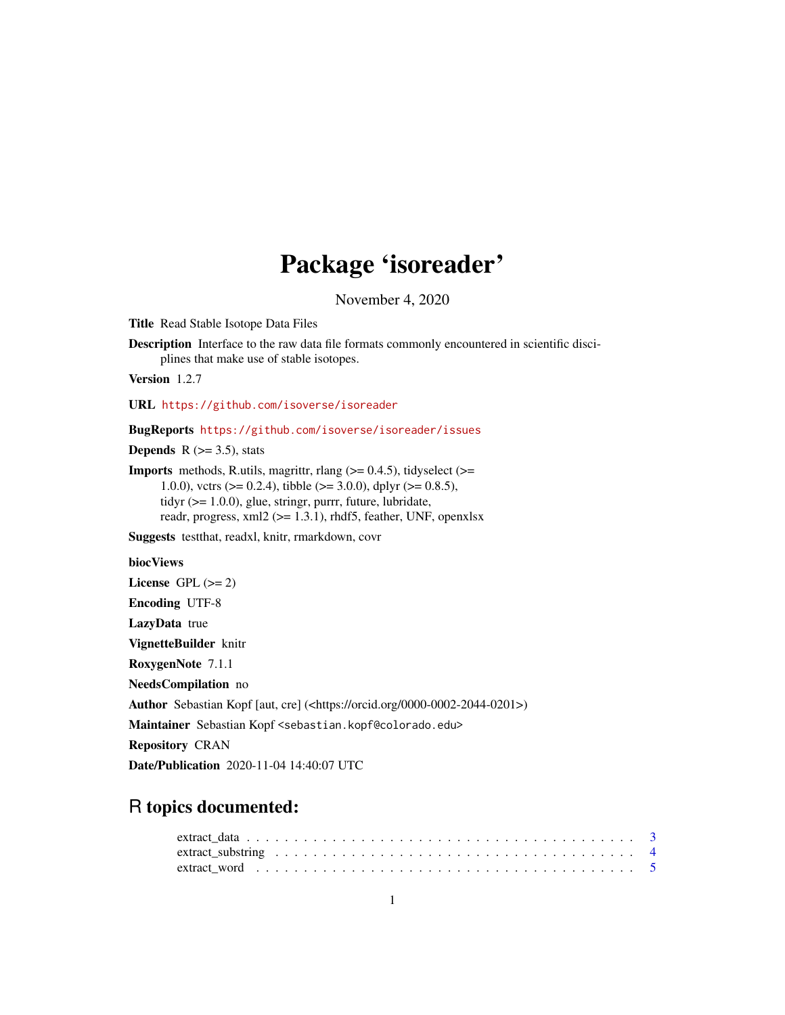# Package 'isoreader'

November 4, 2020

<span id="page-0-0"></span>Title Read Stable Isotope Data Files

Description Interface to the raw data file formats commonly encountered in scientific disciplines that make use of stable isotopes.

Version 1.2.7

URL <https://github.com/isoverse/isoreader>

BugReports <https://github.com/isoverse/isoreader/issues>

**Depends** R  $(>= 3.5)$ , stats

**Imports** methods, R.utils, magrittr, rlang  $(>= 0.4.5)$ , tidyselect  $(>=$ 1.0.0), vctrs ( $> = 0.2.4$ ), tibble ( $> = 3.0.0$ ), dplyr ( $> = 0.8.5$ ), tidyr (>= 1.0.0), glue, stringr, purrr, future, lubridate, readr, progress, xml2 (>= 1.3.1), rhdf5, feather, UNF, openxlsx

Suggests testthat, readxl, knitr, rmarkdown, covr

biocViews

License GPL  $(>= 2)$ 

Encoding UTF-8

LazyData true

VignetteBuilder knitr

RoxygenNote 7.1.1

NeedsCompilation no

Author Sebastian Kopf [aut, cre] (<https://orcid.org/0000-0002-2044-0201>)

Maintainer Sebastian Kopf <sebastian.kopf@colorado.edu>

Repository CRAN

Date/Publication 2020-11-04 14:40:07 UTC

# R topics documented: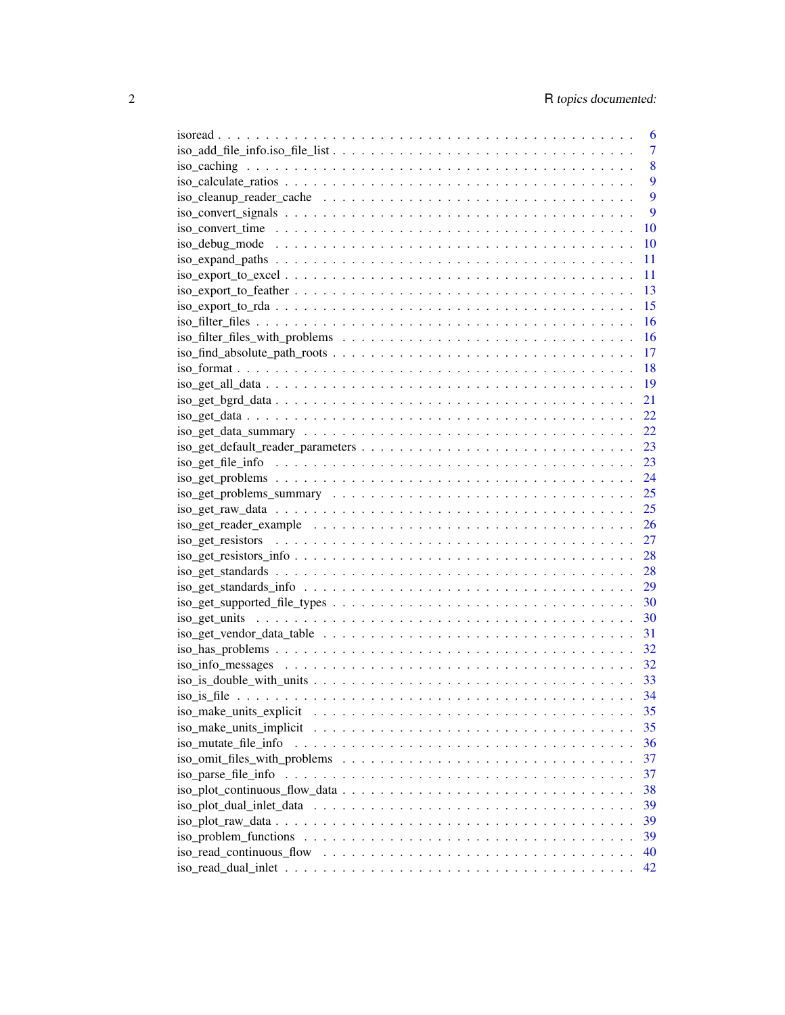|                                                                                                                                           | 6              |
|-------------------------------------------------------------------------------------------------------------------------------------------|----------------|
|                                                                                                                                           | $\overline{7}$ |
|                                                                                                                                           | 8              |
|                                                                                                                                           | 9              |
|                                                                                                                                           | 9              |
| $iso\_convert\_signals \ldots \ldots \ldots \ldots \ldots \ldots \ldots \ldots \ldots \ldots \ldots$                                      | 9              |
|                                                                                                                                           | 10             |
|                                                                                                                                           | 10             |
|                                                                                                                                           | 11             |
|                                                                                                                                           | 11             |
|                                                                                                                                           | 13             |
| $iso\_export_to_rda \dots \dots \dots \dots \dots \dots \dots \dots \dots \dots \dots \dots \dots \dots$                                  | 15             |
|                                                                                                                                           | 16             |
|                                                                                                                                           | 16             |
|                                                                                                                                           | 17             |
|                                                                                                                                           | 18             |
|                                                                                                                                           | 19             |
|                                                                                                                                           | 21             |
|                                                                                                                                           |                |
|                                                                                                                                           | 22             |
|                                                                                                                                           | 22             |
|                                                                                                                                           | 23             |
|                                                                                                                                           | 23             |
|                                                                                                                                           | 24             |
| $iso\_get\_problems\_summary \dots \dots \dots \dots \dots \dots \dots \dots \dots \dots \dots \dots \dots \dots \dots \dots \dots \dots$ |                |
|                                                                                                                                           |                |
|                                                                                                                                           |                |
|                                                                                                                                           |                |
| $iso\_get\_resistors\_info \ldots \ldots \ldots \ldots \ldots \ldots \ldots \ldots \ldots \ldots \ldots \ldots 28$                        |                |
|                                                                                                                                           |                |
|                                                                                                                                           |                |
|                                                                                                                                           |                |
|                                                                                                                                           |                |
|                                                                                                                                           |                |
|                                                                                                                                           |                |
|                                                                                                                                           |                |
|                                                                                                                                           |                |
|                                                                                                                                           |                |
| iso_make_units_explicit                                                                                                                   | 35             |
|                                                                                                                                           | 35             |
| iso_mutate_file_info                                                                                                                      | 36             |
|                                                                                                                                           | 37             |
|                                                                                                                                           | 37             |
|                                                                                                                                           | 38             |
|                                                                                                                                           | 39             |
|                                                                                                                                           | 39             |
|                                                                                                                                           | 39             |
|                                                                                                                                           | 40             |
|                                                                                                                                           | 42             |
|                                                                                                                                           |                |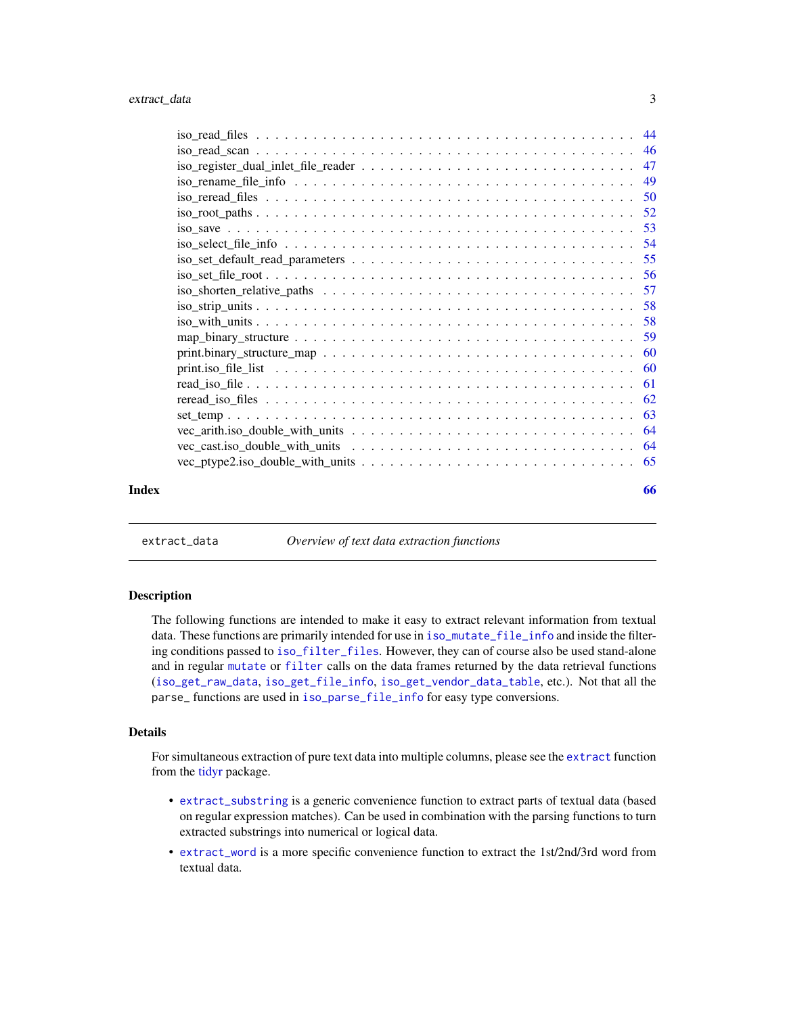<span id="page-2-0"></span>

|       | $iso$ $r$ ename $file$ $\frac{file}{info}$ $\ldots$ $\ldots$ $\ldots$ $\ldots$ $\ldots$ $\ldots$ $\ldots$ $\ldots$ $\ldots$ $\ldots$ $\ldots$ $\ldots$ 49 |    |
|-------|-----------------------------------------------------------------------------------------------------------------------------------------------------------|----|
|       |                                                                                                                                                           |    |
|       |                                                                                                                                                           |    |
|       |                                                                                                                                                           |    |
|       |                                                                                                                                                           |    |
|       |                                                                                                                                                           |    |
|       |                                                                                                                                                           |    |
|       |                                                                                                                                                           |    |
|       |                                                                                                                                                           |    |
|       |                                                                                                                                                           |    |
|       |                                                                                                                                                           |    |
|       |                                                                                                                                                           |    |
|       |                                                                                                                                                           |    |
|       |                                                                                                                                                           |    |
|       |                                                                                                                                                           |    |
|       |                                                                                                                                                           |    |
|       |                                                                                                                                                           |    |
|       |                                                                                                                                                           |    |
|       |                                                                                                                                                           |    |
| Index |                                                                                                                                                           | 66 |

<span id="page-2-1"></span>extract\_data *Overview of text data extraction functions*

#### Description

The following functions are intended to make it easy to extract relevant information from textual data. These functions are primarily intended for use in [iso\\_mutate\\_file\\_info](#page-35-1) and inside the filtering conditions passed to [iso\\_filter\\_files](#page-15-1). However, they can of course also be used stand-alone and in regular [mutate](#page-0-0) or [filter](#page-0-0) calls on the data frames returned by the data retrieval functions ([iso\\_get\\_raw\\_data](#page-24-1), [iso\\_get\\_file\\_info](#page-22-1), [iso\\_get\\_vendor\\_data\\_table](#page-30-1), etc.). Not that all the parse\_ functions are used in [iso\\_parse\\_file\\_info](#page-36-1) for easy type conversions.

#### Details

For simultaneous extraction of pure text data into multiple columns, please see the [extract](#page-0-0) function from the [tidyr](#page-0-0) package.

- [extract\\_substring](#page-3-1) is a generic convenience function to extract parts of textual data (based on regular expression matches). Can be used in combination with the parsing functions to turn extracted substrings into numerical or logical data.
- [extract\\_word](#page-4-1) is a more specific convenience function to extract the 1st/2nd/3rd word from textual data.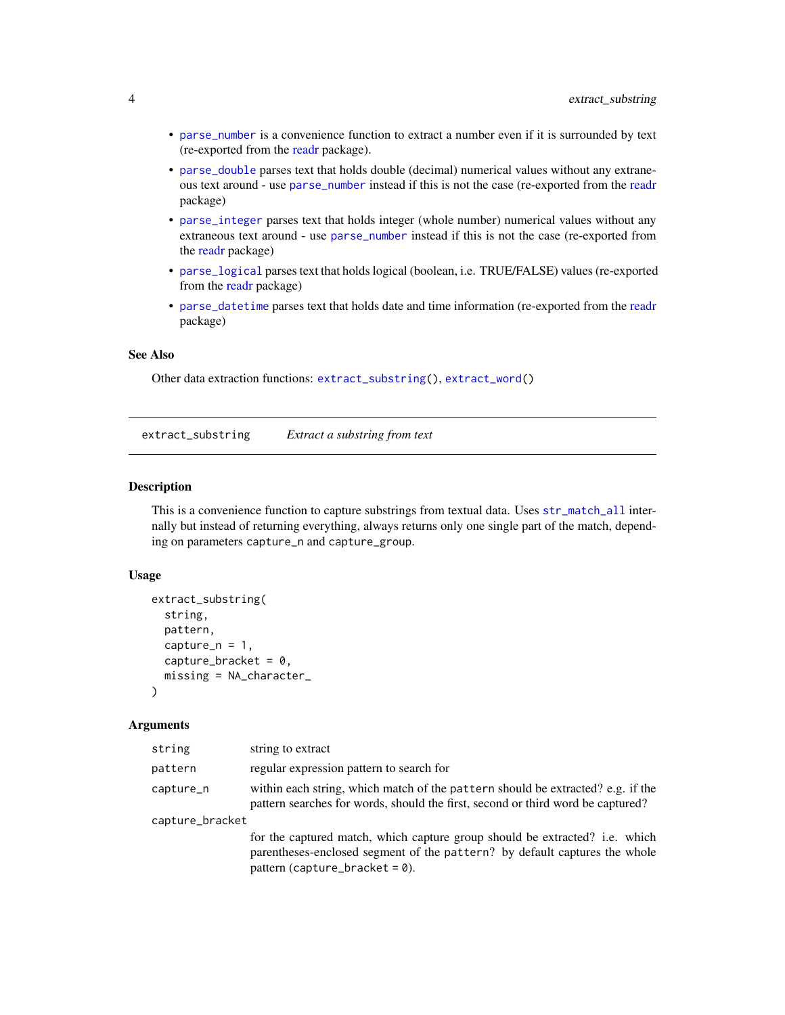- <span id="page-3-0"></span>• [parse\\_number](#page-0-0) is a convenience function to extract a number even if it is surrounded by text (re-exported from the [readr](#page-0-0) package).
- [parse\\_double](#page-0-0) parses text that holds double (decimal) numerical values without any extraneous text around - use [parse\\_number](#page-0-0) instead if this is not the case (re-exported from the [readr](#page-0-0) package)
- [parse\\_integer](#page-0-0) parses text that holds integer (whole number) numerical values without any extraneous text around - use [parse\\_number](#page-0-0) instead if this is not the case (re-exported from the [readr](#page-0-0) package)
- [parse\\_logical](#page-0-0) parses text that holds logical (boolean, i.e. TRUE/FALSE) values (re-exported from the [readr](#page-0-0) package)
- [parse\\_datetime](#page-0-0) parses text that holds date and time information (re-exported from the [readr](#page-0-0) package)

#### See Also

Other data extraction functions: [extract\\_substring\(](#page-3-1)), [extract\\_word\(](#page-4-1))

<span id="page-3-1"></span>extract\_substring *Extract a substring from text*

#### Description

This is a convenience function to capture substrings from textual data. Uses  $str\_match\_all$  internally but instead of returning everything, always returns only one single part of the match, depending on parameters capture\_n and capture\_group.

#### Usage

```
extract_substring(
  string,
 pattern,
  capture_n = 1,
  capture_bracket = 0,
  missing = NA_character_
\lambda
```

| string          | string to extract                                                                                                                                                                              |
|-----------------|------------------------------------------------------------------------------------------------------------------------------------------------------------------------------------------------|
| pattern         | regular expression pattern to search for                                                                                                                                                       |
| capture_n       | within each string, which match of the pattern should be extracted? e.g. if the<br>pattern searches for words, should the first, second or third word be captured?                             |
| capture_bracket |                                                                                                                                                                                                |
|                 | for the captured match, which capture group should be extracted? i.e. which<br>parentheses-enclosed segment of the pattern? by default captures the whole<br>pattern (capture_bracket = $0$ ). |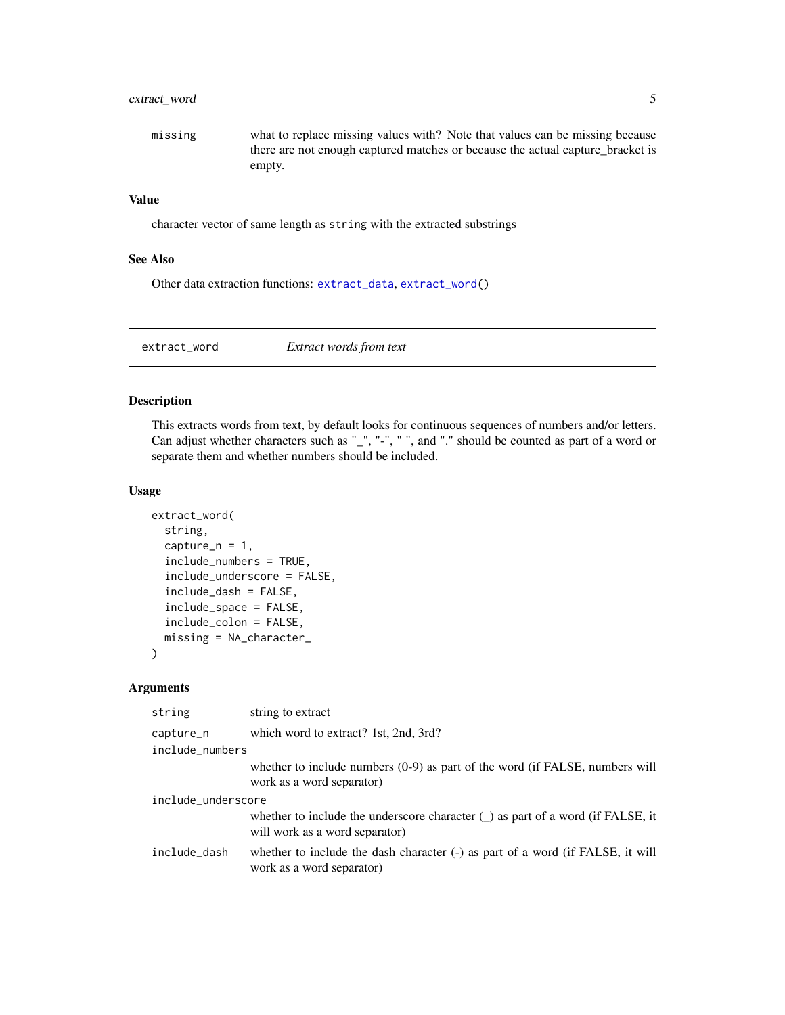## <span id="page-4-0"></span>extract\_word 5

missing what to replace missing values with? Note that values can be missing because there are not enough captured matches or because the actual capture\_bracket is empty.

## Value

character vector of same length as string with the extracted substrings

#### See Also

Other data extraction functions: [extract\\_data](#page-2-1), [extract\\_word\(](#page-4-1))

<span id="page-4-1"></span>extract\_word *Extract words from text*

#### Description

This extracts words from text, by default looks for continuous sequences of numbers and/or letters. Can adjust whether characters such as "\_", "-", " ", and "." should be counted as part of a word or separate them and whether numbers should be included.

#### Usage

```
extract_word(
  string,
  capture_n = 1,
  include_numbers = TRUE,
  include_underscore = FALSE,
  include_dash = FALSE,
  include_space = FALSE,
  include_colon = FALSE,
  missing = NA_character_
)
```

| string             | string to extract                                                                                                 |  |  |  |  |
|--------------------|-------------------------------------------------------------------------------------------------------------------|--|--|--|--|
| capture_n          | which word to extract? 1st, 2nd, 3rd?                                                                             |  |  |  |  |
| include_numbers    |                                                                                                                   |  |  |  |  |
|                    | whether to include numbers $(0-9)$ as part of the word (if FALSE, numbers will<br>work as a word separator)       |  |  |  |  |
| include_underscore |                                                                                                                   |  |  |  |  |
|                    | whether to include the underscore character $($ as part of a word (if FALSE, it<br>will work as a word separator) |  |  |  |  |
| include_dash       | whether to include the dash character (-) as part of a word (if FALSE, it will<br>work as a word separator)       |  |  |  |  |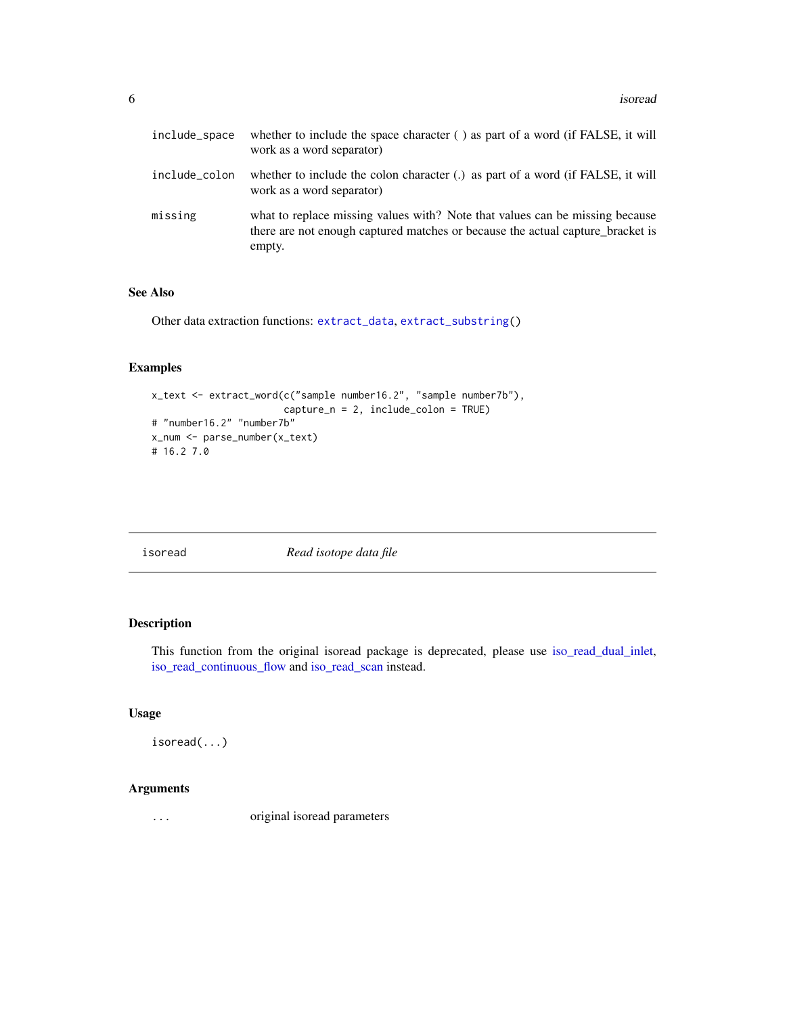<span id="page-5-0"></span>

| include_space | whether to include the space character $( )$ as part of a word (if FALSE, it will<br>work as a word separator)                                                           |
|---------------|--------------------------------------------------------------------------------------------------------------------------------------------------------------------------|
| include_colon | whether to include the colon character $(.)$ as part of a word (if FALSE, it will<br>work as a word separator)                                                           |
| missing       | what to replace missing values with? Note that values can be missing because<br>there are not enough captured matches or because the actual capture bracket is<br>empty. |

#### See Also

Other data extraction functions: [extract\\_data](#page-2-1), [extract\\_substring\(](#page-3-1))

#### Examples

```
x_text <- extract_word(c("sample number16.2", "sample number7b"),
                       capture_n = 2, include_colon = TRUE)
# "number16.2" "number7b"
x_num <- parse_number(x_text)
# 16.2 7.0
```
isoread *Read isotope data file*

## Description

This function from the original isoread package is deprecated, please use [iso\\_read\\_dual\\_inlet,](#page-41-1) [iso\\_read\\_continuous\\_flow](#page-39-1) and [iso\\_read\\_scan](#page-45-1) instead.

#### Usage

isoread(...)

#### Arguments

... original isoread parameters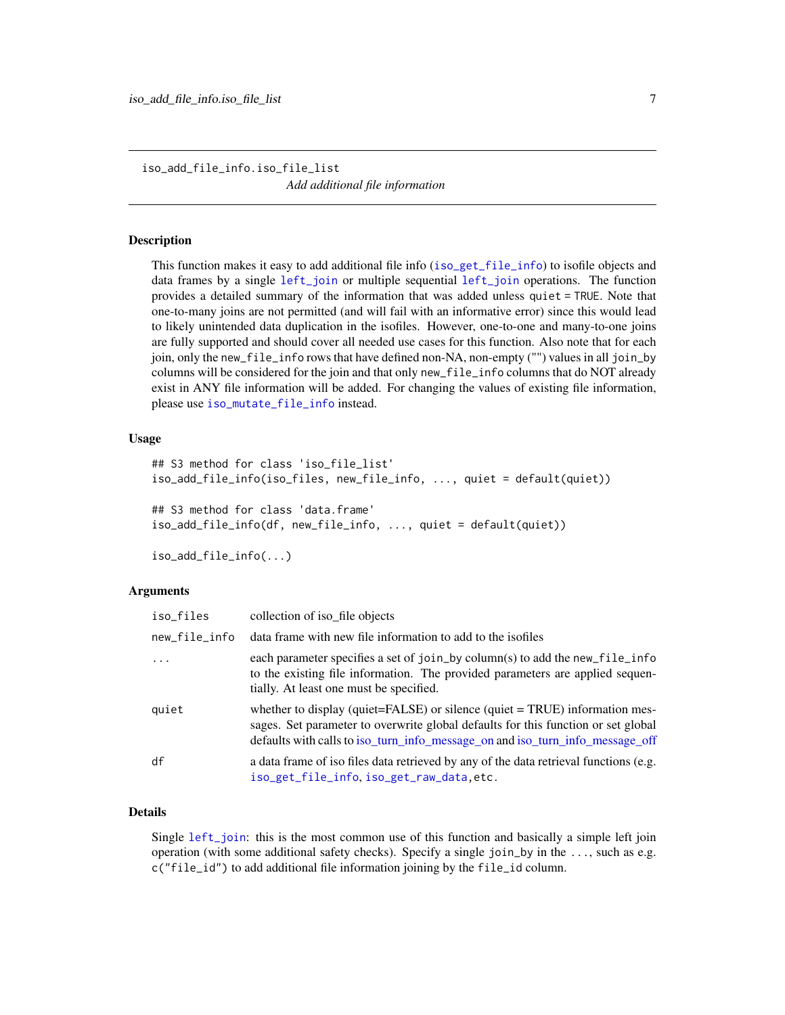<span id="page-6-1"></span><span id="page-6-0"></span>iso\_add\_file\_info.iso\_file\_list *Add additional file information*

#### **Description**

This function makes it easy to add additional file info ([iso\\_get\\_file\\_info](#page-22-1)) to isofile objects and data frames by a single [left\\_join](#page-0-0) or multiple sequential [left\\_join](#page-0-0) operations. The function provides a detailed summary of the information that was added unless quiet = TRUE. Note that one-to-many joins are not permitted (and will fail with an informative error) since this would lead to likely unintended data duplication in the isofiles. However, one-to-one and many-to-one joins are fully supported and should cover all needed use cases for this function. Also note that for each join, only the new\_file\_info rows that have defined non-NA, non-empty ("") values in all join\_by columns will be considered for the join and that only new\_file\_info columns that do NOT already exist in ANY file information will be added. For changing the values of existing file information, please use [iso\\_mutate\\_file\\_info](#page-35-1) instead.

#### Usage

```
## S3 method for class 'iso_file_list'
iso_add_file_info(iso_files, new_file_info, ..., quiet = default(quiet))
## S3 method for class 'data.frame'
iso_add_file_info(df, new_file_info, ..., quiet = default(quiet))
iso_add_file_info(...)
```
# Arguments

| iso_files     | collection of iso file objects                                                                                                                                                                                                                           |
|---------------|----------------------------------------------------------------------------------------------------------------------------------------------------------------------------------------------------------------------------------------------------------|
| new_file_info | data frame with new file information to add to the isofiles                                                                                                                                                                                              |
| $\ddots$ .    | each parameter specifies a set of join_by column(s) to add the new_file_info<br>to the existing file information. The provided parameters are applied sequen-<br>tially. At least one must be specified.                                                 |
| quiet         | whether to display (quiet= $FALSE$ ) or silence (quiet = $TRUE$ ) information mes-<br>sages. Set parameter to overwrite global defaults for this function or set global<br>defaults with calls to iso_turn_info_message_on and iso_turn_info_message_off |
| df            | a data frame of iso files data retrieved by any of the data retrieval functions (e.g.<br>iso_get_file_info,iso_get_raw_data,etc.                                                                                                                         |

#### Details

Single [left\\_join](#page-0-0): this is the most common use of this function and basically a simple left join operation (with some additional safety checks). Specify a single join\_by in the ..., such as e.g. c("file\_id") to add additional file information joining by the file\_id column.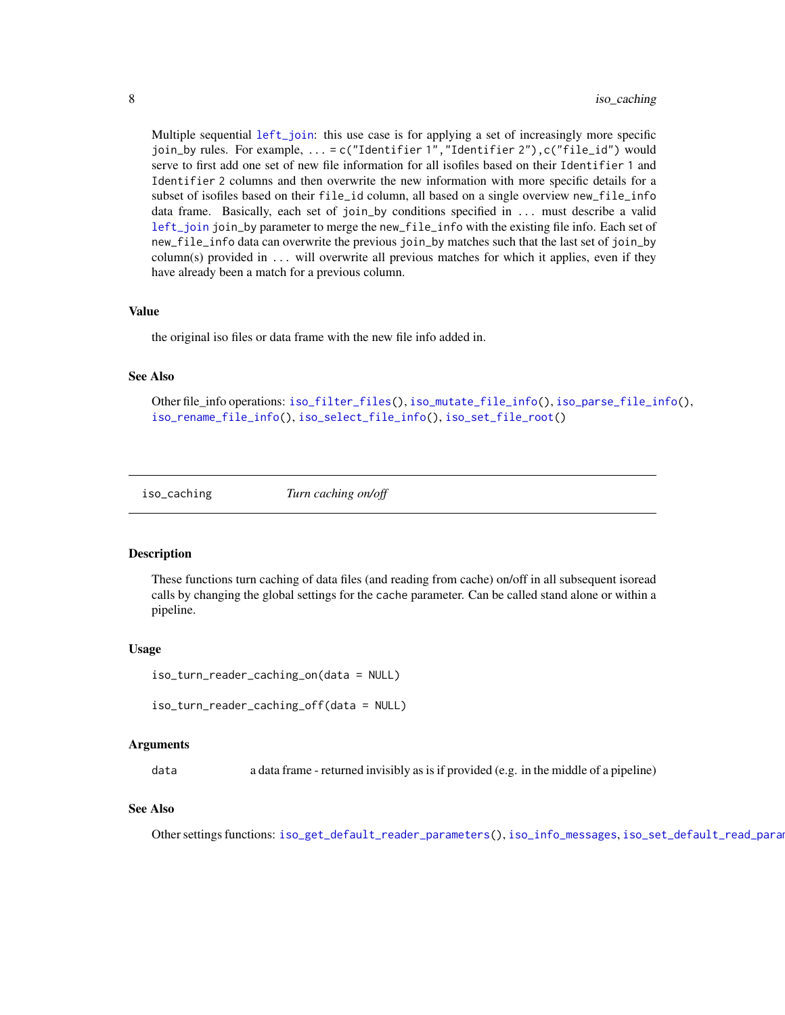<span id="page-7-0"></span>Multiple sequential [left\\_join](#page-0-0): this use case is for applying a set of increasingly more specific join\_by rules. For example, ... = c("Identifier 1","Identifier 2"),c("file\_id") would serve to first add one set of new file information for all isofiles based on their Identifier 1 and Identifier 2 columns and then overwrite the new information with more specific details for a subset of isofiles based on their file\_id column, all based on a single overview new\_file\_info data frame. Basically, each set of join\_by conditions specified in ... must describe a valid [left\\_join](#page-0-0) join\_by parameter to merge the new\_file\_info with the existing file info. Each set of new\_file\_info data can overwrite the previous join\_by matches such that the last set of join\_by column(s) provided in ... will overwrite all previous matches for which it applies, even if they have already been a match for a previous column.

#### Value

the original iso files or data frame with the new file info added in.

#### See Also

Other file\_info operations: [iso\\_filter\\_files\(](#page-15-1)), [iso\\_mutate\\_file\\_info\(](#page-35-1)), [iso\\_parse\\_file\\_info\(](#page-36-1)), [iso\\_rename\\_file\\_info\(](#page-48-1)), [iso\\_select\\_file\\_info\(](#page-53-1)), [iso\\_set\\_file\\_root\(](#page-55-1))

<span id="page-7-1"></span>

iso\_caching *Turn caching on/off*

#### Description

These functions turn caching of data files (and reading from cache) on/off in all subsequent isoread calls by changing the global settings for the cache parameter. Can be called stand alone or within a pipeline.

#### Usage

```
iso_turn_reader_caching_on(data = NULL)
```

```
iso_turn_reader_caching_off(data = NULL)
```
#### Arguments

data a data frame - returned invisibly as is if provided (e.g. in the middle of a pipeline)

#### See Also

Other settings functions: [iso\\_get\\_default\\_reader\\_parameters\(](#page-22-2)), [iso\\_info\\_messages](#page-31-1), [iso\\_set\\_default\\_read\\_parameters\(](#page-54-1))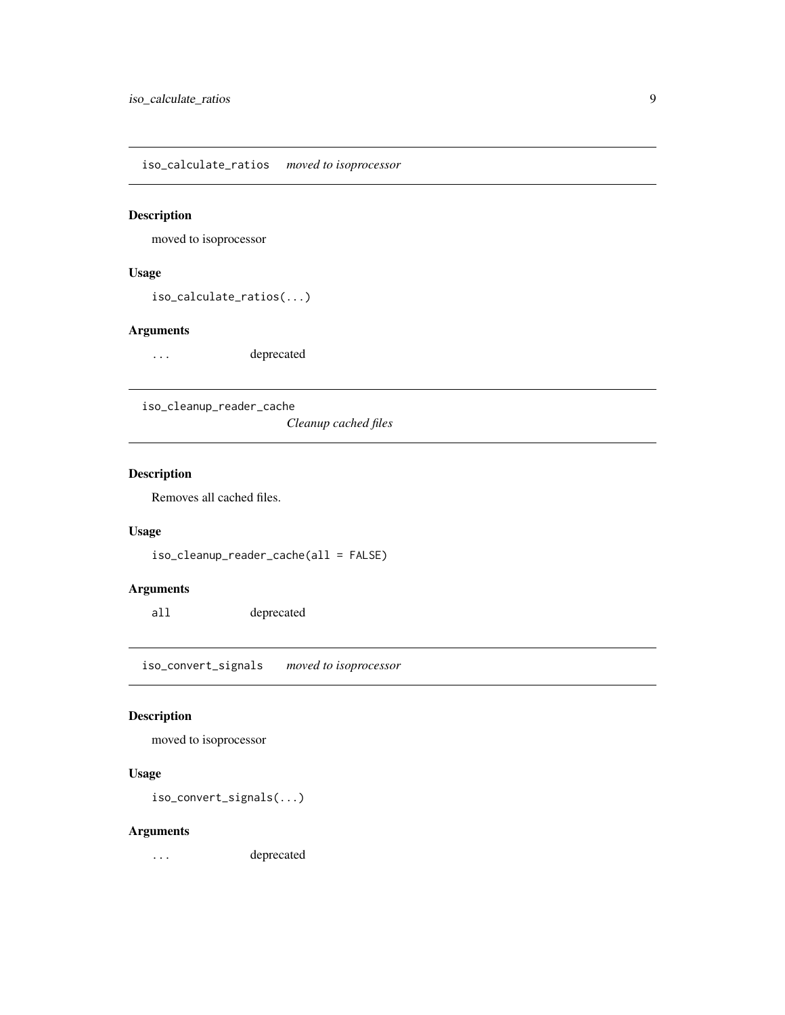<span id="page-8-0"></span>iso\_calculate\_ratios *moved to isoprocessor*

#### Description

moved to isoprocessor

#### Usage

iso\_calculate\_ratios(...)

## Arguments

... deprecated

iso\_cleanup\_reader\_cache

*Cleanup cached files*

# Description

Removes all cached files.

#### Usage

```
iso_cleanup_reader_cache(all = FALSE)
```
## Arguments

all deprecated

iso\_convert\_signals *moved to isoprocessor*

## Description

moved to isoprocessor

#### Usage

iso\_convert\_signals(...)

#### Arguments

... deprecated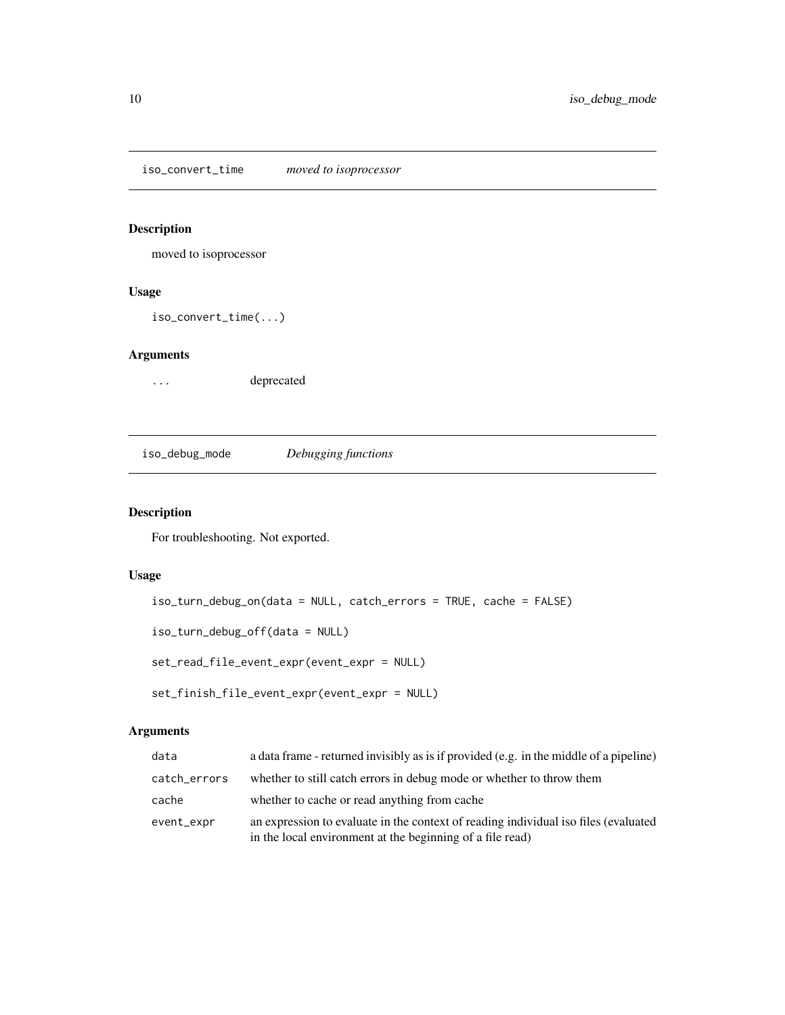<span id="page-9-0"></span>iso\_convert\_time *moved to isoprocessor*

#### Description

moved to isoprocessor

#### Usage

iso\_convert\_time(...)

## Arguments

... deprecated

iso\_debug\_mode *Debugging functions*

## <span id="page-9-1"></span>Description

For troubleshooting. Not exported.

# Usage

iso\_turn\_debug\_on(data = NULL, catch\_errors = TRUE, cache = FALSE)

iso\_turn\_debug\_off(data = NULL)

set\_read\_file\_event\_expr(event\_expr = NULL)

```
set_finish_file_event_expr(event_expr = NULL)
```

| data         | a data frame - returned invisibly as is if provided (e.g. in the middle of a pipeline)                                                           |
|--------------|--------------------------------------------------------------------------------------------------------------------------------------------------|
| catch_errors | whether to still catch errors in debug mode or whether to throw them                                                                             |
| cache        | whether to cache or read anything from cache                                                                                                     |
| event_expr   | an expression to evaluate in the context of reading individual iso files (evaluated<br>in the local environment at the beginning of a file read) |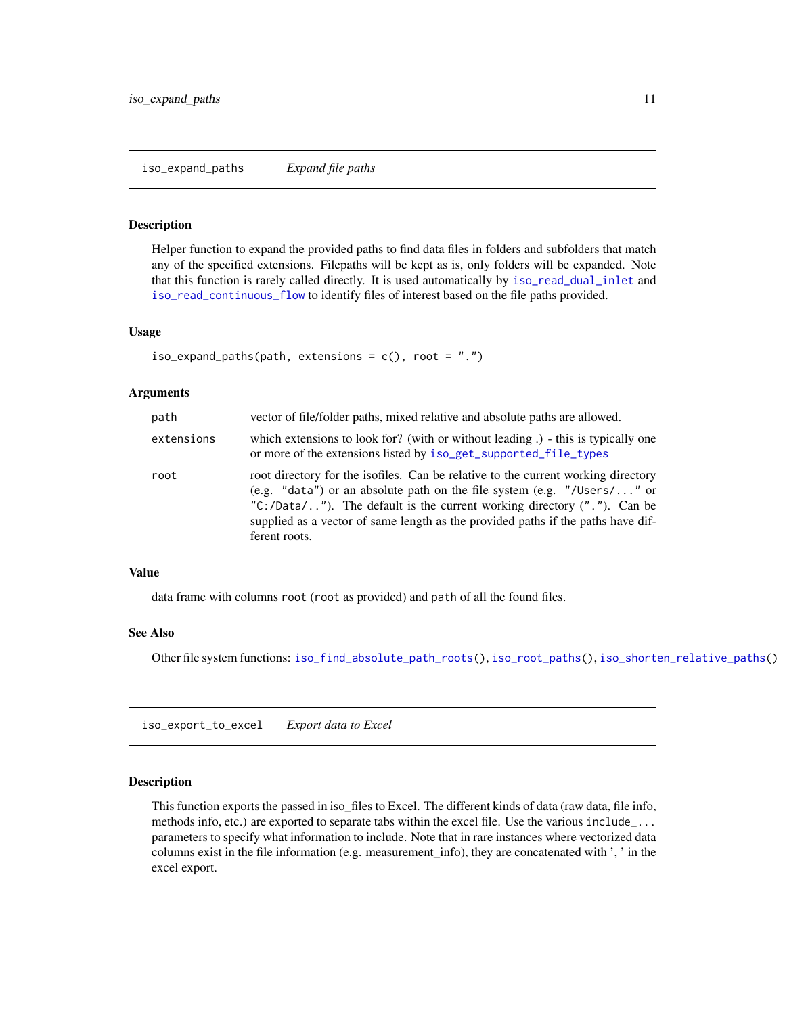## <span id="page-10-2"></span><span id="page-10-0"></span>**Description**

Helper function to expand the provided paths to find data files in folders and subfolders that match any of the specified extensions. Filepaths will be kept as is, only folders will be expanded. Note that this function is rarely called directly. It is used automatically by [iso\\_read\\_dual\\_inlet](#page-41-1) and [iso\\_read\\_continuous\\_flow](#page-39-1) to identify files of interest based on the file paths provided.

#### Usage

```
iso<sub>expand</sub> paths(path, extensions = c(), root = ".")
```
#### Arguments

| path       | vector of file/folder paths, mixed relative and absolute paths are allowed.                                                                                                                                                                                                                                                                      |
|------------|--------------------------------------------------------------------------------------------------------------------------------------------------------------------------------------------------------------------------------------------------------------------------------------------------------------------------------------------------|
| extensions | which extensions to look for? (with or without leading). This is typically one<br>or more of the extensions listed by iso_get_supported_file_types                                                                                                                                                                                               |
| root       | root directory for the isofiles. Can be relative to the current working directory<br>(e.g. "data") or an absolute path on the file system (e.g. "/Users/" or<br>" $C$ :/Data/"). The default is the current working directory ("."). Can be<br>supplied as a vector of same length as the provided paths if the paths have dif-<br>ferent roots. |

#### Value

data frame with columns root (root as provided) and path of all the found files.

#### See Also

Other file system functions: [iso\\_find\\_absolute\\_path\\_roots\(](#page-16-1)), [iso\\_root\\_paths\(](#page-51-1)), [iso\\_shorten\\_relative\\_paths\(](#page-56-1))

<span id="page-10-1"></span>iso\_export\_to\_excel *Export data to Excel*

## Description

This function exports the passed in iso\_files to Excel. The different kinds of data (raw data, file info, methods info, etc.) are exported to separate tabs within the excel file. Use the various include\_... parameters to specify what information to include. Note that in rare instances where vectorized data columns exist in the file information (e.g. measurement\_info), they are concatenated with ', ' in the excel export.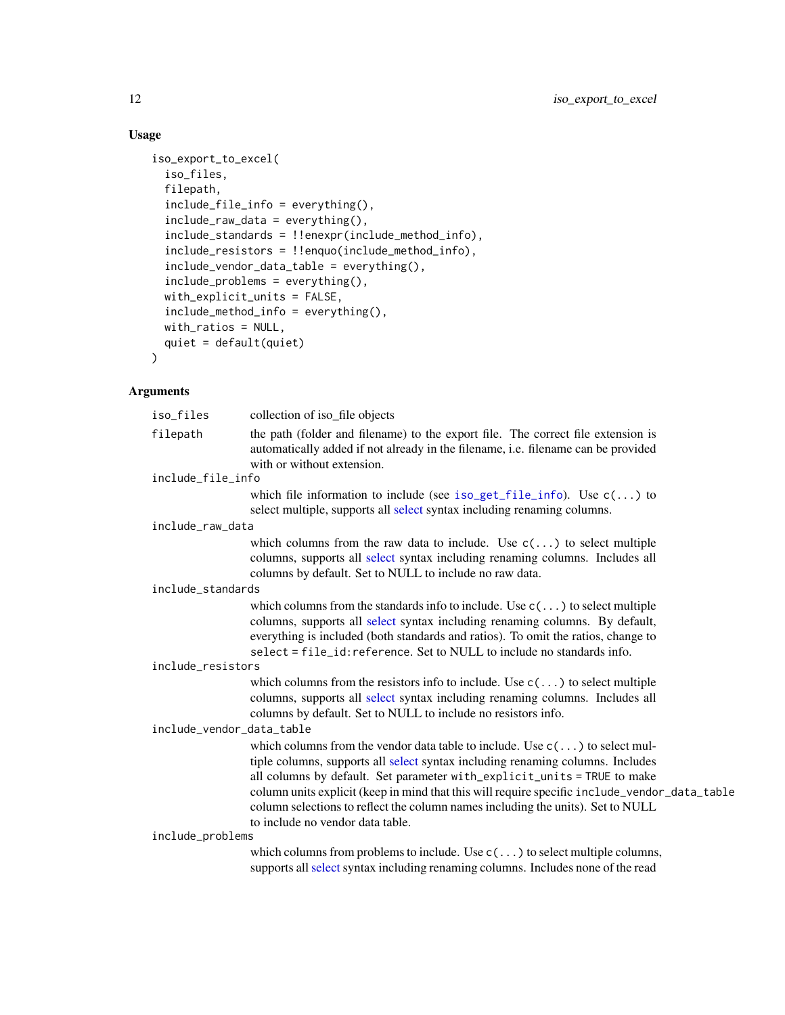# Usage

```
iso_export_to_excel(
  iso_files,
 filepath,
  include_file_info = everything(),
  include_raw_data = everything(),
  include_standards = !!enexpr(include_method_info),
  include_resistors = !!enquo(include_method_info),
  include_vendor_data_table = everything(),
  include_problems = everything(),
 with_explicit_units = FALSE,
  include_method_info = everything(),
 with_ratios = NULL,
 quiet = default(quiet)
)
```

| iso_files                 | collection of iso_file objects                                                                                                                                                                                                                                                                                                                                                                                                                                            |
|---------------------------|---------------------------------------------------------------------------------------------------------------------------------------------------------------------------------------------------------------------------------------------------------------------------------------------------------------------------------------------------------------------------------------------------------------------------------------------------------------------------|
| filepath                  | the path (folder and filename) to the export file. The correct file extension is<br>automatically added if not already in the filename, i.e. filename can be provided<br>with or without extension.                                                                                                                                                                                                                                                                       |
| include_file_info         |                                                                                                                                                                                                                                                                                                                                                                                                                                                                           |
|                           | which file information to include (see iso_get_file_info). Use $c(\ldots)$ to<br>select multiple, supports all select syntax including renaming columns.                                                                                                                                                                                                                                                                                                                  |
| include_raw_data          |                                                                                                                                                                                                                                                                                                                                                                                                                                                                           |
|                           | which columns from the raw data to include. Use $c(\ldots)$ to select multiple<br>columns, supports all select syntax including renaming columns. Includes all<br>columns by default. Set to NULL to include no raw data.                                                                                                                                                                                                                                                 |
| include_standards         |                                                                                                                                                                                                                                                                                                                                                                                                                                                                           |
|                           | which columns from the standards info to include. Use $c(\ldots)$ to select multiple<br>columns, supports all select syntax including renaming columns. By default,<br>everything is included (both standards and ratios). To omit the ratios, change to<br>select = file_id: reference. Set to NULL to include no standards info.                                                                                                                                        |
| include_resistors         |                                                                                                                                                                                                                                                                                                                                                                                                                                                                           |
|                           | which columns from the resistors info to include. Use $c(\ldots)$ to select multiple<br>columns, supports all select syntax including renaming columns. Includes all<br>columns by default. Set to NULL to include no resistors info.                                                                                                                                                                                                                                     |
| include_vendor_data_table |                                                                                                                                                                                                                                                                                                                                                                                                                                                                           |
|                           | which columns from the vendor data table to include. Use $c(\ldots)$ to select mul-<br>tiple columns, supports all select syntax including renaming columns. Includes<br>all columns by default. Set parameter with_explicit_units = TRUE to make<br>column units explicit (keep in mind that this will require specific include_vendor_data_table<br>column selections to reflect the column names including the units). Set to NULL<br>to include no vendor data table. |
| include_problems          |                                                                                                                                                                                                                                                                                                                                                                                                                                                                           |
|                           | which columns from problems to include. Use $c(\ldots)$ to select multiple columns,<br>supports all select syntax including renaming columns. Includes none of the read                                                                                                                                                                                                                                                                                                   |
|                           |                                                                                                                                                                                                                                                                                                                                                                                                                                                                           |

<span id="page-11-0"></span>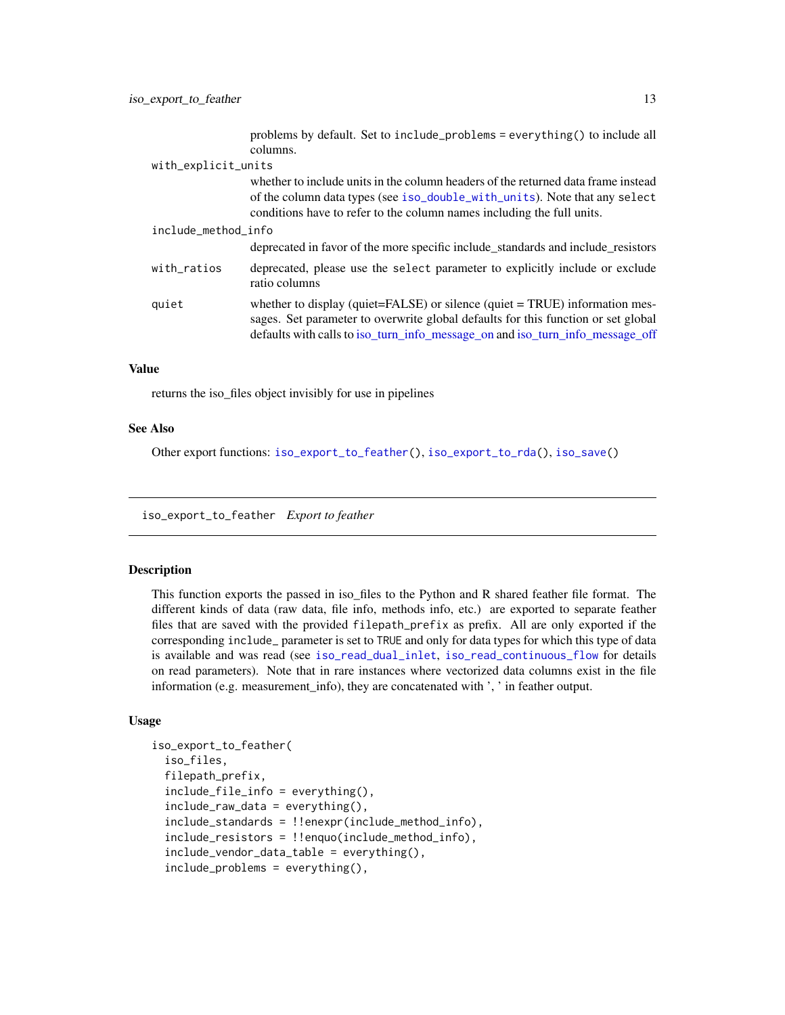<span id="page-12-0"></span>

|                     | problems by default. Set to include_problems = everything() to include all<br>columns.                                                                                                                                                            |  |  |  |
|---------------------|---------------------------------------------------------------------------------------------------------------------------------------------------------------------------------------------------------------------------------------------------|--|--|--|
| with_explicit_units |                                                                                                                                                                                                                                                   |  |  |  |
|                     | whether to include units in the column headers of the returned data frame instead<br>of the column data types (see iso_double_with_units). Note that any select<br>conditions have to refer to the column names including the full units.         |  |  |  |
| include_method_info |                                                                                                                                                                                                                                                   |  |  |  |
|                     | deprecated in favor of the more specific include_standards and include_resistors                                                                                                                                                                  |  |  |  |
| with_ratios         | deprecated, please use the select parameter to explicitly include or exclude<br>ratio columns                                                                                                                                                     |  |  |  |
| quiet               | whether to display (quiet=FALSE) or silence (quiet = TRUE) information mes-<br>sages. Set parameter to overwrite global defaults for this function or set global<br>defaults with calls to iso_turn_info_message_on and iso_turn_info_message_off |  |  |  |

#### Value

returns the iso\_files object invisibly for use in pipelines

#### See Also

Other export functions: [iso\\_export\\_to\\_feather\(](#page-12-1)), [iso\\_export\\_to\\_rda\(](#page-14-1)), [iso\\_save\(](#page-52-1))

<span id="page-12-1"></span>iso\_export\_to\_feather *Export to feather*

# **Description**

This function exports the passed in iso\_files to the Python and R shared feather file format. The different kinds of data (raw data, file info, methods info, etc.) are exported to separate feather files that are saved with the provided filepath\_prefix as prefix. All are only exported if the corresponding include\_ parameter is set to TRUE and only for data types for which this type of data is available and was read (see [iso\\_read\\_dual\\_inlet](#page-41-1), [iso\\_read\\_continuous\\_flow](#page-39-1) for details on read parameters). Note that in rare instances where vectorized data columns exist in the file information (e.g. measurement\_info), they are concatenated with ', ' in feather output.

```
iso_export_to_feather(
  iso_files,
  filepath_prefix,
  include_file_info = everything(),
  include_raw_data = everything(),
  include_standards = !!enexpr(include_method_info),
  include_resistors = !!enquo(include_method_info),
  include_vendor_data_table = everything(),
  include_problems = everything(),
```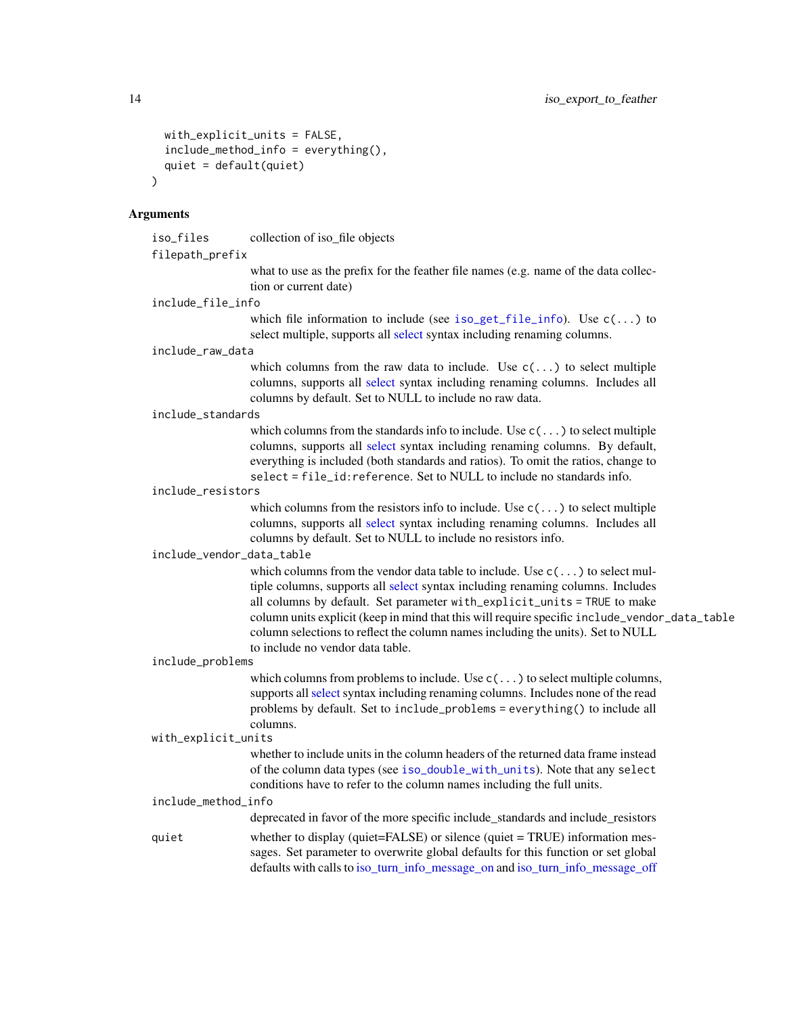```
with_explicit_units = FALSE,
  include_method_info = everything(),
  quiet = default(quiet)\lambda
```
#### **Arguments**

iso\_files collection of iso\_file objects

filepath\_prefix

what to use as the prefix for the feather file names (e.g. name of the data collection or current date)

include\_file\_info

which file information to include (see [iso\\_get\\_file\\_info](#page-22-1)). Use  $c(\ldots)$  to select multiple, supports all [select](#page-0-0) syntax including renaming columns.

#### include\_raw\_data

which columns from the raw data to include. Use  $c(\ldots)$  to select multiple columns, supports all [select](#page-0-0) syntax including renaming columns. Includes all columns by default. Set to NULL to include no raw data.

```
include_standards
```
which columns from the standards info to include. Use  $c(\ldots)$  to select multiple columns, supports all [select](#page-0-0) syntax including renaming columns. By default, everything is included (both standards and ratios). To omit the ratios, change to select  $=$  file id: reference. Set to NULL to include no standards info.

#### include\_resistors

which columns from the resistors info to include. Use  $c(\ldots)$  to select multiple columns, supports all [select](#page-0-0) syntax including renaming columns. Includes all columns by default. Set to NULL to include no resistors info.

#### include\_vendor\_data\_table

which columns from the vendor data table to include. Use  $c(\ldots)$  to select multiple columns, supports all [select](#page-0-0) syntax including renaming columns. Includes all columns by default. Set parameter with\_explicit\_units = TRUE to make column units explicit (keep in mind that this will require specific include\_vendor\_data\_table column selections to reflect the column names including the units). Set to NULL to include no vendor data table.

#### include\_problems

which columns from problems to include. Use  $c(\ldots)$  to select multiple columns, supports all [select](#page-0-0) syntax including renaming columns. Includes none of the read problems by default. Set to include\_problems = everything() to include all columns.

```
with_explicit_units
```
whether to include units in the column headers of the returned data frame instead of the column data types (see [iso\\_double\\_with\\_units](#page-57-1)). Note that any select conditions have to refer to the column names including the full units.

# include\_method\_info

deprecated in favor of the more specific include\_standards and include\_resistors

quiet whether to display (quiet=FALSE) or silence (quiet = TRUE) information messages. Set parameter to overwrite global defaults for this function or set global defaults with calls to [iso\\_turn\\_info\\_message\\_on](#page-31-1) and [iso\\_turn\\_info\\_message\\_off](#page-31-1)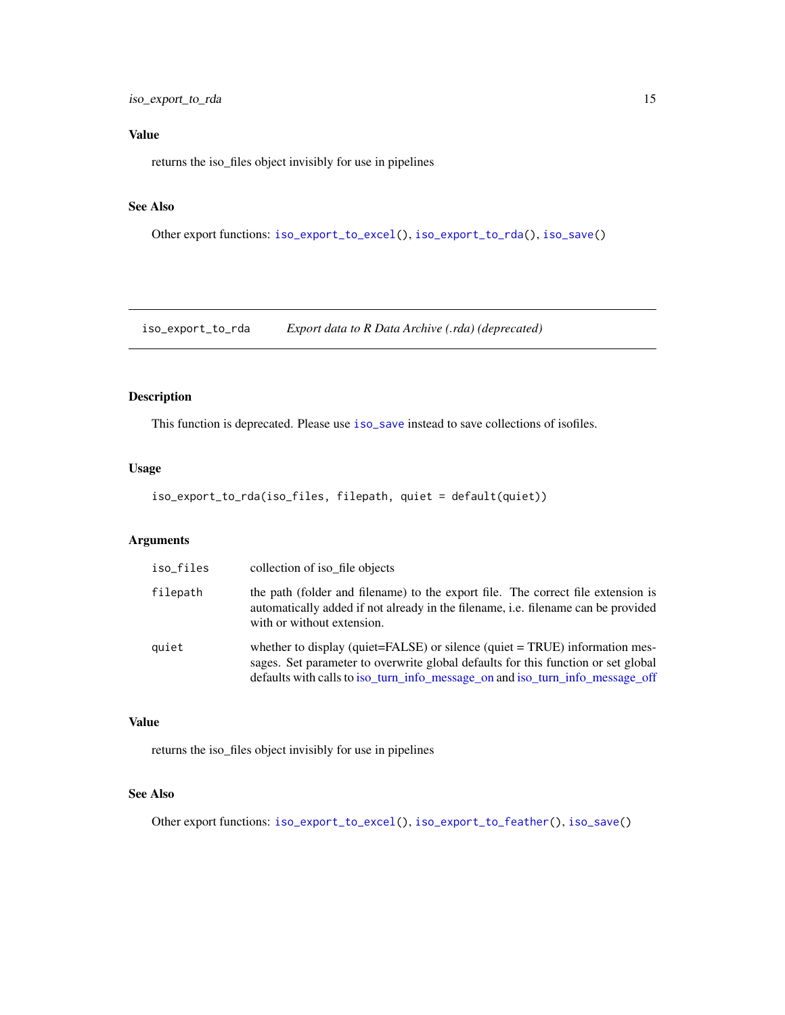<span id="page-14-0"></span>iso\_export\_to\_rda 15

# Value

returns the iso\_files object invisibly for use in pipelines

#### See Also

Other export functions: [iso\\_export\\_to\\_excel\(](#page-10-1)), [iso\\_export\\_to\\_rda\(](#page-14-1)), [iso\\_save\(](#page-52-1))

<span id="page-14-1"></span>iso\_export\_to\_rda *Export data to R Data Archive (.rda) (deprecated)*

#### Description

This function is deprecated. Please use [iso\\_save](#page-52-1) instead to save collections of isofiles.

#### Usage

```
iso_export_to_rda(iso_files, filepath, quiet = default(quiet))
```
#### Arguments

| iso_files | collection of iso_file objects                                                                                                                                                                                                                    |
|-----------|---------------------------------------------------------------------------------------------------------------------------------------------------------------------------------------------------------------------------------------------------|
| filepath  | the path (folder and filename) to the export file. The correct file extension is<br>automatically added if not already in the filename, <i>i.e.</i> filename can be provided<br>with or without extension.                                        |
| quiet     | whether to display (quiet=FALSE) or silence (quiet = TRUE) information mes-<br>sages. Set parameter to overwrite global defaults for this function or set global<br>defaults with calls to iso_turn_info_message_on and iso_turn_info_message_off |

#### Value

returns the iso\_files object invisibly for use in pipelines

#### See Also

Other export functions: [iso\\_export\\_to\\_excel\(](#page-10-1)), [iso\\_export\\_to\\_feather\(](#page-12-1)), [iso\\_save\(](#page-52-1))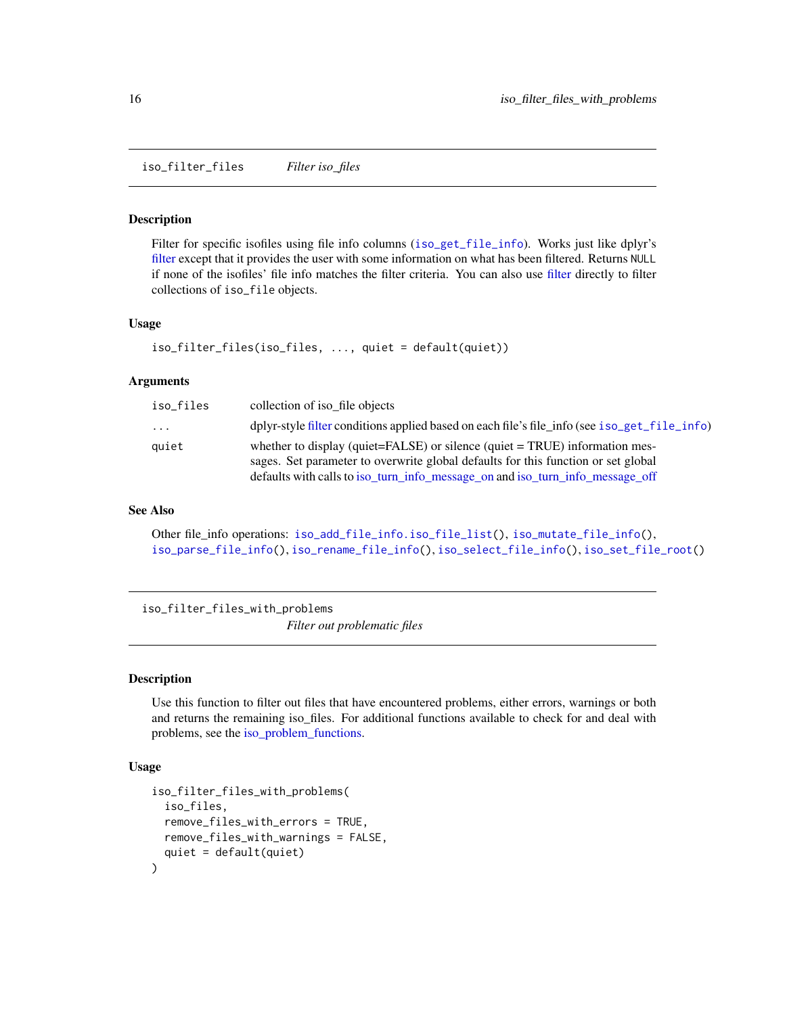<span id="page-15-1"></span><span id="page-15-0"></span>iso\_filter\_files *Filter iso\_files*

#### **Description**

Filter for specific isofiles using file info columns ([iso\\_get\\_file\\_info](#page-22-1)). Works just like dplyr's [filter](#page-0-0) except that it provides the user with some information on what has been filtered. Returns NULL if none of the isofiles' file info matches the filter criteria. You can also use [filter](#page-0-0) directly to filter collections of iso\_file objects.

#### Usage

```
iso_filter_files(iso_files, ..., quiet = default(quiet))
```
#### Arguments

| iso_files               | collection of iso file objects                                                                                                                                                                                                                           |
|-------------------------|----------------------------------------------------------------------------------------------------------------------------------------------------------------------------------------------------------------------------------------------------------|
| $\cdot$ $\cdot$ $\cdot$ | dplyr-style filter conditions applied based on each file's file_info (see iso_get_file_info)                                                                                                                                                             |
| quiet                   | whether to display (quiet= $FALSE$ ) or silence (quiet = $TRUE$ ) information mes-<br>sages. Set parameter to overwrite global defaults for this function or set global<br>defaults with calls to iso turn info message on and iso turn info message off |

#### See Also

```
Other file_info operations: iso_add_file_info.iso_file_list(), iso_mutate_file_info(),
iso_parse_file_info(), iso_rename_file_info(), iso_select_file_info(), iso_set_file_root()
```
<span id="page-15-2"></span>iso\_filter\_files\_with\_problems *Filter out problematic files*

# Description

Use this function to filter out files that have encountered problems, either errors, warnings or both and returns the remaining iso\_files. For additional functions available to check for and deal with problems, see the [iso\\_problem\\_functions.](#page-38-1)

```
iso_filter_files_with_problems(
  iso_files,
  remove_files_with_errors = TRUE,
  remove_files_with_warnings = FALSE,
  quiet = default(quiet)
)
```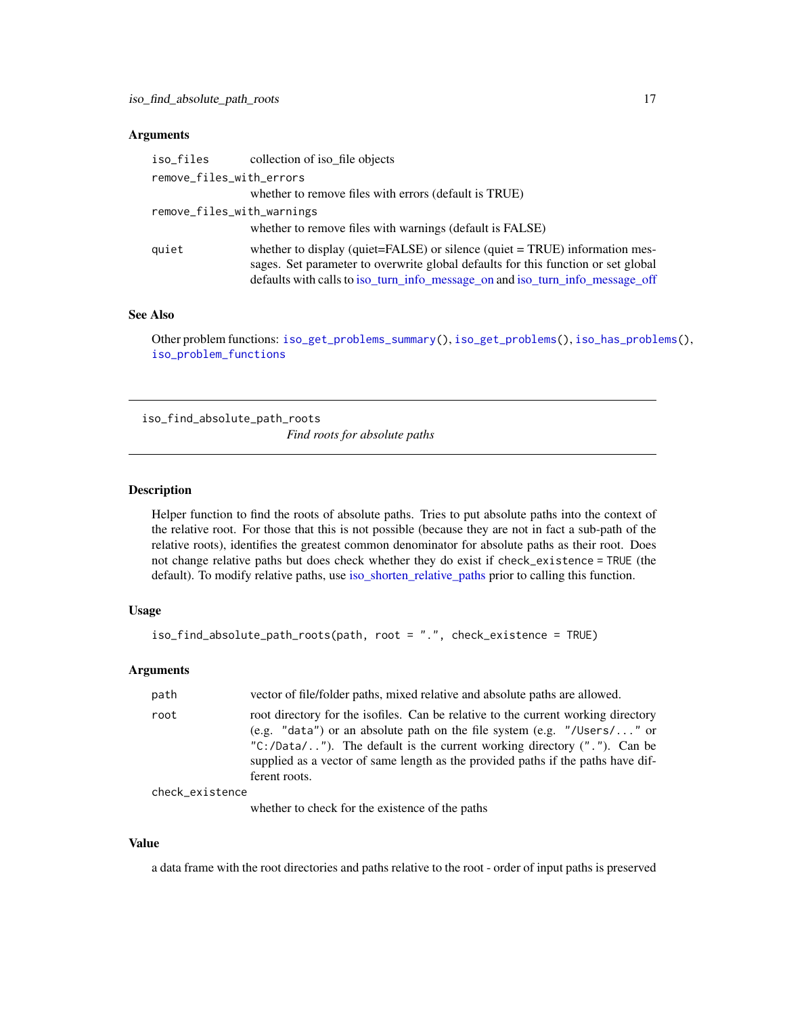#### <span id="page-16-0"></span>**Arguments**

| iso_files                  | collection of iso file objects                                                                                                                                                                                                                    |
|----------------------------|---------------------------------------------------------------------------------------------------------------------------------------------------------------------------------------------------------------------------------------------------|
| remove_files_with_errors   |                                                                                                                                                                                                                                                   |
|                            | whether to remove files with errors (default is TRUE)                                                                                                                                                                                             |
| remove_files_with_warnings |                                                                                                                                                                                                                                                   |
|                            | whether to remove files with warnings (default is FALSE)                                                                                                                                                                                          |
| quiet                      | whether to display (quiet=FALSE) or silence (quiet = TRUE) information mes-<br>sages. Set parameter to overwrite global defaults for this function or set global<br>defaults with calls to iso_turn_info_message_on and iso_turn_info_message_off |

#### See Also

Other problem functions: [iso\\_get\\_problems\\_summary\(](#page-24-2)), [iso\\_get\\_problems\(](#page-23-1)), [iso\\_has\\_problems\(](#page-31-2)), [iso\\_problem\\_functions](#page-38-1)

<span id="page-16-1"></span>iso\_find\_absolute\_path\_roots

*Find roots for absolute paths*

#### Description

Helper function to find the roots of absolute paths. Tries to put absolute paths into the context of the relative root. For those that this is not possible (because they are not in fact a sub-path of the relative roots), identifies the greatest common denominator for absolute paths as their root. Does not change relative paths but does check whether they do exist if check\_existence = TRUE (the default). To modify relative paths, use [iso\\_shorten\\_relative\\_paths](#page-56-1) prior to calling this function.

#### Usage

```
iso_find_absolute_path_roots(path, root = ".", check_existence = TRUE)
```
#### **Arguments**

| path            | vector of file/folder paths, mixed relative and absolute paths are allowed.                                                                                                                                                                                                                                                                      |
|-----------------|--------------------------------------------------------------------------------------------------------------------------------------------------------------------------------------------------------------------------------------------------------------------------------------------------------------------------------------------------|
| root            | root directory for the isofiles. Can be relative to the current working directory<br>(e.g. "data") or an absolute path on the file system (e.g. "/Users/" or<br>" $C$ :/Data/"). The default is the current working directory ("."). Can be<br>supplied as a vector of same length as the provided paths if the paths have dif-<br>ferent roots. |
| check_existence |                                                                                                                                                                                                                                                                                                                                                  |

whether to check for the existence of the paths

#### Value

a data frame with the root directories and paths relative to the root - order of input paths is preserved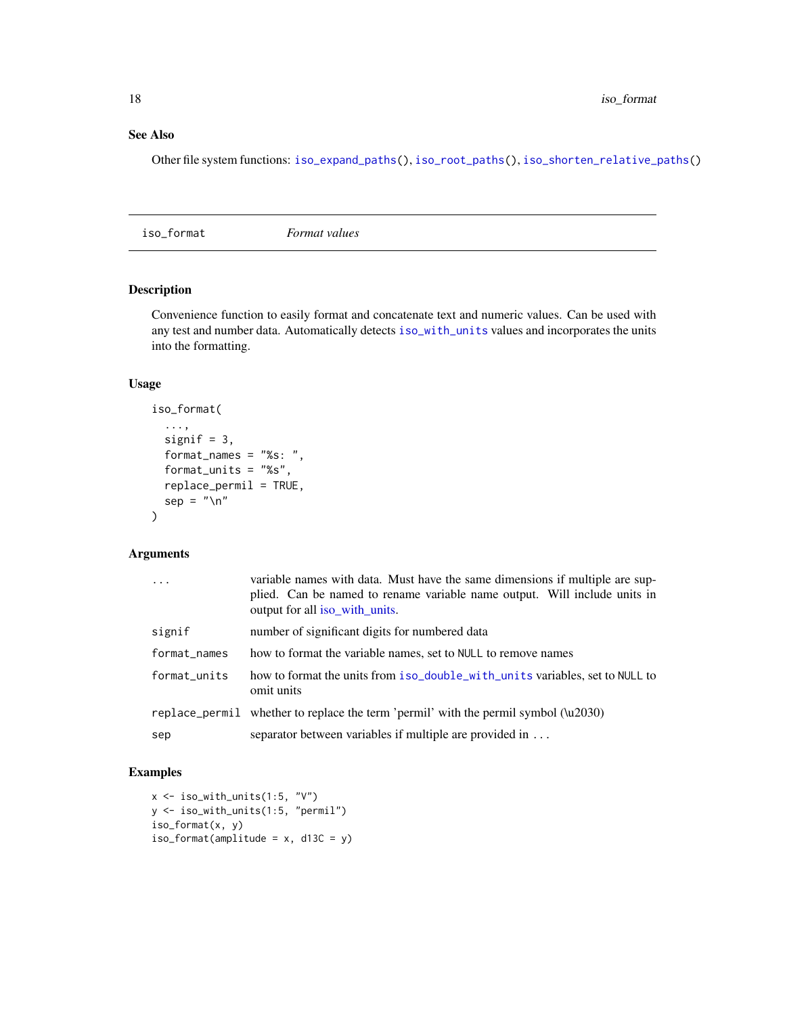#### <span id="page-17-0"></span>See Also

Other file system functions: [iso\\_expand\\_paths\(](#page-10-2)), [iso\\_root\\_paths\(](#page-51-1)), [iso\\_shorten\\_relative\\_paths\(](#page-56-1))

iso\_format *Format values*

# Description

Convenience function to easily format and concatenate text and numeric values. Can be used with any test and number data. Automatically detects [iso\\_with\\_units](#page-57-2) values and incorporates the units into the formatting.

#### Usage

```
iso_format(
  ...,
  signif = 3,
  format_names = "%s: ",
  format_units = "%s",
  replace_permil = TRUE,
  sep = "\\ n"\mathcal{L}
```
#### Arguments

| $\ddotsc$    | variable names with data. Must have the same dimensions if multiple are sup-<br>plied. Can be named to rename variable name output. Will include units in<br>output for all iso_with_units. |
|--------------|---------------------------------------------------------------------------------------------------------------------------------------------------------------------------------------------|
| signif       | number of significant digits for numbered data                                                                                                                                              |
| format_names | how to format the variable names, set to NULL to remove names                                                                                                                               |
| format_units | how to format the units from iso_double_with_units variables, set to NULL to<br>omit units                                                                                                  |
|              | replace_permil whether to replace the term 'permil' with the permil symbol (\u2030)                                                                                                         |
| sep          | separator between variables if multiple are provided in                                                                                                                                     |

#### Examples

```
x <- iso_with_units(1:5, "V")
y <- iso_with_units(1:5, "permil")
iso_format(x, y)
iso_format(amplitude = x, d13C = y)
```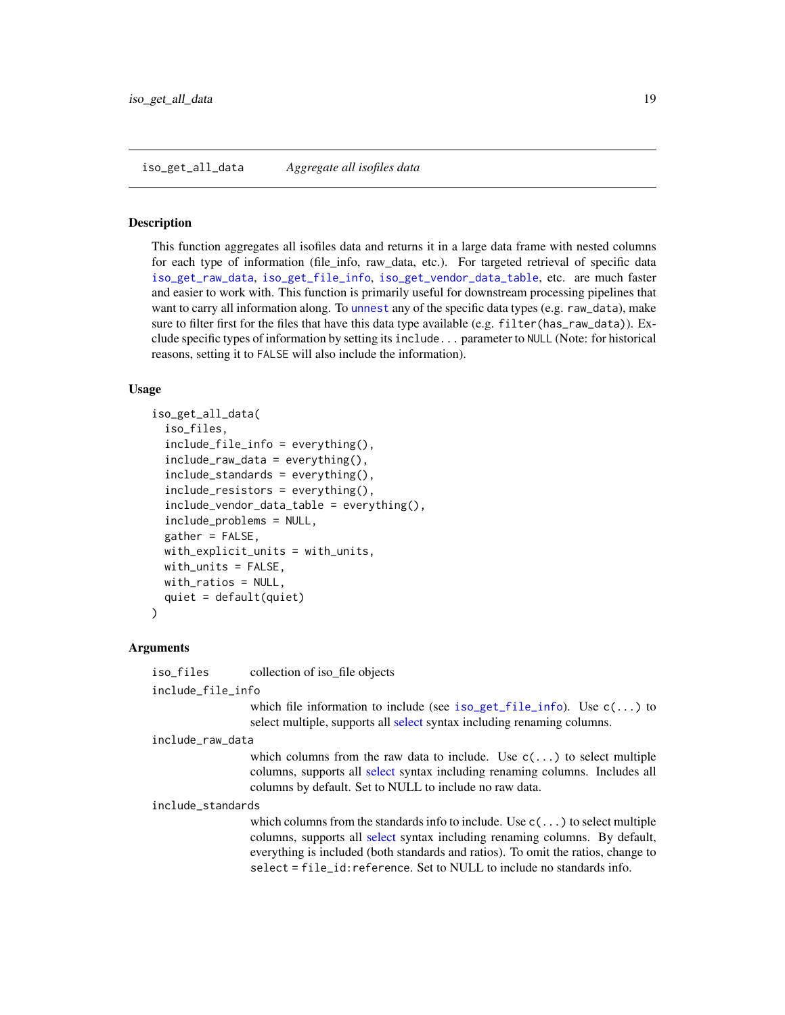#### <span id="page-18-1"></span><span id="page-18-0"></span>Description

This function aggregates all isofiles data and returns it in a large data frame with nested columns for each type of information (file\_info, raw\_data, etc.). For targeted retrieval of specific data [iso\\_get\\_raw\\_data](#page-24-1), [iso\\_get\\_file\\_info](#page-22-1), [iso\\_get\\_vendor\\_data\\_table](#page-30-1), etc. are much faster and easier to work with. This function is primarily useful for downstream processing pipelines that want to carry all information along. To [unnest](#page-0-0) any of the specific data types (e.g. raw\_data), make sure to filter first for the files that have this data type available (e.g. filter(has\_raw\_data)). Exclude specific types of information by setting its include... parameter to NULL (Note: for historical reasons, setting it to FALSE will also include the information).

#### Usage

```
iso_get_all_data(
  iso_files,
  include_file_info = everything(),
  include_{raw_data} = everything(),
  include_standards = everything(),
  include_resistors = everything(),
  include_vendor_data_table = everything(),
  include_problems = NULL,
  gather = FALSE,
  with_explicit_units = with_units,
  with_units = FALSE,
 with_ratios = NULL,
  quiet = default(quiet)
\mathcal{L}
```
#### Arguments

iso\_files collection of iso\_file objects

include\_file\_info

which file information to include (see [iso\\_get\\_file\\_info](#page-22-1)). Use  $c(\ldots)$  to [select](#page-0-0) multiple, supports all select syntax including renaming columns.

include\_raw\_data

which columns from the raw data to include. Use  $c(\ldots)$  to select multiple columns, supports all [select](#page-0-0) syntax including renaming columns. Includes all columns by default. Set to NULL to include no raw data.

include\_standards

which columns from the standards info to include. Use  $c(\ldots)$  to select multiple columns, supports all [select](#page-0-0) syntax including renaming columns. By default, everything is included (both standards and ratios). To omit the ratios, change to select = file\_id:reference. Set to NULL to include no standards info.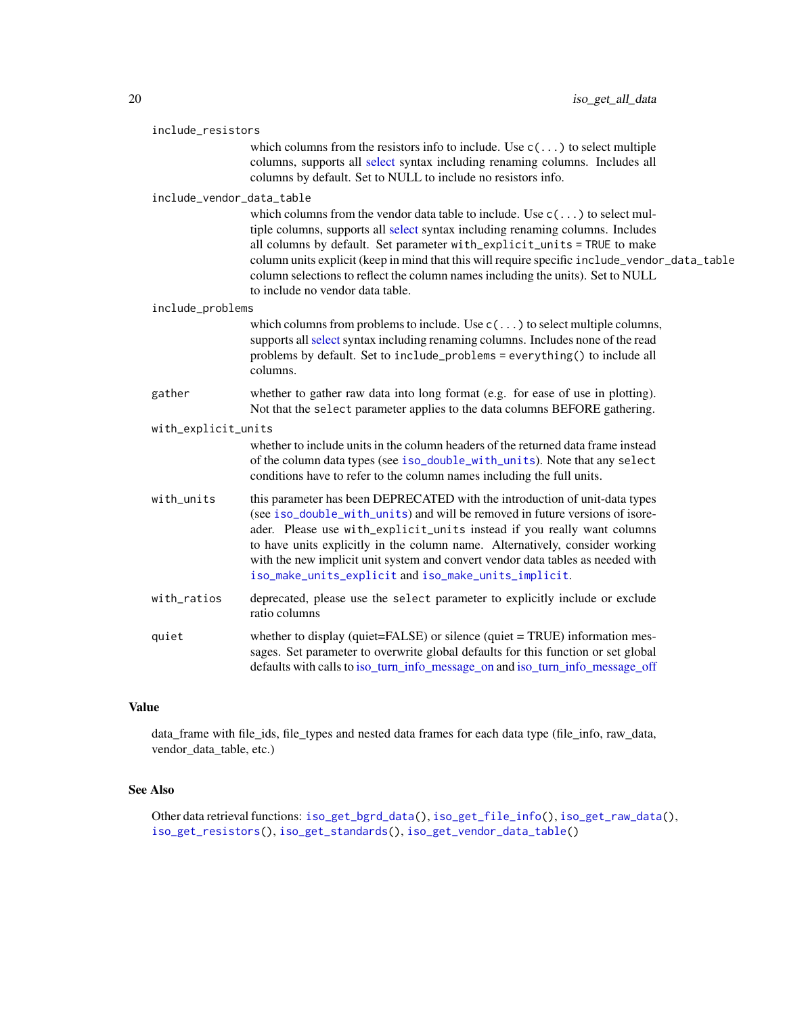<span id="page-19-0"></span>

| include_resistors         |                                                                                                                                                                                                                                                                                                                                                                                                                                                                           |  |
|---------------------------|---------------------------------------------------------------------------------------------------------------------------------------------------------------------------------------------------------------------------------------------------------------------------------------------------------------------------------------------------------------------------------------------------------------------------------------------------------------------------|--|
|                           | which columns from the resistors info to include. Use $c(\ldots)$ to select multiple<br>columns, supports all select syntax including renaming columns. Includes all<br>columns by default. Set to NULL to include no resistors info.                                                                                                                                                                                                                                     |  |
| include_vendor_data_table |                                                                                                                                                                                                                                                                                                                                                                                                                                                                           |  |
|                           | which columns from the vendor data table to include. Use $c(\ldots)$ to select mul-<br>tiple columns, supports all select syntax including renaming columns. Includes<br>all columns by default. Set parameter with_explicit_units = TRUE to make<br>column units explicit (keep in mind that this will require specific include_vendor_data_table<br>column selections to reflect the column names including the units). Set to NULL<br>to include no vendor data table. |  |
| include_problems          |                                                                                                                                                                                                                                                                                                                                                                                                                                                                           |  |
|                           | which columns from problems to include. Use $c(\ldots)$ to select multiple columns,<br>supports all select syntax including renaming columns. Includes none of the read<br>problems by default. Set to include_problems = everything() to include all<br>columns.                                                                                                                                                                                                         |  |
| gather                    | whether to gather raw data into long format (e.g. for ease of use in plotting).<br>Not that the select parameter applies to the data columns BEFORE gathering.                                                                                                                                                                                                                                                                                                            |  |
| with_explicit_units       |                                                                                                                                                                                                                                                                                                                                                                                                                                                                           |  |
|                           | whether to include units in the column headers of the returned data frame instead<br>of the column data types (see iso_double_with_units). Note that any select<br>conditions have to refer to the column names including the full units.                                                                                                                                                                                                                                 |  |
| with_units                | this parameter has been DEPRECATED with the introduction of unit-data types<br>(see iso_double_with_units) and will be removed in future versions of isore-<br>ader. Please use with_explicit_units instead if you really want columns<br>to have units explicitly in the column name. Alternatively, consider working<br>with the new implicit unit system and convert vendor data tables as needed with<br>iso_make_units_explicit and iso_make_units_implicit.         |  |

with\_ratios deprecated, please use the select parameter to explicitly include or exclude ratio columns quiet whether to display (quiet=FALSE) or silence (quiet = TRUE) information messages. Set parameter to overwrite global defaults for this function or set global defaults with calls to [iso\\_turn\\_info\\_message\\_on](#page-31-1) and [iso\\_turn\\_info\\_message\\_off](#page-31-1)

#### Value

data\_frame with file\_ids, file\_types and nested data frames for each data type (file\_info, raw\_data, vendor\_data\_table, etc.)

# See Also

Other data retrieval functions: [iso\\_get\\_bgrd\\_data\(](#page-20-1)), [iso\\_get\\_file\\_info\(](#page-22-1)), [iso\\_get\\_raw\\_data\(](#page-24-1)), [iso\\_get\\_resistors\(](#page-26-1)), [iso\\_get\\_standards\(](#page-27-1)), [iso\\_get\\_vendor\\_data\\_table\(](#page-30-1))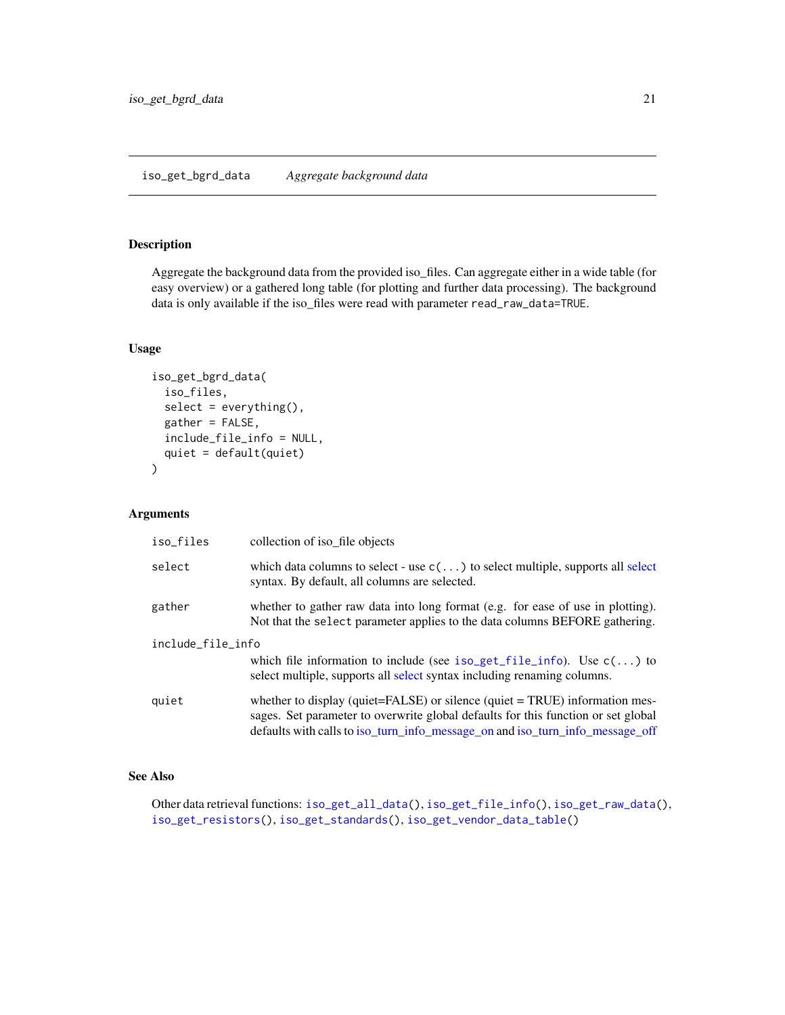## <span id="page-20-1"></span><span id="page-20-0"></span>Description

Aggregate the background data from the provided iso\_files. Can aggregate either in a wide table (for easy overview) or a gathered long table (for plotting and further data processing). The background data is only available if the iso\_files were read with parameter read\_raw\_data=TRUE.

#### Usage

```
iso_get_bgrd_data(
  iso_files,
  select = everything(),
  gather = FALSE,
  include_file_info = NULL,
  quiet = default(quiet)
)
```
#### Arguments

| iso_files         | collection of iso file objects                                                                                                                                                                                                                           |
|-------------------|----------------------------------------------------------------------------------------------------------------------------------------------------------------------------------------------------------------------------------------------------------|
| select            | which data columns to select - use $c(\ldots)$ to select multiple, supports all select<br>syntax. By default, all columns are selected.                                                                                                                  |
| gather            | whether to gather raw data into long format (e.g. for ease of use in plotting).<br>Not that the select parameter applies to the data columns BEFORE gathering.                                                                                           |
| include_file_info | which file information to include (see iso_get_file_info). Use $c(\ldots)$ to<br>select multiple, supports all select syntax including renaming columns.                                                                                                 |
| quiet             | whether to display (quiet= $FALSE$ ) or silence (quiet = $TRUE$ ) information mes-<br>sages. Set parameter to overwrite global defaults for this function or set global<br>defaults with calls to iso_turn_info_message_on and iso_turn_info_message_off |

# See Also

Other data retrieval functions: [iso\\_get\\_all\\_data\(](#page-18-1)), [iso\\_get\\_file\\_info\(](#page-22-1)), [iso\\_get\\_raw\\_data\(](#page-24-1)), [iso\\_get\\_resistors\(](#page-26-1)), [iso\\_get\\_standards\(](#page-27-1)), [iso\\_get\\_vendor\\_data\\_table\(](#page-30-1))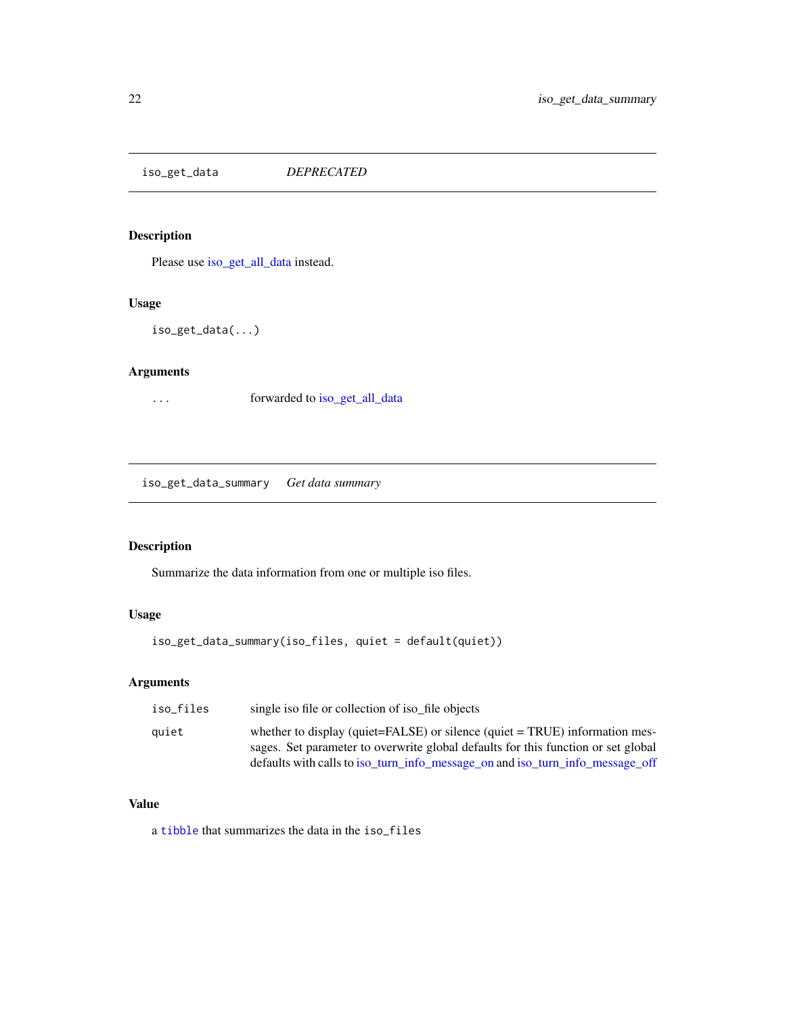<span id="page-21-0"></span>iso\_get\_data *DEPRECATED*

# Description

Please use [iso\\_get\\_all\\_data](#page-18-1) instead.

# Usage

iso\_get\_data(...)

#### Arguments

... forwarded to [iso\\_get\\_all\\_data](#page-18-1)

iso\_get\_data\_summary *Get data summary*

# Description

Summarize the data information from one or multiple iso files.

# Usage

iso\_get\_data\_summary(iso\_files, quiet = default(quiet))

## Arguments

| iso_files | single iso file or collection of iso file objects                                                                                                                                                                                                 |
|-----------|---------------------------------------------------------------------------------------------------------------------------------------------------------------------------------------------------------------------------------------------------|
| auiet     | whether to display (quiet=FALSE) or silence (quiet = TRUE) information mes-<br>sages. Set parameter to overwrite global defaults for this function or set global<br>defaults with calls to iso_turn_info_message_on and iso_turn_info_message_off |
|           |                                                                                                                                                                                                                                                   |

# Value

a [tibble](#page-0-0) that summarizes the data in the iso\_files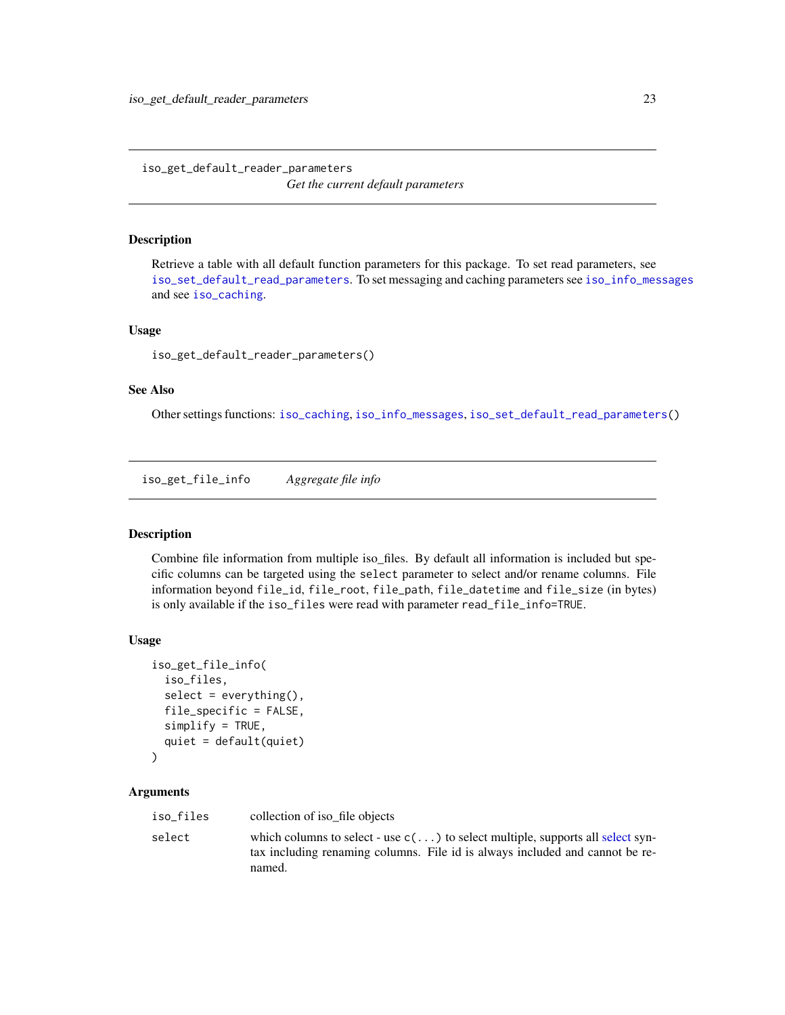<span id="page-22-2"></span><span id="page-22-0"></span>iso\_get\_default\_reader\_parameters *Get the current default parameters*

#### Description

Retrieve a table with all default function parameters for this package. To set read parameters, see [iso\\_set\\_default\\_read\\_parameters](#page-54-1). To set messaging and caching parameters see [iso\\_info\\_messages](#page-31-1) and see [iso\\_caching](#page-7-1).

#### Usage

```
iso_get_default_reader_parameters()
```
#### See Also

Other settings functions: [iso\\_caching](#page-7-1), [iso\\_info\\_messages](#page-31-1), [iso\\_set\\_default\\_read\\_parameters\(](#page-54-1))

<span id="page-22-1"></span>iso\_get\_file\_info *Aggregate file info*

#### Description

Combine file information from multiple iso\_files. By default all information is included but specific columns can be targeted using the select parameter to select and/or rename columns. File information beyond file\_id, file\_root, file\_path, file\_datetime and file\_size (in bytes) is only available if the iso\_files were read with parameter read\_file\_info=TRUE.

#### Usage

```
iso_get_file_info(
  iso_files,
  select = everything(),
  file_specific = FALSE,
  simplify = TRUE,
  quiet = default(quiet)
)
```

| iso_files | collection of iso file objects                                                                                                                                                   |
|-----------|----------------------------------------------------------------------------------------------------------------------------------------------------------------------------------|
| select    | which columns to select - use $c(\ldots)$ to select multiple, supports all select syn-<br>tax including renaming columns. File id is always included and cannot be re-<br>named. |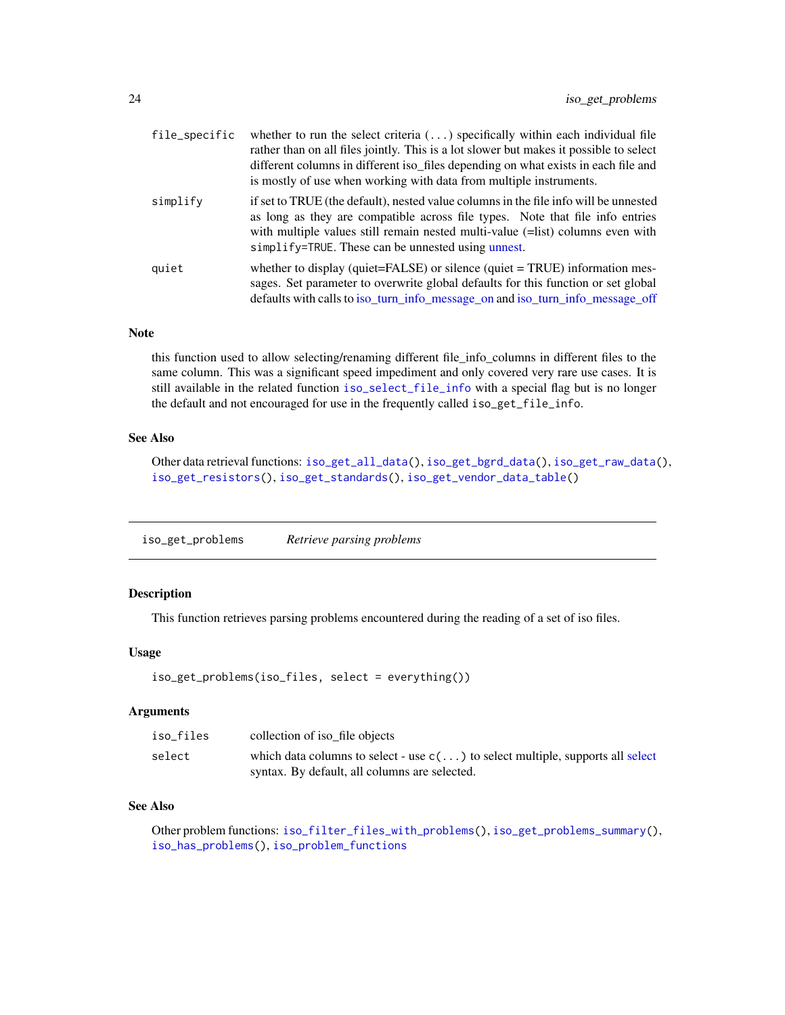<span id="page-23-0"></span>

| file_specific | whether to run the select criteria $(\ldots)$ specifically within each individual file<br>rather than on all files jointly. This is a lot slower but makes it possible to select<br>different columns in different iso_files depending on what exists in each file and<br>is mostly of use when working with data from multiple instruments. |
|---------------|----------------------------------------------------------------------------------------------------------------------------------------------------------------------------------------------------------------------------------------------------------------------------------------------------------------------------------------------|
| simplify      | if set to TRUE (the default), nested value columns in the file info will be unnested<br>as long as they are compatible across file types. Note that file info entries<br>with multiple values still remain nested multi-value (=list) columns even with<br>$simplify = TRUE$ . These can be unnested using unnest.                           |
| quiet         | whether to display (quiet= $FALSE$ ) or silence (quiet = TRUE) information mes-<br>sages. Set parameter to overwrite global defaults for this function or set global<br>defaults with calls to iso_turn_info_message_on and iso_turn_info_message_off                                                                                        |

#### Note

this function used to allow selecting/renaming different file\_info\_columns in different files to the same column. This was a significant speed impediment and only covered very rare use cases. It is still available in the related function [iso\\_select\\_file\\_info](#page-53-1) with a special flag but is no longer the default and not encouraged for use in the frequently called iso\_get\_file\_info.

#### See Also

Other data retrieval functions: [iso\\_get\\_all\\_data\(](#page-18-1)), [iso\\_get\\_bgrd\\_data\(](#page-20-1)), [iso\\_get\\_raw\\_data\(](#page-24-1)), [iso\\_get\\_resistors\(](#page-26-1)), [iso\\_get\\_standards\(](#page-27-1)), [iso\\_get\\_vendor\\_data\\_table\(](#page-30-1))

<span id="page-23-1"></span>iso\_get\_problems *Retrieve parsing problems*

#### Description

This function retrieves parsing problems encountered during the reading of a set of iso files.

#### Usage

```
iso_get_problems(iso_files, select = everything())
```
# Arguments

| iso files | collection of iso file objects                                                         |
|-----------|----------------------------------------------------------------------------------------|
| select    | which data columns to select - use $c(\ldots)$ to select multiple, supports all select |
|           | syntax. By default, all columns are selected.                                          |

#### See Also

Other problem functions: [iso\\_filter\\_files\\_with\\_problems\(](#page-15-2)), [iso\\_get\\_problems\\_summary\(](#page-24-2)), [iso\\_has\\_problems\(](#page-31-2)), [iso\\_problem\\_functions](#page-38-1)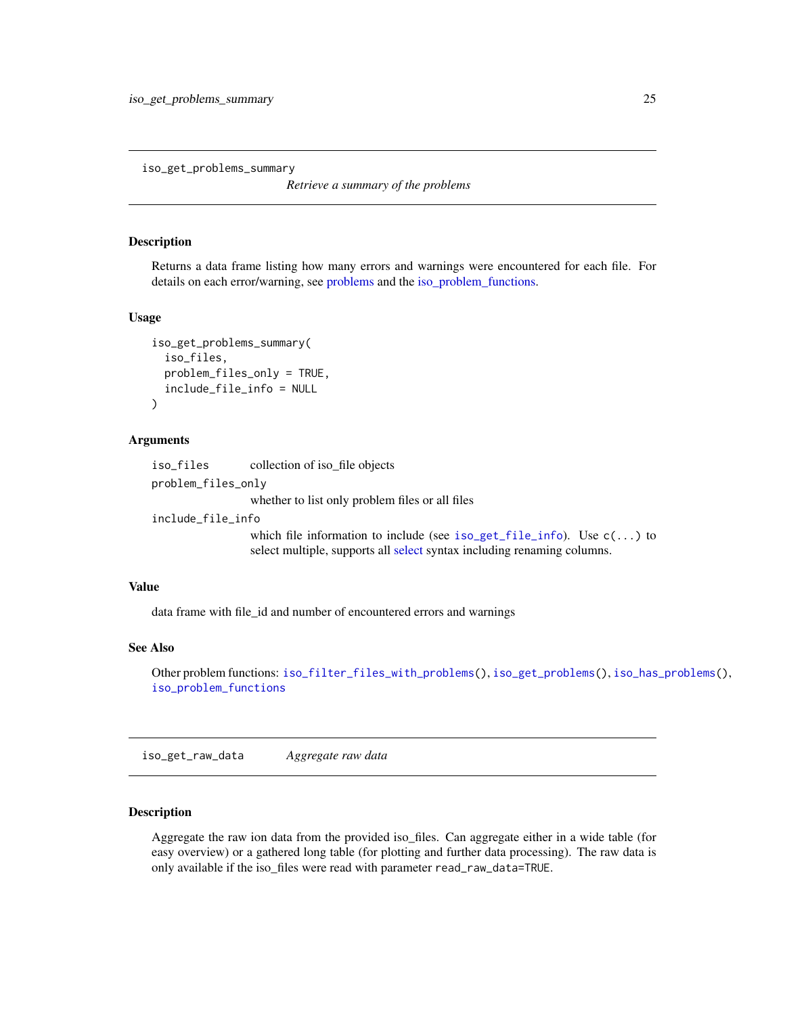<span id="page-24-2"></span><span id="page-24-0"></span>iso\_get\_problems\_summary

*Retrieve a summary of the problems*

#### Description

Returns a data frame listing how many errors and warnings were encountered for each file. For details on each error/warning, see [problems](#page-0-0) and the [iso\\_problem\\_functions.](#page-38-1)

#### Usage

```
iso_get_problems_summary(
  iso_files,
  problem_files_only = TRUE,
  include_file_info = NULL
\lambda
```
#### Arguments

iso\_files collection of iso\_file objects problem\_files\_only whether to list only problem files or all files include\_file\_info which file information to include (see [iso\\_get\\_file\\_info](#page-22-1)). Use c(...) to

select multiple, supports all [select](#page-0-0) syntax including renaming columns.

#### Value

data frame with file\_id and number of encountered errors and warnings

# See Also

Other problem functions: [iso\\_filter\\_files\\_with\\_problems\(](#page-15-2)), [iso\\_get\\_problems\(](#page-23-1)), [iso\\_has\\_problems\(](#page-31-2)), [iso\\_problem\\_functions](#page-38-1)

<span id="page-24-1"></span>iso\_get\_raw\_data *Aggregate raw data*

#### **Description**

Aggregate the raw ion data from the provided iso\_files. Can aggregate either in a wide table (for easy overview) or a gathered long table (for plotting and further data processing). The raw data is only available if the iso\_files were read with parameter read\_raw\_data=TRUE.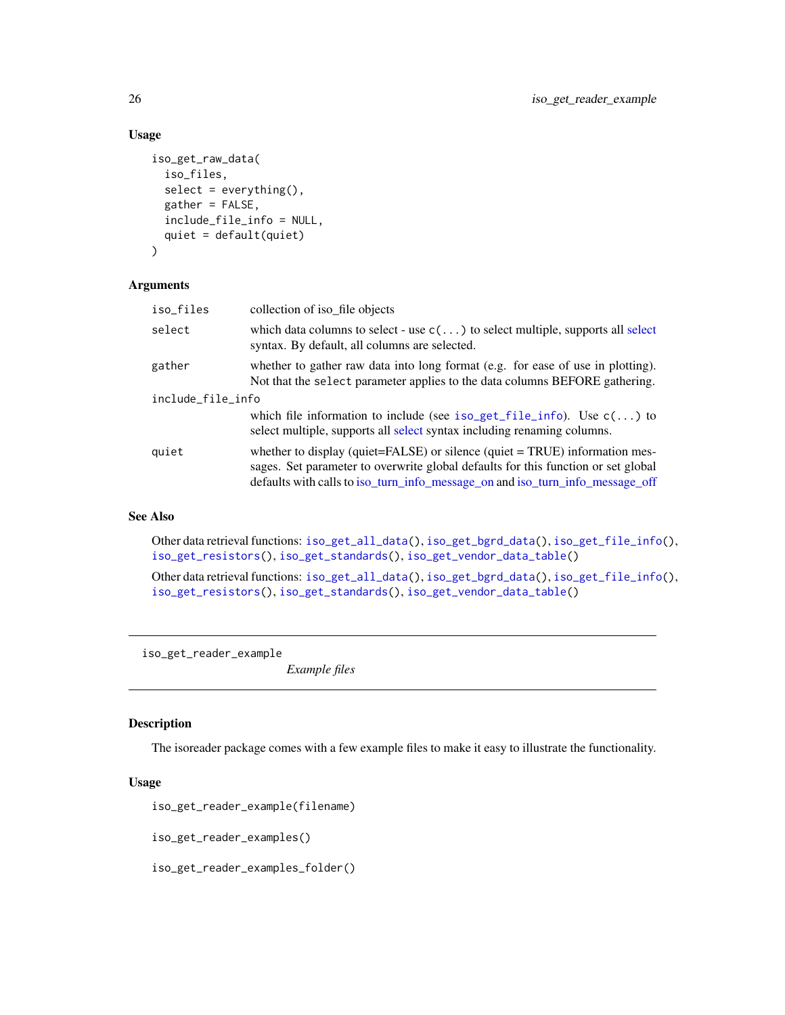### Usage

```
iso_get_raw_data(
  iso_files,
  select = everything(),
 gather = FALSE,
  include_file_info = NULL,
  quiet = default(quiet)
)
```
#### Arguments

| iso_files         | collection of iso file objects                                                                                                                                                                                                                           |  |
|-------------------|----------------------------------------------------------------------------------------------------------------------------------------------------------------------------------------------------------------------------------------------------------|--|
| select            | which data columns to select - use $c(\ldots)$ to select multiple, supports all select<br>syntax. By default, all columns are selected.                                                                                                                  |  |
| gather            | whether to gather raw data into long format (e.g. for ease of use in plotting).<br>Not that the select parameter applies to the data columns BEFORE gathering.                                                                                           |  |
| include_file_info |                                                                                                                                                                                                                                                          |  |
|                   | which file information to include (see iso_get_file_info). Use $c(\ldots)$ to<br>select multiple, supports all select syntax including renaming columns.                                                                                                 |  |
| quiet             | whether to display (quiet= $FALSE$ ) or silence (quiet = $TRUE$ ) information mes-<br>sages. Set parameter to overwrite global defaults for this function or set global<br>defaults with calls to iso_turn_info_message_on and iso_turn_info_message_off |  |

#### See Also

Other data retrieval functions: [iso\\_get\\_all\\_data\(](#page-18-1)), [iso\\_get\\_bgrd\\_data\(](#page-20-1)), [iso\\_get\\_file\\_info\(](#page-22-1)), [iso\\_get\\_resistors\(](#page-26-1)), [iso\\_get\\_standards\(](#page-27-1)), [iso\\_get\\_vendor\\_data\\_table\(](#page-30-1))

Other data retrieval functions: [iso\\_get\\_all\\_data\(](#page-18-1)), [iso\\_get\\_bgrd\\_data\(](#page-20-1)), [iso\\_get\\_file\\_info\(](#page-22-1)), [iso\\_get\\_resistors\(](#page-26-1)), [iso\\_get\\_standards\(](#page-27-1)), [iso\\_get\\_vendor\\_data\\_table\(](#page-30-1))

iso\_get\_reader\_example

*Example files*

#### Description

The isoreader package comes with a few example files to make it easy to illustrate the functionality.

#### Usage

```
iso_get_reader_example(filename)
```

```
iso_get_reader_examples()
```
iso\_get\_reader\_examples\_folder()

<span id="page-25-0"></span>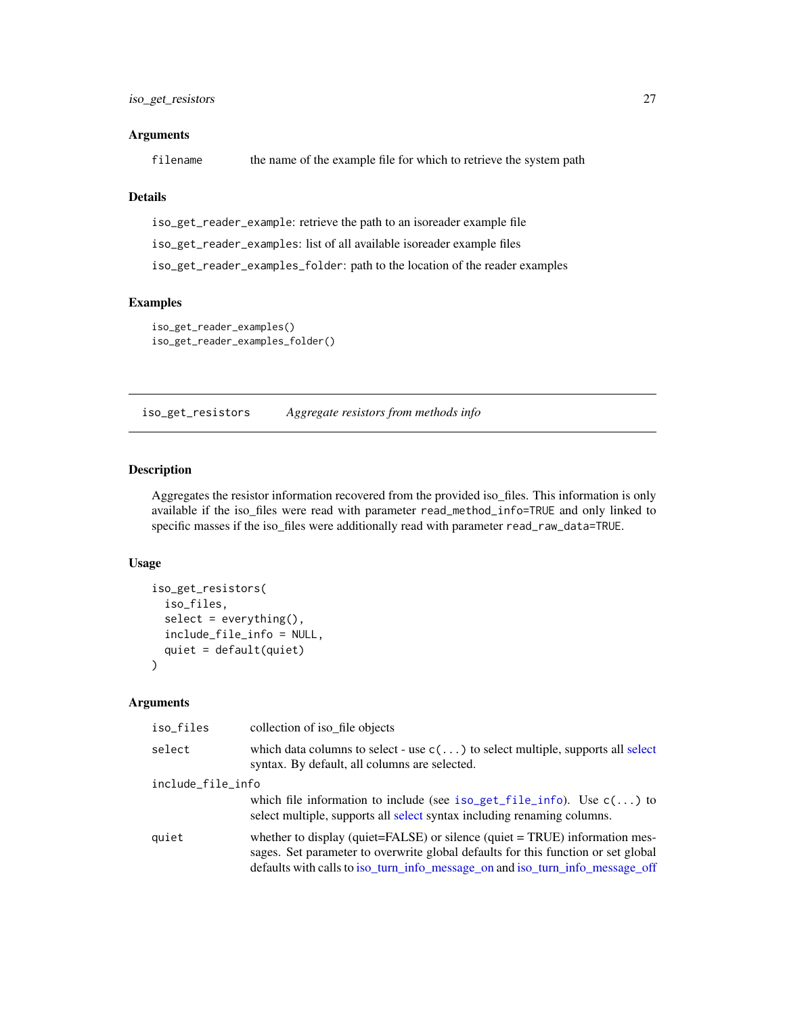#### <span id="page-26-0"></span>**Arguments**

filename the name of the example file for which to retrieve the system path

### Details

iso\_get\_reader\_example: retrieve the path to an isoreader example file iso\_get\_reader\_examples: list of all available isoreader example files iso\_get\_reader\_examples\_folder: path to the location of the reader examples

## Examples

```
iso_get_reader_examples()
iso_get_reader_examples_folder()
```
<span id="page-26-1"></span>iso\_get\_resistors *Aggregate resistors from methods info*

#### Description

Aggregates the resistor information recovered from the provided iso\_files. This information is only available if the iso\_files were read with parameter read\_method\_info=TRUE and only linked to specific masses if the iso\_files were additionally read with parameter read\_raw\_data=TRUE.

#### Usage

```
iso_get_resistors(
  iso_files,
  select = everything(),
  include_file_info = NULL,
  quiet = default(quiet)
\lambda
```

| iso_files         | collection of iso file objects                                                                                                                                                                                                                    |  |
|-------------------|---------------------------------------------------------------------------------------------------------------------------------------------------------------------------------------------------------------------------------------------------|--|
| select            | which data columns to select - use $c(\ldots)$ to select multiple, supports all select<br>syntax. By default, all columns are selected.                                                                                                           |  |
| include_file_info |                                                                                                                                                                                                                                                   |  |
|                   | which file information to include (see iso_get_file_info). Use $c(\ldots)$ to<br>select multiple, supports all select syntax including renaming columns.                                                                                          |  |
| quiet             | whether to display (quiet=FALSE) or silence (quiet = TRUE) information mes-<br>sages. Set parameter to overwrite global defaults for this function or set global<br>defaults with calls to iso_turn_info_message_on and iso_turn_info_message_off |  |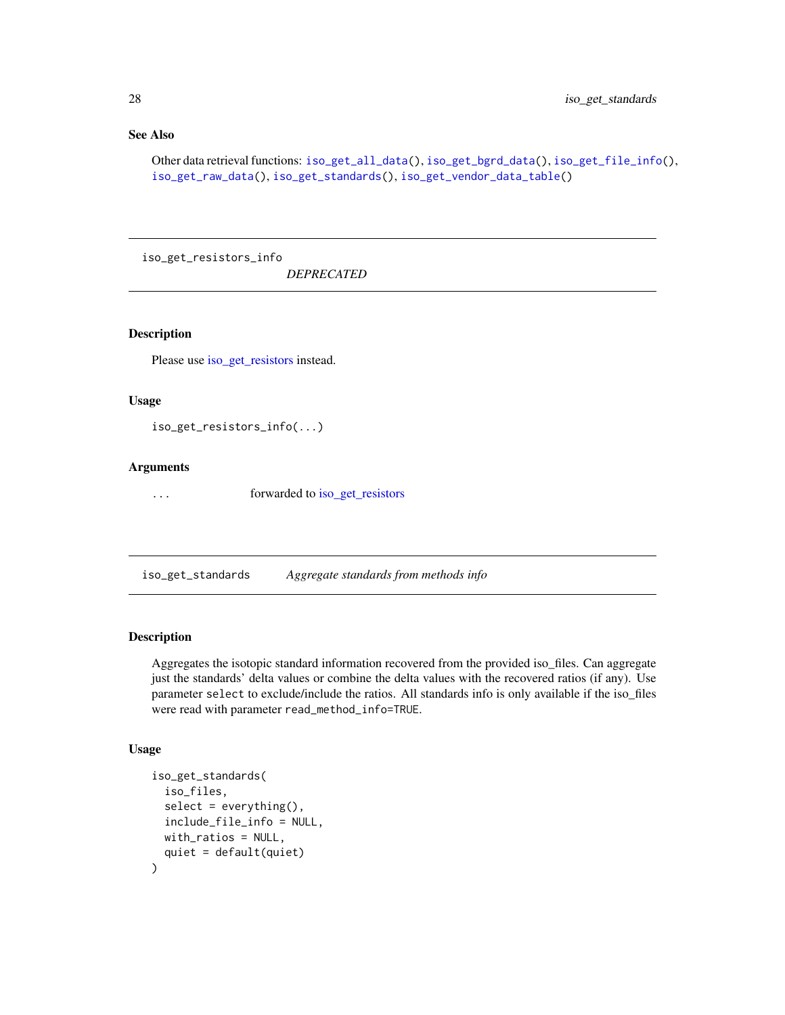### See Also

Other data retrieval functions: [iso\\_get\\_all\\_data\(](#page-18-1)), [iso\\_get\\_bgrd\\_data\(](#page-20-1)), [iso\\_get\\_file\\_info\(](#page-22-1)), [iso\\_get\\_raw\\_data\(](#page-24-1)), [iso\\_get\\_standards\(](#page-27-1)), [iso\\_get\\_vendor\\_data\\_table\(](#page-30-1))

iso\_get\_resistors\_info

*DEPRECATED*

# Description

Please use [iso\\_get\\_resistors](#page-26-1) instead.

#### Usage

iso\_get\_resistors\_info(...)

#### Arguments

... forwarded to [iso\\_get\\_resistors](#page-26-1)

<span id="page-27-1"></span>iso\_get\_standards *Aggregate standards from methods info*

#### Description

Aggregates the isotopic standard information recovered from the provided iso\_files. Can aggregate just the standards' delta values or combine the delta values with the recovered ratios (if any). Use parameter select to exclude/include the ratios. All standards info is only available if the iso\_files were read with parameter read\_method\_info=TRUE.

```
iso_get_standards(
  iso_files,
  select = everything(),include_file_info = NULL,
 with_ratios = NULL,
  quiet = default(quiet)
)
```
<span id="page-27-0"></span>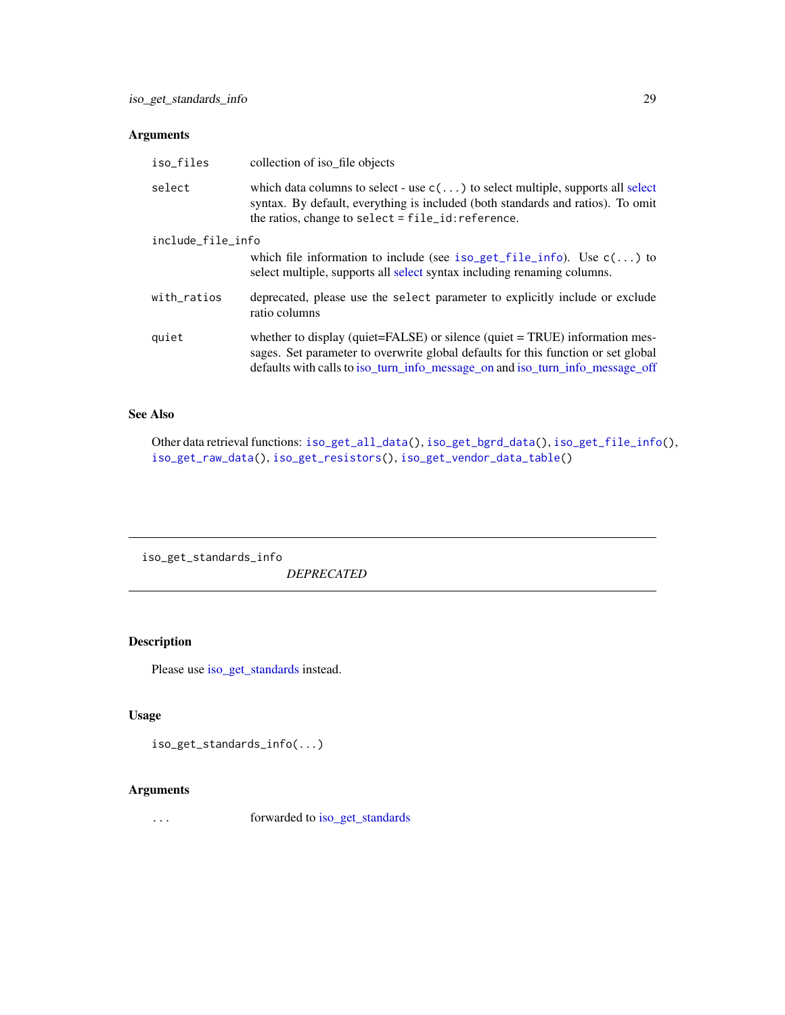# <span id="page-28-0"></span>Arguments

| iso_files         | collection of iso file objects                                                                                                                                                                                                                           |  |
|-------------------|----------------------------------------------------------------------------------------------------------------------------------------------------------------------------------------------------------------------------------------------------------|--|
| select            | which data columns to select - use $c(\ldots)$ to select multiple, supports all select<br>syntax. By default, everything is included (both standards and ratios). To omit<br>the ratios, change to select = file_id: reference.                          |  |
| include_file_info |                                                                                                                                                                                                                                                          |  |
|                   | which file information to include (see iso_get_file_info). Use $c(\ldots)$ to<br>select multiple, supports all select syntax including renaming columns.                                                                                                 |  |
| with_ratios       | deprecated, please use the select parameter to explicitly include or exclude<br>ratio columns                                                                                                                                                            |  |
| quiet             | whether to display (quiet= $FALSE$ ) or silence (quiet = $TRUE$ ) information mes-<br>sages. Set parameter to overwrite global defaults for this function or set global<br>defaults with calls to iso_turn_info_message_on and iso_turn_info_message_off |  |

## See Also

Other data retrieval functions: [iso\\_get\\_all\\_data\(](#page-18-1)), [iso\\_get\\_bgrd\\_data\(](#page-20-1)), [iso\\_get\\_file\\_info\(](#page-22-1)), [iso\\_get\\_raw\\_data\(](#page-24-1)), [iso\\_get\\_resistors\(](#page-26-1)), [iso\\_get\\_vendor\\_data\\_table\(](#page-30-1))

iso\_get\_standards\_info *DEPRECATED*

# Description

Please use [iso\\_get\\_standards](#page-27-1) instead.

# Usage

```
iso_get_standards_info(...)
```
# Arguments

... forwarded to [iso\\_get\\_standards](#page-27-1)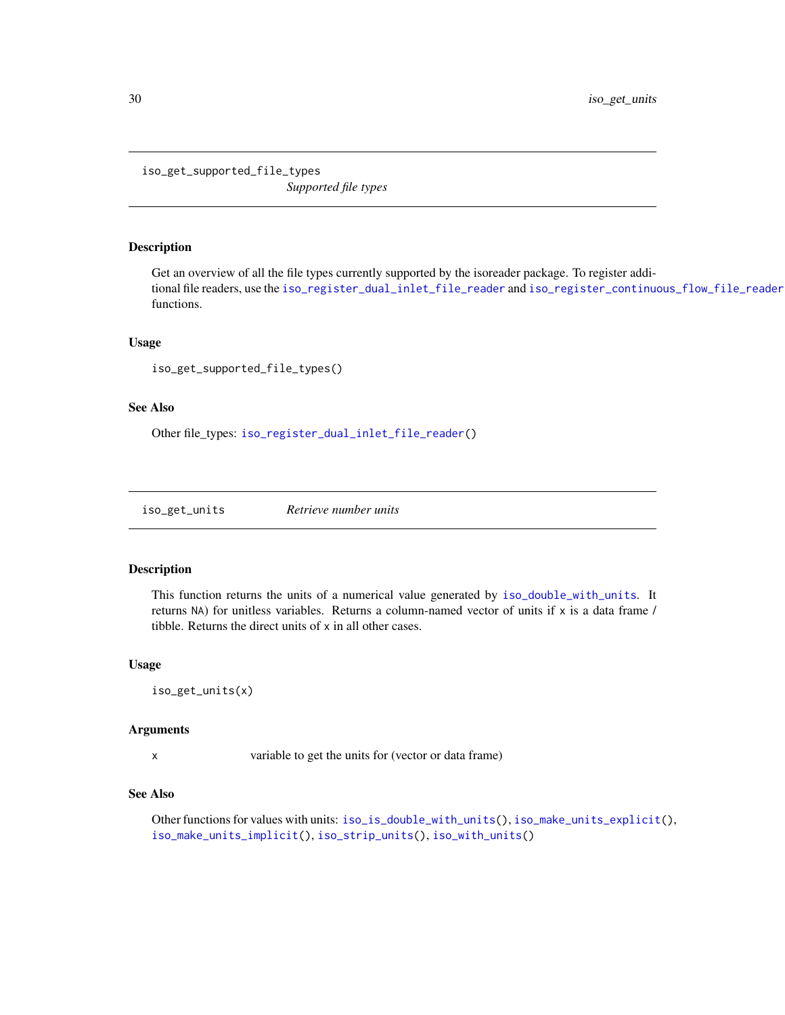<span id="page-29-1"></span><span id="page-29-0"></span>iso\_get\_supported\_file\_types *Supported file types*

## Description

Get an overview of all the file types currently supported by the isoreader package. To register additional file readers, use the [iso\\_register\\_dual\\_inlet\\_file\\_reader](#page-46-1) and [iso\\_register\\_continuous\\_flow\\_file\\_reader](#page-46-2) functions.

#### Usage

```
iso_get_supported_file_types()
```
#### See Also

Other file\_types: [iso\\_register\\_dual\\_inlet\\_file\\_reader\(](#page-46-1))

<span id="page-29-2"></span>iso\_get\_units *Retrieve number units*

## Description

This function returns the units of a numerical value generated by [iso\\_double\\_with\\_units](#page-57-1). It returns NA) for unitless variables. Returns a column-named vector of units if x is a data frame / tibble. Returns the direct units of x in all other cases.

#### Usage

```
iso_get_units(x)
```
#### **Arguments**

x variable to get the units for (vector or data frame)

#### See Also

Other functions for values with units: [iso\\_is\\_double\\_with\\_units\(](#page-32-1)), [iso\\_make\\_units\\_explicit\(](#page-34-1)), [iso\\_make\\_units\\_implicit\(](#page-34-2)), [iso\\_strip\\_units\(](#page-57-3)), [iso\\_with\\_units\(](#page-57-2))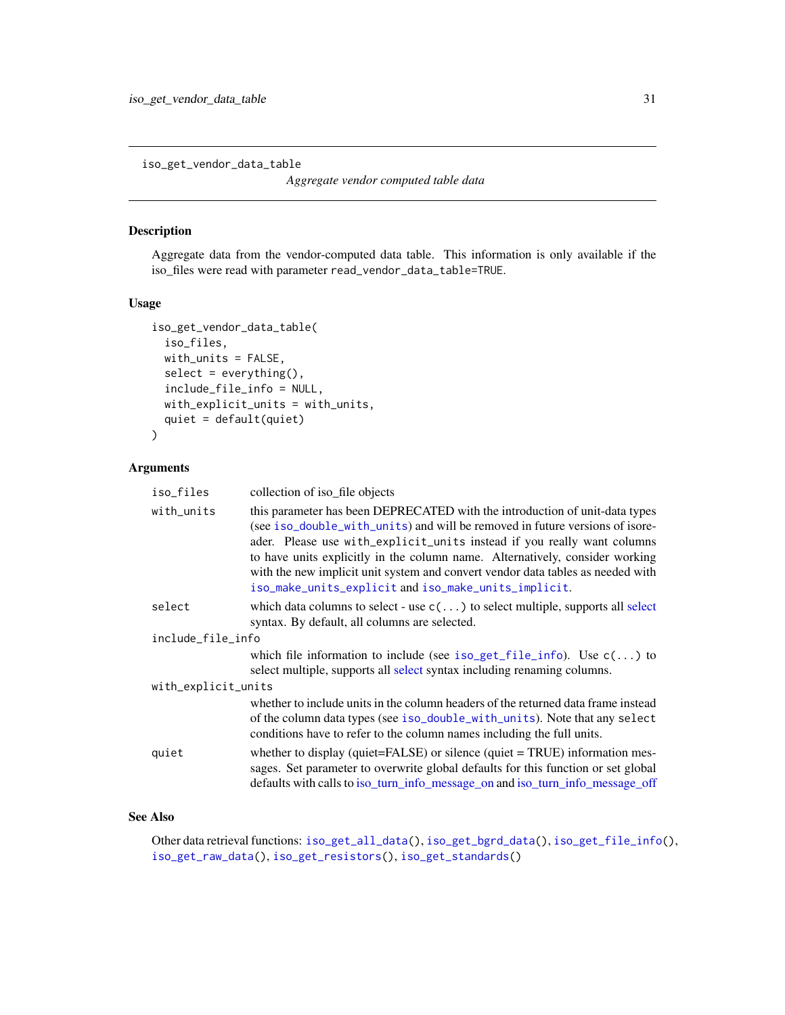<span id="page-30-1"></span><span id="page-30-0"></span>iso\_get\_vendor\_data\_table

*Aggregate vendor computed table data*

## Description

Aggregate data from the vendor-computed data table. This information is only available if the iso\_files were read with parameter read\_vendor\_data\_table=TRUE.

#### Usage

```
iso_get_vendor_data_table(
  iso_files,
 with_units = FALSE,
  select = everything(),
  include_file_info = NULL,
 with_explicit_units = with_units,
 quiet = default(quiet)
)
```
#### Arguments

| iso_files           | collection of iso_file objects                                                                                                                                                                                                                                                                                                                                                                                                                                    |  |
|---------------------|-------------------------------------------------------------------------------------------------------------------------------------------------------------------------------------------------------------------------------------------------------------------------------------------------------------------------------------------------------------------------------------------------------------------------------------------------------------------|--|
| with_units          | this parameter has been DEPRECATED with the introduction of unit-data types<br>(see iso_double_with_units) and will be removed in future versions of isore-<br>ader. Please use with_explicit_units instead if you really want columns<br>to have units explicitly in the column name. Alternatively, consider working<br>with the new implicit unit system and convert vendor data tables as needed with<br>iso_make_units_explicit and iso_make_units_implicit. |  |
| select              | which data columns to select - use $c(\ldots)$ to select multiple, supports all select<br>syntax. By default, all columns are selected.                                                                                                                                                                                                                                                                                                                           |  |
| include_file_info   |                                                                                                                                                                                                                                                                                                                                                                                                                                                                   |  |
|                     | which file information to include (see iso_get_file_info). Use $c(\ldots)$ to<br>select multiple, supports all select syntax including renaming columns.                                                                                                                                                                                                                                                                                                          |  |
| with_explicit_units |                                                                                                                                                                                                                                                                                                                                                                                                                                                                   |  |
|                     | whether to include units in the column headers of the returned data frame instead<br>of the column data types (see iso_double_with_units). Note that any select<br>conditions have to refer to the column names including the full units.                                                                                                                                                                                                                         |  |
| quiet               | whether to display (quiet= $FALSE$ ) or silence (quiet = $TRUE$ ) information mes-<br>sages. Set parameter to overwrite global defaults for this function or set global<br>defaults with calls to iso_turn_info_message_on and iso_turn_info_message_off                                                                                                                                                                                                          |  |

# See Also

Other data retrieval functions: [iso\\_get\\_all\\_data\(](#page-18-1)), [iso\\_get\\_bgrd\\_data\(](#page-20-1)), [iso\\_get\\_file\\_info\(](#page-22-1)), [iso\\_get\\_raw\\_data\(](#page-24-1)), [iso\\_get\\_resistors\(](#page-26-1)), [iso\\_get\\_standards\(](#page-27-1))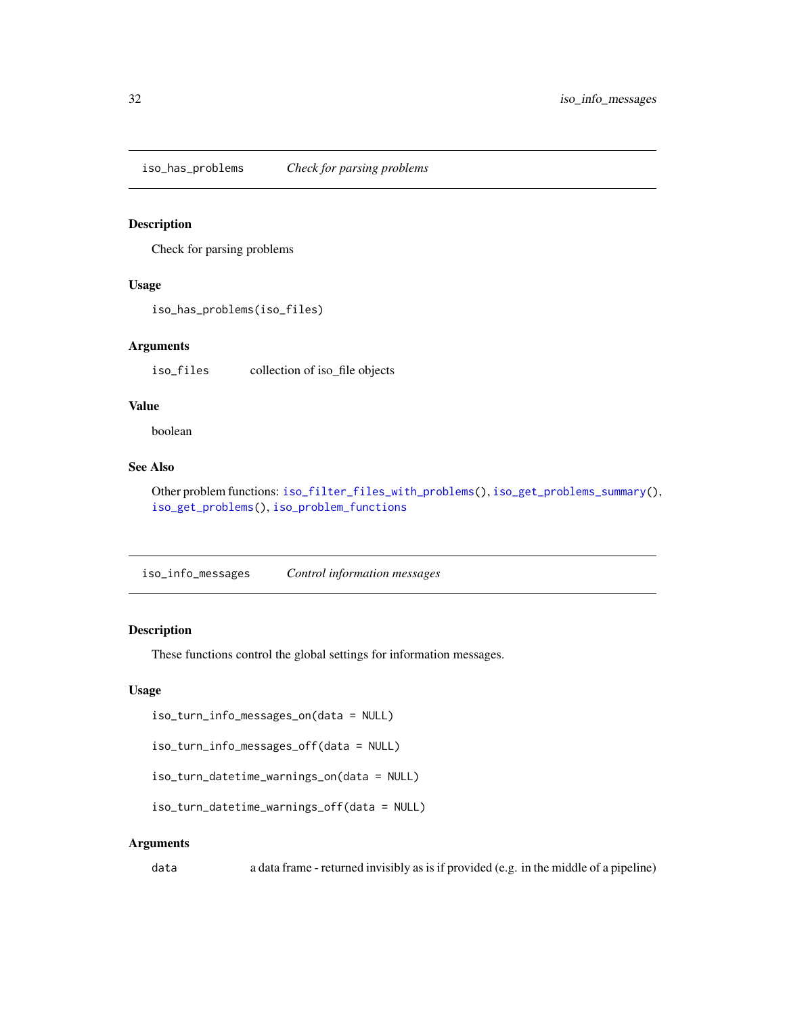<span id="page-31-2"></span><span id="page-31-0"></span>iso\_has\_problems *Check for parsing problems*

## Description

Check for parsing problems

#### Usage

```
iso_has_problems(iso_files)
```
#### Arguments

iso\_files collection of iso\_file objects

#### Value

boolean

#### See Also

Other problem functions: [iso\\_filter\\_files\\_with\\_problems\(](#page-15-2)), [iso\\_get\\_problems\\_summary\(](#page-24-2)), [iso\\_get\\_problems\(](#page-23-1)), [iso\\_problem\\_functions](#page-38-1)

<span id="page-31-1"></span>iso\_info\_messages *Control information messages*

#### Description

These functions control the global settings for information messages.

#### Usage

```
iso_turn_info_messages_on(data = NULL)
```

```
iso_turn_info_messages_off(data = NULL)
```

```
iso_turn_datetime_warnings_on(data = NULL)
```

```
iso_turn_datetime_warnings_off(data = NULL)
```
#### Arguments

data a data frame - returned invisibly as is if provided (e.g. in the middle of a pipeline)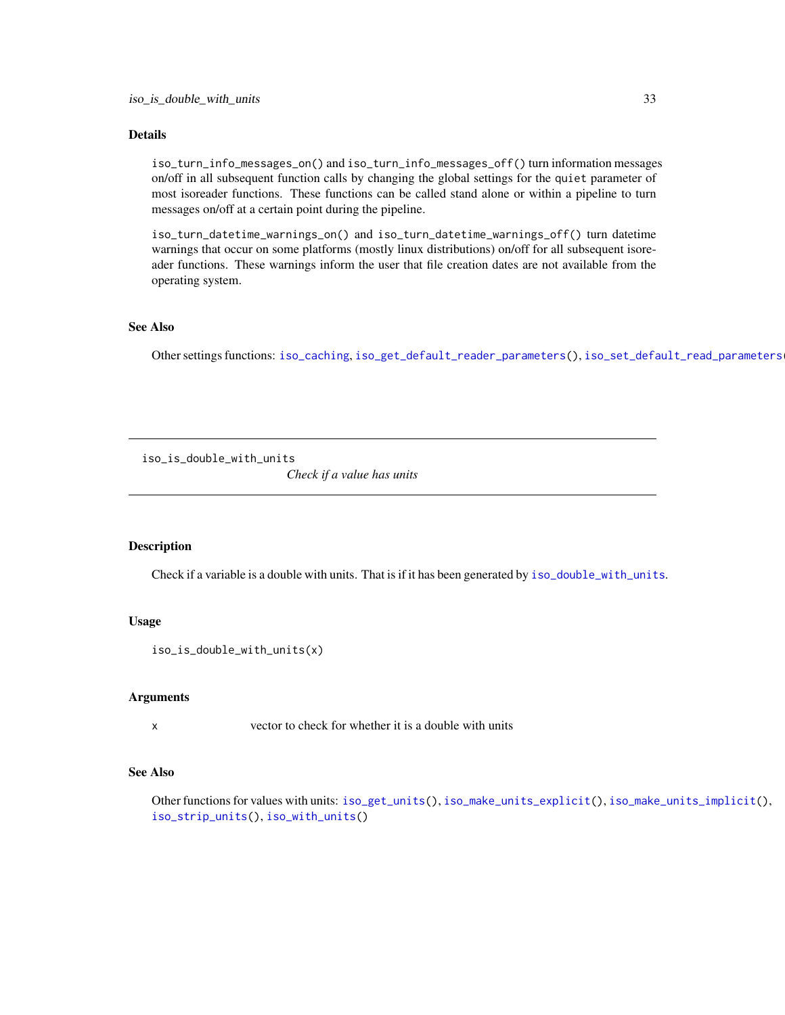#### <span id="page-32-0"></span>Details

iso\_turn\_info\_messages\_on() and iso\_turn\_info\_messages\_off() turn information messages on/off in all subsequent function calls by changing the global settings for the quiet parameter of most isoreader functions. These functions can be called stand alone or within a pipeline to turn messages on/off at a certain point during the pipeline.

iso\_turn\_datetime\_warnings\_on() and iso\_turn\_datetime\_warnings\_off() turn datetime warnings that occur on some platforms (mostly linux distributions) on/off for all subsequent isoreader functions. These warnings inform the user that file creation dates are not available from the operating system.

#### See Also

Other settings functions: [iso\\_caching](#page-7-1), [iso\\_get\\_default\\_reader\\_parameters\(](#page-22-2)), [iso\\_set\\_default\\_read\\_parameters\(](#page-54-1))

<span id="page-32-1"></span>iso\_is\_double\_with\_units

*Check if a value has units*

#### Description

Check if a variable is a double with units. That is if it has been generated by [iso\\_double\\_with\\_units](#page-57-1).

#### Usage

```
iso_is_double_with_units(x)
```
#### Arguments

x vector to check for whether it is a double with units

#### See Also

Other functions for values with units: [iso\\_get\\_units\(](#page-29-2)), [iso\\_make\\_units\\_explicit\(](#page-34-1)), [iso\\_make\\_units\\_implicit\(](#page-34-2)), [iso\\_strip\\_units\(](#page-57-3)), [iso\\_with\\_units\(](#page-57-2))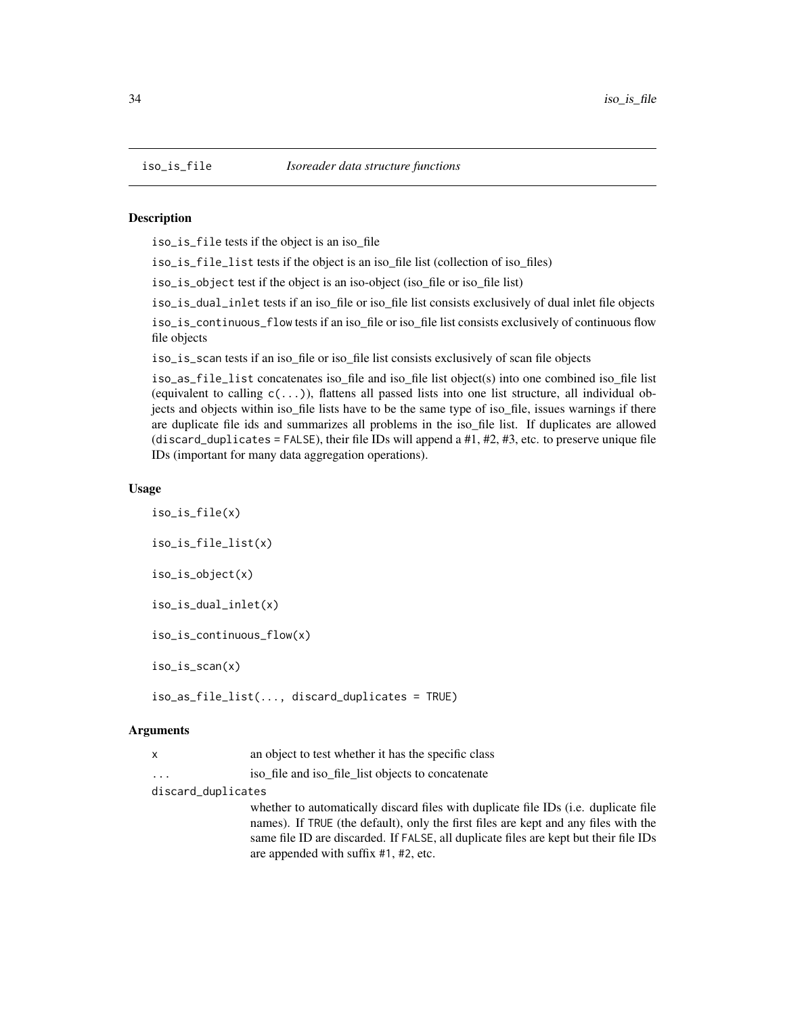<span id="page-33-0"></span>

#### **Description**

iso\_is\_file tests if the object is an iso\_file

iso\_is\_file\_list tests if the object is an iso\_file list (collection of iso\_files)

iso\_is\_object test if the object is an iso-object (iso\_file or iso\_file list)

iso\_is\_dual\_inlet tests if an iso\_file or iso\_file list consists exclusively of dual inlet file objects

iso\_is\_continuous\_flow tests if an iso\_file or iso\_file list consists exclusively of continuous flow file objects

iso\_is\_scan tests if an iso\_file or iso\_file list consists exclusively of scan file objects

iso\_as\_file\_list concatenates iso\_file and iso\_file list object(s) into one combined iso\_file list (equivalent to calling  $c(\ldots)$ ), flattens all passed lists into one list structure, all individual objects and objects within iso\_file lists have to be the same type of iso\_file, issues warnings if there are duplicate file ids and summarizes all problems in the iso\_file list. If duplicates are allowed (discard\_duplicates = FALSE), their file IDs will append a  $#1, #2, #3$ , etc. to preserve unique file IDs (important for many data aggregation operations).

#### Usage

iso\_is\_file(x) iso\_is\_file\_list(x) iso\_is\_object(x) iso\_is\_dual\_inlet(x) iso\_is\_continuous\_flow(x) iso\_is\_scan(x) iso\_as\_file\_list(..., discard\_duplicates = TRUE)

#### Arguments

| an object to test whether it has the specific class |  |
|-----------------------------------------------------|--|
|-----------------------------------------------------|--|

... iso\_file and iso\_file\_list objects to concatenate

discard\_duplicates

whether to automatically discard files with duplicate file IDs (*i.e.* duplicate file names). If TRUE (the default), only the first files are kept and any files with the same file ID are discarded. If FALSE, all duplicate files are kept but their file IDs are appended with suffix #1, #2, etc.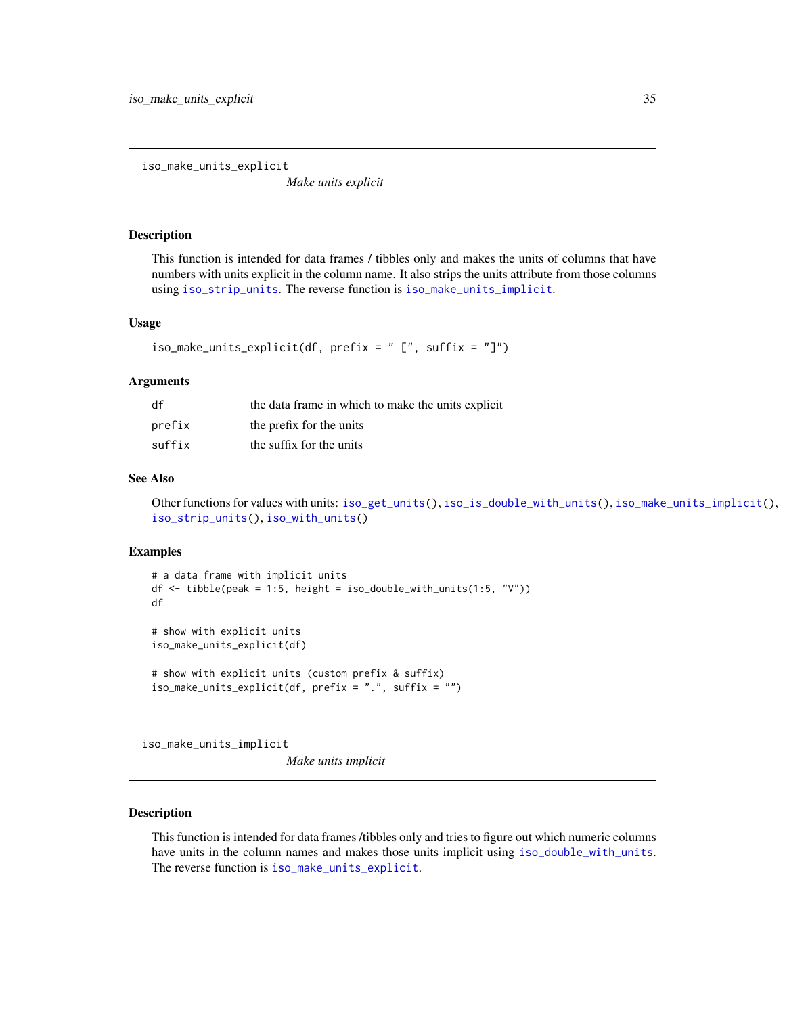<span id="page-34-1"></span><span id="page-34-0"></span>iso\_make\_units\_explicit

*Make units explicit*

#### Description

This function is intended for data frames / tibbles only and makes the units of columns that have numbers with units explicit in the column name. It also strips the units attribute from those columns using [iso\\_strip\\_units](#page-57-3). The reverse function is [iso\\_make\\_units\\_implicit](#page-34-2).

#### Usage

```
iso_make_units_explicit(df, prefix = " [", suffix = "]")
```
#### Arguments

| df     | the data frame in which to make the units explicit |
|--------|----------------------------------------------------|
| prefix | the prefix for the units                           |
| suffix | the suffix for the units                           |

#### See Also

Other functions for values with units: [iso\\_get\\_units\(](#page-29-2)), [iso\\_is\\_double\\_with\\_units\(](#page-32-1)), [iso\\_make\\_units\\_implicit\(](#page-34-2)), [iso\\_strip\\_units\(](#page-57-3)), [iso\\_with\\_units\(](#page-57-2))

#### Examples

```
# a data frame with implicit units
df \le tibble(peak = 1:5, height = iso_double_with_units(1:5, "V"))
df
# show with explicit units
iso_make_units_explicit(df)
# show with explicit units (custom prefix & suffix)
iso_make_units_explicit(df, prefix = ".", suffix = "")
```
<span id="page-34-2"></span>iso\_make\_units\_implicit

*Make units implicit*

#### Description

This function is intended for data frames /tibbles only and tries to figure out which numeric columns have units in the column names and makes those units implicit using [iso\\_double\\_with\\_units](#page-57-1). The reverse function is [iso\\_make\\_units\\_explicit](#page-34-1).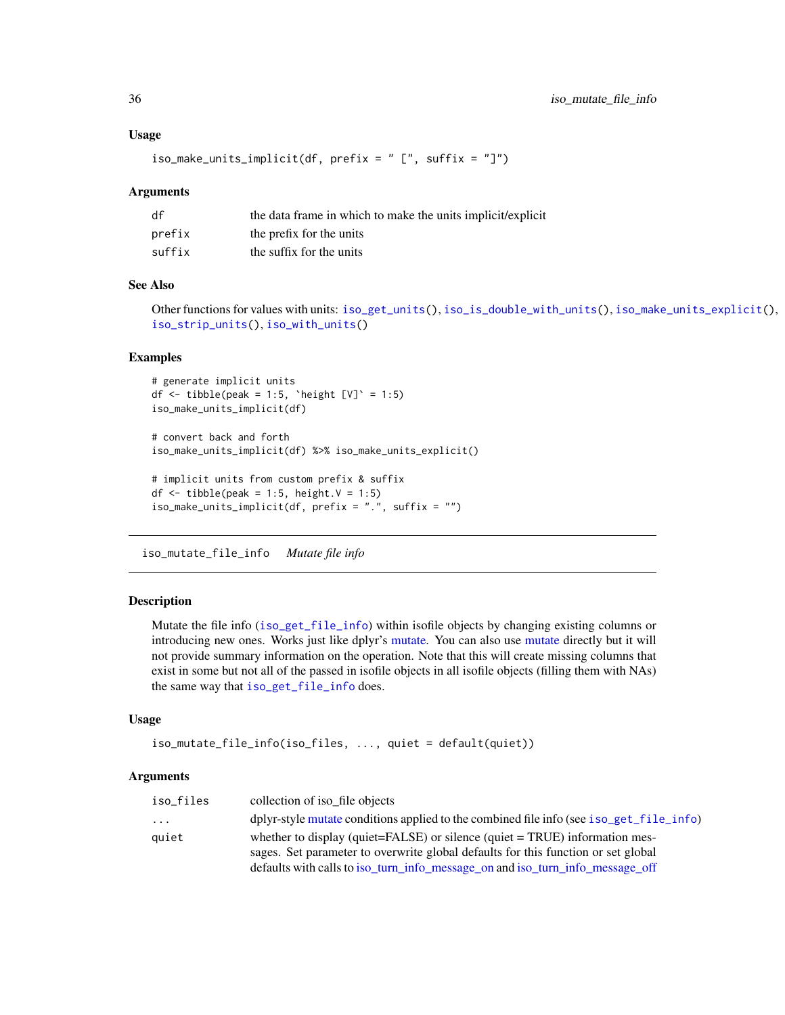#### Usage

```
iso_make_units_implicit(df, prefix = " [", suffix = "]")
```
#### Arguments

| df     | the data frame in which to make the units implicit/explicit |
|--------|-------------------------------------------------------------|
| prefix | the prefix for the units                                    |
| suffix | the suffix for the units                                    |

# See Also

Other functions for values with units: [iso\\_get\\_units\(](#page-29-2)), [iso\\_is\\_double\\_with\\_units\(](#page-32-1)), [iso\\_make\\_units\\_explicit\(](#page-34-1)), [iso\\_strip\\_units\(](#page-57-3)), [iso\\_with\\_units\(](#page-57-2))

#### Examples

```
# generate implicit units
df \le tibble(peak = 1:5, `height [V]` = 1:5)
iso_make_units_implicit(df)
# convert back and forth
iso_make_units_implicit(df) %>% iso_make_units_explicit()
# implicit units from custom prefix & suffix
df \le tibble(peak = 1:5, height.V = 1:5)
iso_make_units_implicit(df, prefix = ".", suffix = "")
```
<span id="page-35-1"></span>iso\_mutate\_file\_info *Mutate file info*

#### Description

Mutate the file info ([iso\\_get\\_file\\_info](#page-22-1)) within isofile objects by changing existing columns or introducing new ones. Works just like dplyr's [mutate.](#page-0-0) You can also use [mutate](#page-0-0) directly but it will not provide summary information on the operation. Note that this will create missing columns that exist in some but not all of the passed in isofile objects in all isofile objects (filling them with NAs) the same way that [iso\\_get\\_file\\_info](#page-22-1) does.

#### Usage

```
iso_mutate_file_info(iso_files, ..., quiet = default(quiet))
```

| iso_files               | collection of iso file objects                                                          |
|-------------------------|-----------------------------------------------------------------------------------------|
| $\cdot$ $\cdot$ $\cdot$ | dplyr-style mutate conditions applied to the combined file info (see iso_get_file_info) |
| auiet                   | whether to display (quiet= $FALSE$ ) or silence (quiet = $TRUE$ ) information mes-      |
|                         | sages. Set parameter to overwrite global defaults for this function or set global       |
|                         | defaults with calls to iso_turn_info_message_on and iso_turn_info_message_off           |

<span id="page-35-0"></span>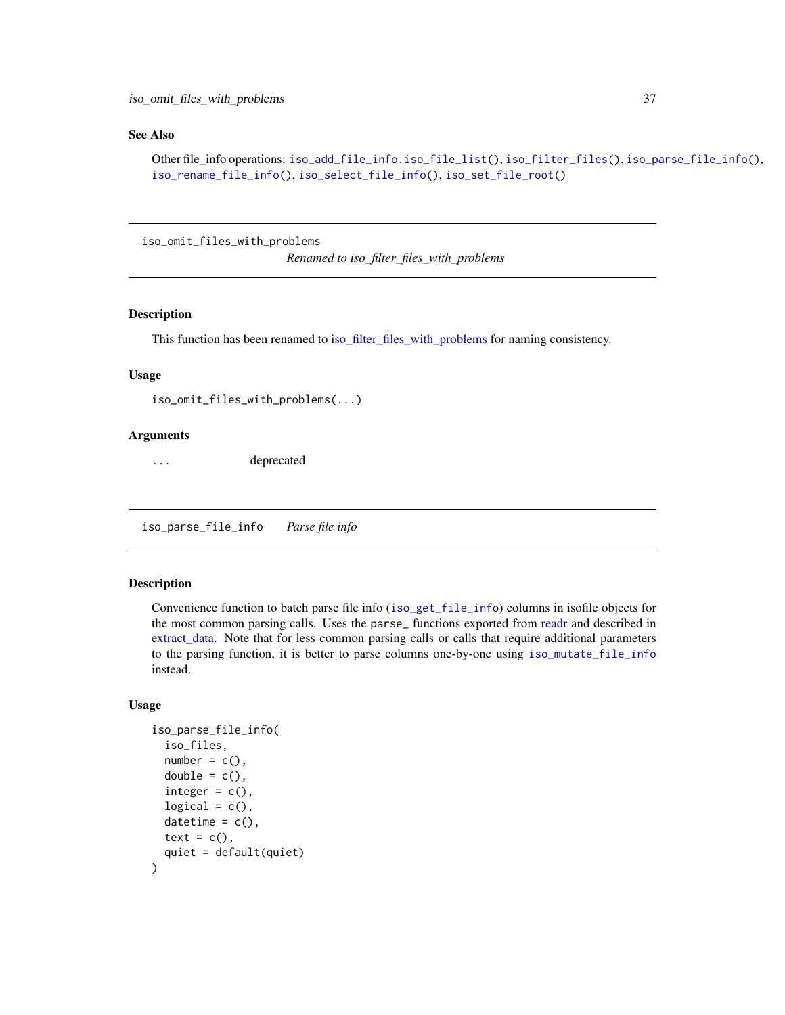#### <span id="page-36-0"></span>See Also

```
Other file_info operations: iso_add_file_info.iso_file_list(), iso_filter_files(), iso_parse_file_info(),
iso_rename_file_info(), iso_select_file_info(), iso_set_file_root()
```
iso\_omit\_files\_with\_problems

*Renamed to iso\_filter\_files\_with\_problems*

#### Description

This function has been renamed to [iso\\_filter\\_files\\_with\\_problems](#page-15-2) for naming consistency.

#### Usage

iso\_omit\_files\_with\_problems(...)

#### Arguments

... deprecated

<span id="page-36-1"></span>iso\_parse\_file\_info *Parse file info*

#### Description

Convenience function to batch parse file info ([iso\\_get\\_file\\_info](#page-22-1)) columns in isofile objects for the most common parsing calls. Uses the parse\_ functions exported from [readr](#page-0-0) and described in [extract\\_data.](#page-2-1) Note that for less common parsing calls or calls that require additional parameters to the parsing function, it is better to parse columns one-by-one using [iso\\_mutate\\_file\\_info](#page-35-1) instead.

```
iso_parse_file_info(
  iso_files,
  number = c(),
  double = c(),
  integer = c(),
  logical = c(),
  datetime = c(),
  text = c(),
  quiet = default(quiet)
)
```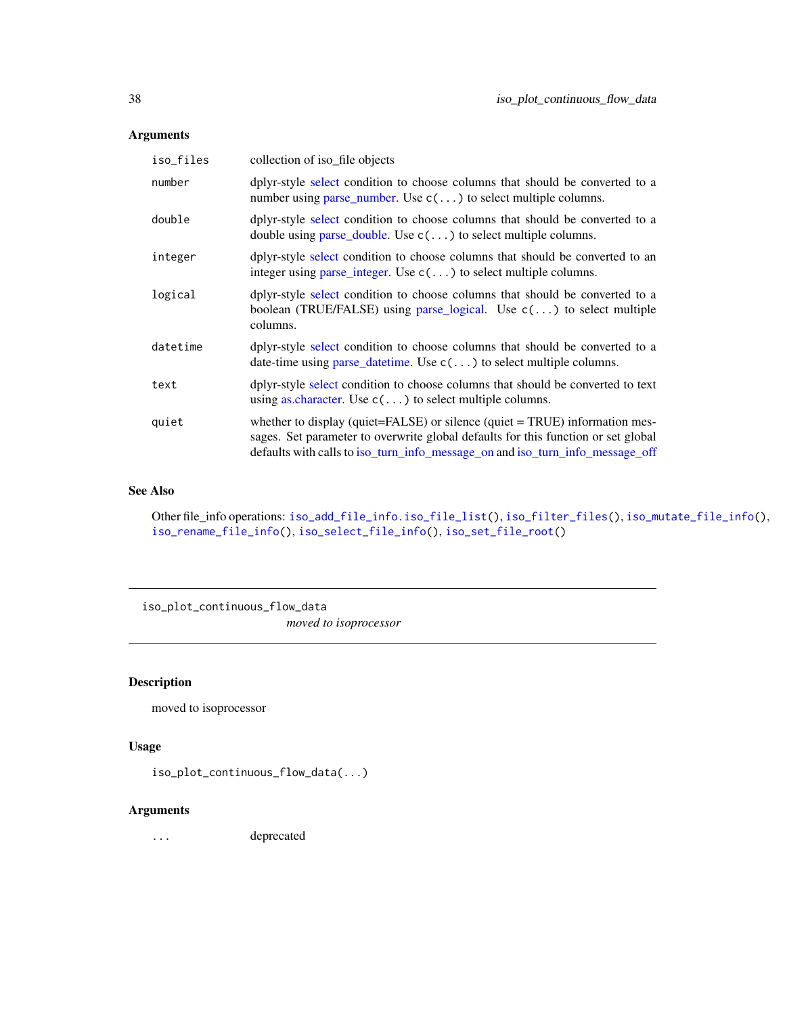#### <span id="page-37-0"></span>Arguments

| iso_files | collection of iso file objects                                                                                                                                                                                                                    |
|-----------|---------------------------------------------------------------------------------------------------------------------------------------------------------------------------------------------------------------------------------------------------|
| number    | dplyr-style select condition to choose columns that should be converted to a<br>number using parse_number. Use $c(\ldots)$ to select multiple columns.                                                                                            |
| double    | dplyr-style select condition to choose columns that should be converted to a<br>double using parse_double. Use $c(\ldots)$ to select multiple columns.                                                                                            |
| integer   | dplyr-style select condition to choose columns that should be converted to an<br>integer using parse_integer. Use $c(\ldots)$ to select multiple columns.                                                                                         |
| logical   | dplyr-style select condition to choose columns that should be converted to a<br>boolean (TRUE/FALSE) using parse_logical. Use $c(\ldots)$ to select multiple<br>columns.                                                                          |
| datetime  | dplyr-style select condition to choose columns that should be converted to a<br>date-time using parse_date time. Use $c(\ldots)$ to select multiple columns.                                                                                      |
| text      | dplyr-style select condition to choose columns that should be converted to text<br>using as character. Use $c(\ldots)$ to select multiple columns.                                                                                                |
| quiet     | whether to display (quiet=FALSE) or silence (quiet = TRUE) information mes-<br>sages. Set parameter to overwrite global defaults for this function or set global<br>defaults with calls to iso_turn_info_message_on and iso_turn_info_message_off |

#### See Also

Other file\_info operations: [iso\\_add\\_file\\_info.iso\\_file\\_list\(](#page-6-1)), [iso\\_filter\\_files\(](#page-15-1)), [iso\\_mutate\\_file\\_info\(](#page-35-1)), [iso\\_rename\\_file\\_info\(](#page-48-1)), [iso\\_select\\_file\\_info\(](#page-53-1)), [iso\\_set\\_file\\_root\(](#page-55-1))

iso\_plot\_continuous\_flow\_data

*moved to isoprocessor*

## Description

moved to isoprocessor

#### Usage

```
iso_plot_continuous_flow_data(...)
```
#### Arguments

... deprecated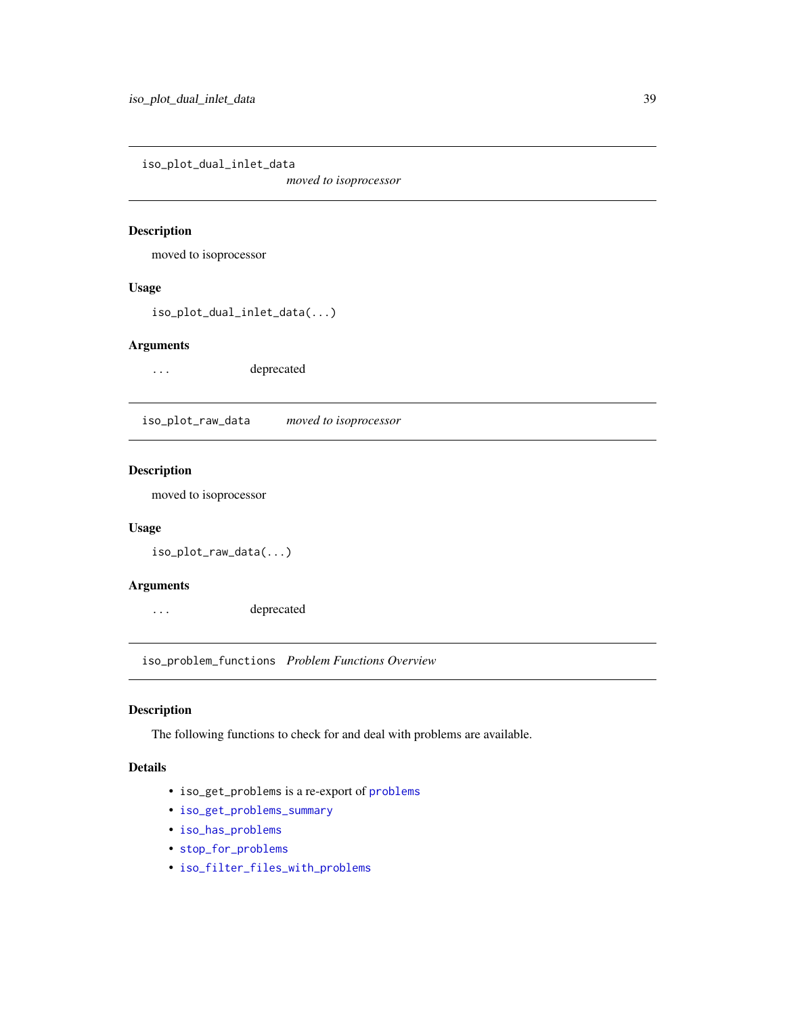<span id="page-38-0"></span>iso\_plot\_dual\_inlet\_data

*moved to isoprocessor*

## Description

moved to isoprocessor

#### Usage

iso\_plot\_dual\_inlet\_data(...)

#### Arguments

... deprecated

iso\_plot\_raw\_data *moved to isoprocessor*

## Description

moved to isoprocessor

#### Usage

iso\_plot\_raw\_data(...)

#### Arguments

... deprecated

<span id="page-38-1"></span>iso\_problem\_functions *Problem Functions Overview*

#### Description

The following functions to check for and deal with problems are available.

#### Details

- iso\_get\_problems is a re-export of [problems](#page-0-0)
- [iso\\_get\\_problems\\_summary](#page-24-2)
- [iso\\_has\\_problems](#page-31-2)
- [stop\\_for\\_problems](#page-0-0)
- [iso\\_filter\\_files\\_with\\_problems](#page-15-2)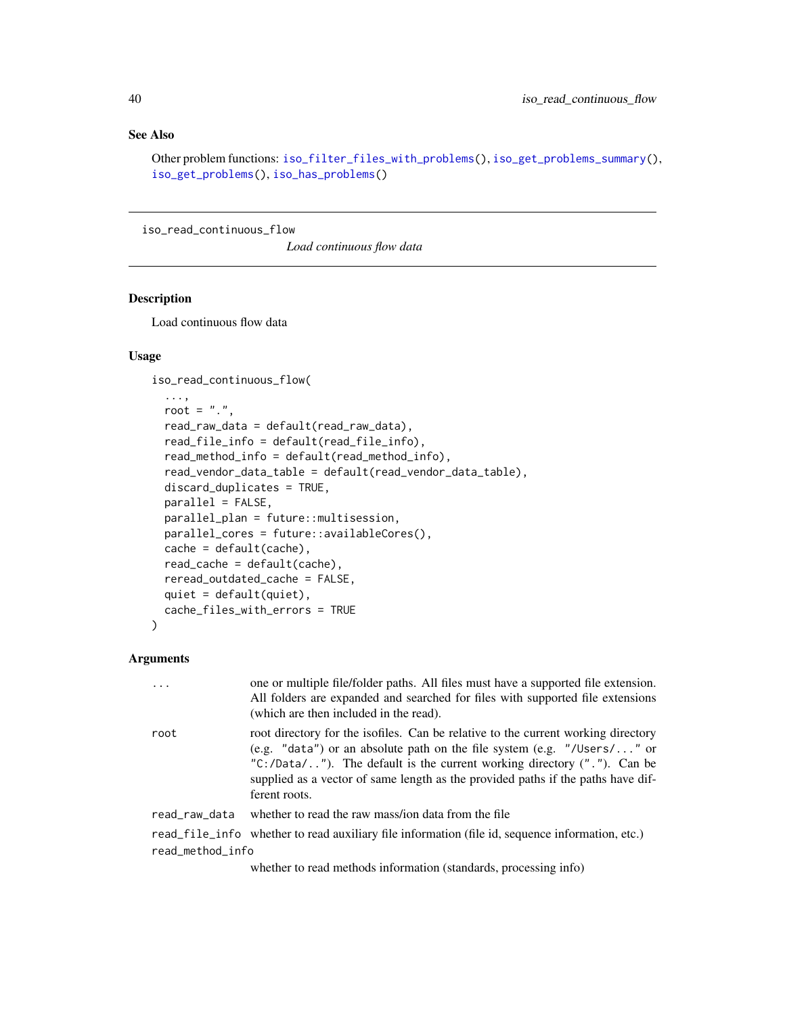### <span id="page-39-0"></span>See Also

Other problem functions: [iso\\_filter\\_files\\_with\\_problems\(](#page-15-2)), [iso\\_get\\_problems\\_summary\(](#page-24-2)), [iso\\_get\\_problems\(](#page-23-1)), [iso\\_has\\_problems\(](#page-31-2))

<span id="page-39-1"></span>iso\_read\_continuous\_flow

*Load continuous flow data*

# Description

Load continuous flow data

#### Usage

```
iso_read_continuous_flow(
  ...,
 root = ".".
  read_raw_data = default(read_raw_data),
  read_file_info = default(read_file_info),
  read_method_info = default(read_method_info),
  read_vendor_data_table = default(read_vendor_data_table),
 discard_duplicates = TRUE,
 parallel = FALSE,
 parallel_plan = future::multisession,
 parallel_cores = future::availableCores(),
  cache = default(cache),
  read_cache = default(cache),
  reread_outdated_cache = FALSE,
  quiet = default(quiet),
  cache_files_with_errors = TRUE
\mathcal{L}
```
#### Arguments

|                  | $\cdots$      | one or multiple file/folder paths. All files must have a supported file extension.<br>All folders are expanded and searched for files with supported file extensions<br>(which are then included in the read).                                                                                                                                  |
|------------------|---------------|-------------------------------------------------------------------------------------------------------------------------------------------------------------------------------------------------------------------------------------------------------------------------------------------------------------------------------------------------|
|                  | root          | root directory for the isofiles. Can be relative to the current working directory<br>(e.g. "data") or an absolute path on the file system (e.g. "/Users/" or<br>"C:/Data/"). The default is the current working directory $($ "."). Can be<br>supplied as a vector of same length as the provided paths if the paths have dif-<br>ferent roots. |
|                  | read raw data | whether to read the raw mass/ion data from the file                                                                                                                                                                                                                                                                                             |
|                  |               | read_file_info whether to read auxiliary file information (file id, sequence information, etc.)                                                                                                                                                                                                                                                 |
| read_method_info |               |                                                                                                                                                                                                                                                                                                                                                 |
|                  |               |                                                                                                                                                                                                                                                                                                                                                 |

whether to read methods information (standards, processing info)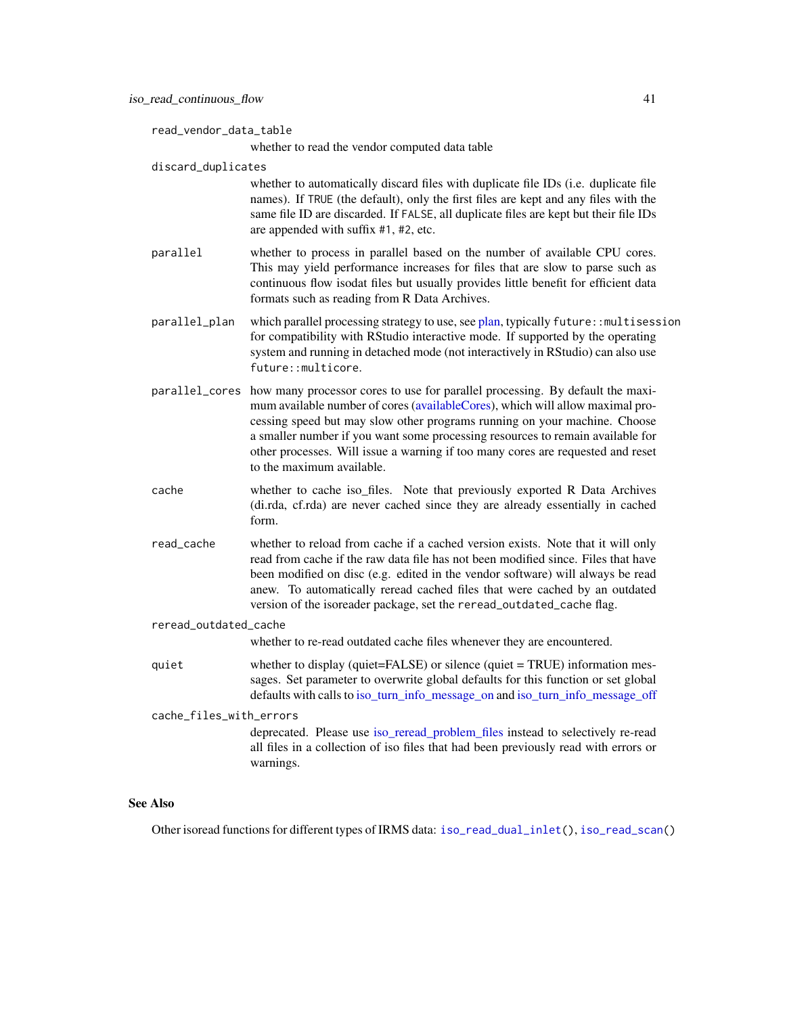```
read_vendor_data_table
```
whether to read the vendor computed data table

discard\_duplicates

whether to automatically discard files with duplicate file IDs (i.e. duplicate file names). If TRUE (the default), only the first files are kept and any files with the same file ID are discarded. If FALSE, all duplicate files are kept but their file IDs are appended with suffix #1, #2, etc.

- parallel whether to process in parallel based on the number of available CPU cores. This may yield performance increases for files that are slow to parse such as continuous flow isodat files but usually provides little benefit for efficient data formats such as reading from R Data Archives.
- parallel\_plan which parallel processing strategy to use, see [plan,](#page-0-0) typically future::multisession for compatibility with RStudio interactive mode. If supported by the operating system and running in detached mode (not interactively in RStudio) can also use future::multicore.
- parallel\_cores how many processor cores to use for parallel processing. By default the maximum available number of cores [\(availableCores\)](#page-0-0), which will allow maximal processing speed but may slow other programs running on your machine. Choose a smaller number if you want some processing resources to remain available for other processes. Will issue a warning if too many cores are requested and reset to the maximum available.
- cache whether to cache iso\_files. Note that previously exported R Data Archives (di.rda, cf.rda) are never cached since they are already essentially in cached form.
- read\_cache whether to reload from cache if a cached version exists. Note that it will only read from cache if the raw data file has not been modified since. Files that have been modified on disc (e.g. edited in the vendor software) will always be read anew. To automatically reread cached files that were cached by an outdated version of the isoreader package, set the reread\_outdated\_cache flag.
- reread\_outdated\_cache

whether to re-read outdated cache files whenever they are encountered.

- quiet whether to display (quiet=FALSE) or silence (quiet = TRUE) information messages. Set parameter to overwrite global defaults for this function or set global defaults with calls to [iso\\_turn\\_info\\_message\\_on](#page-31-1) and [iso\\_turn\\_info\\_message\\_off](#page-31-1)
- cache\_files\_with\_errors deprecated. Please use [iso\\_reread\\_problem\\_files](#page-49-1) instead to selectively re-read all files in a collection of iso files that had been previously read with errors or warnings.

#### See Also

Other isoread functions for different types of IRMS data: [iso\\_read\\_dual\\_inlet\(](#page-41-1)), [iso\\_read\\_scan\(](#page-45-1))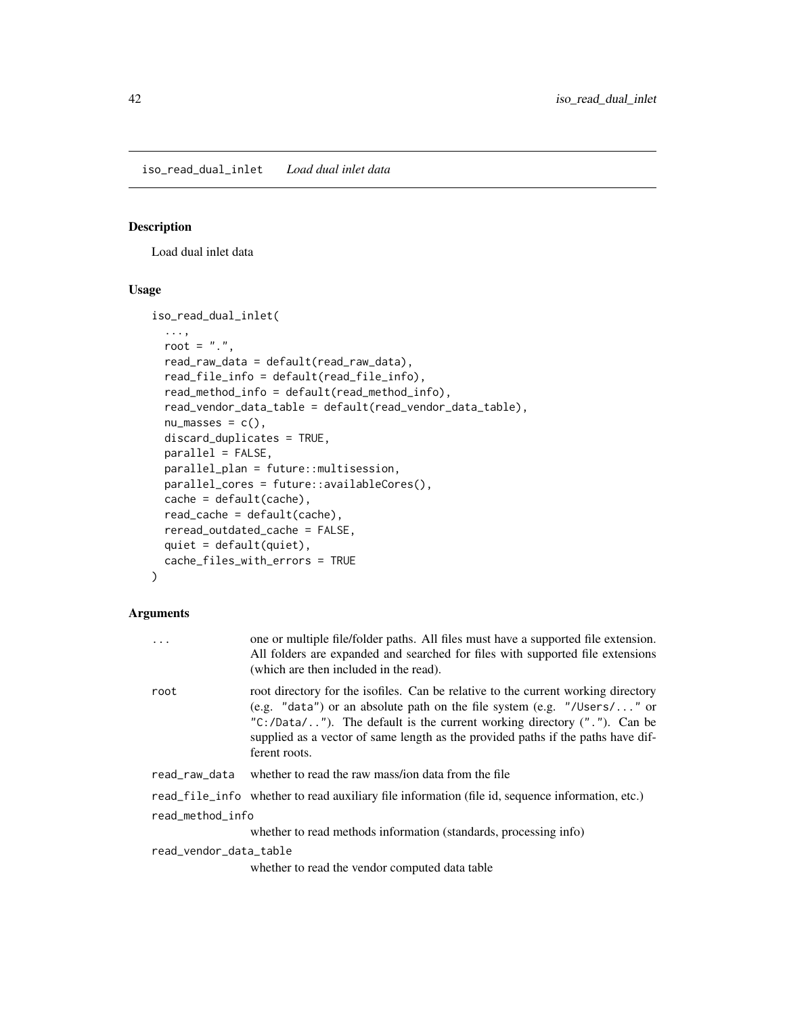<span id="page-41-1"></span><span id="page-41-0"></span>iso\_read\_dual\_inlet *Load dual inlet data*

#### Description

Load dual inlet data

#### Usage

```
iso_read_dual_inlet(
  ...,
 root = ".",
 read_raw_data = default(read_raw_data),
 read_file_info = default(read_file_info),
 read_method_info = default(read_method_info),
 read_vendor_data_table = default(read_vendor_data_table),
 nu_mases = c(),
 discard_duplicates = TRUE,
 parallel = FALSE,
 parallel_plan = future::multisession,
 parallel_cores = future::availableCores(),
 cache = default(cache),
 read_cache = default(cache),
 reread_outdated_cache = FALSE,
 quiet = default(quiet),
 cache_files_with_errors = TRUE
)
```

|                        | one or multiple file/folder paths. All files must have a supported file extension.<br>All folders are expanded and searched for files with supported file extensions<br>(which are then included in the read).                                                                                                                                   |  |
|------------------------|--------------------------------------------------------------------------------------------------------------------------------------------------------------------------------------------------------------------------------------------------------------------------------------------------------------------------------------------------|--|
| root                   | root directory for the isofiles. Can be relative to the current working directory<br>(e.g. "data") or an absolute path on the file system (e.g. "/Users/" or<br>" $C$ :/Data/"). The default is the current working directory ("."). Can be<br>supplied as a vector of same length as the provided paths if the paths have dif-<br>ferent roots. |  |
| read_raw_data          | whether to read the raw mass/ion data from the file                                                                                                                                                                                                                                                                                              |  |
|                        | read_file_info whether to read auxiliary file information (file id, sequence information, etc.)                                                                                                                                                                                                                                                  |  |
| read_method_info       |                                                                                                                                                                                                                                                                                                                                                  |  |
|                        | whether to read methods information (standards, processing info)                                                                                                                                                                                                                                                                                 |  |
| read_vendor_data_table |                                                                                                                                                                                                                                                                                                                                                  |  |
|                        | whether to read the vendor computed data table                                                                                                                                                                                                                                                                                                   |  |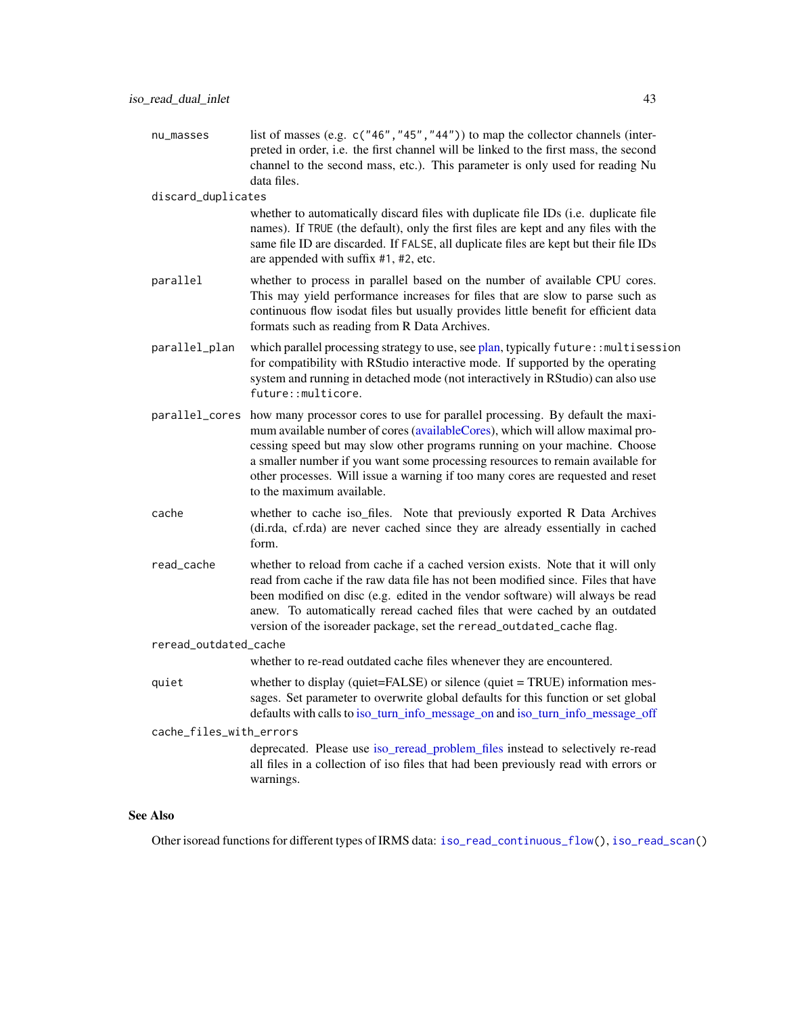<span id="page-42-0"></span>nu\_masses list of masses (e.g. c("46", "45", "44")) to map the collector channels (interpreted in order, i.e. the first channel will be linked to the first mass, the second channel to the second mass, etc.). This parameter is only used for reading Nu data files.

discard\_duplicates

whether to automatically discard files with duplicate file IDs (i.e. duplicate file names). If TRUE (the default), only the first files are kept and any files with the same file ID are discarded. If FALSE, all duplicate files are kept but their file IDs are appended with suffix #1, #2, etc.

- parallel whether to process in parallel based on the number of available CPU cores. This may yield performance increases for files that are slow to parse such as continuous flow isodat files but usually provides little benefit for efficient data formats such as reading from R Data Archives.
- parallel\_plan which parallel processing strategy to use, see [plan,](#page-0-0) typically future::multisession for compatibility with RStudio interactive mode. If supported by the operating system and running in detached mode (not interactively in RStudio) can also use future::multicore.
- parallel\_cores how many processor cores to use for parallel processing. By default the maximum available number of cores [\(availableCores\)](#page-0-0), which will allow maximal processing speed but may slow other programs running on your machine. Choose a smaller number if you want some processing resources to remain available for other processes. Will issue a warning if too many cores are requested and reset to the maximum available.
- cache whether to cache iso\_files. Note that previously exported R Data Archives (di.rda, cf.rda) are never cached since they are already essentially in cached form.
- read\_cache whether to reload from cache if a cached version exists. Note that it will only read from cache if the raw data file has not been modified since. Files that have been modified on disc (e.g. edited in the vendor software) will always be read anew. To automatically reread cached files that were cached by an outdated version of the isoreader package, set the reread\_outdated\_cache flag.

#### reread\_outdated\_cache

whether to re-read outdated cache files whenever they are encountered.

quiet whether to display (quiet=FALSE) or silence (quiet = TRUE) information messages. Set parameter to overwrite global defaults for this function or set global defaults with calls to [iso\\_turn\\_info\\_message\\_on](#page-31-1) and [iso\\_turn\\_info\\_message\\_off](#page-31-1)

cache\_files\_with\_errors

deprecated. Please use iso reread problem files instead to selectively re-read all files in a collection of iso files that had been previously read with errors or warnings.

#### See Also

Other isoread functions for different types of IRMS data: [iso\\_read\\_continuous\\_flow\(](#page-39-1)), [iso\\_read\\_scan\(](#page-45-1))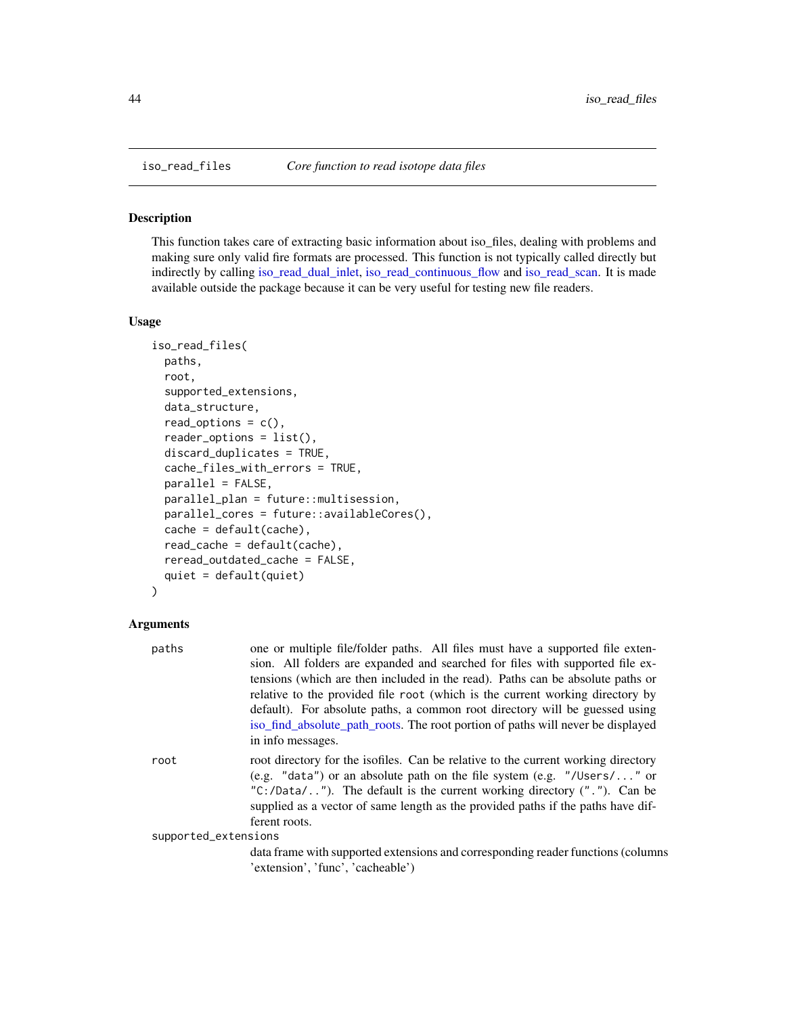<span id="page-43-0"></span>

## Description

This function takes care of extracting basic information about iso\_files, dealing with problems and making sure only valid fire formats are processed. This function is not typically called directly but indirectly by calling [iso\\_read\\_dual\\_inlet,](#page-41-1) [iso\\_read\\_continuous\\_flow](#page-39-1) and [iso\\_read\\_scan.](#page-45-1) It is made available outside the package because it can be very useful for testing new file readers.

#### Usage

```
iso_read_files(
 paths,
 root,
  supported_extensions,
  data_structure,
  read\_options = c(),
  reader_options = list(),
  discard_duplicates = TRUE,
  cache_files_with_errors = TRUE,
  parallel = FALSE,
 parallel_plan = future::multisession,
  parallel_cores = future::availableCores(),
  cache = default(cache),
  read_cache = default(cache),
  reread_outdated_cache = FALSE,
  quiet = default(quiet)
)
```

| paths                | one or multiple file/folder paths. All files must have a supported file exten-<br>sion. All folders are expanded and searched for files with supported file ex-<br>tensions (which are then included in the read). Paths can be absolute paths or<br>relative to the provided file root (which is the current working directory by<br>default). For absolute paths, a common root directory will be guessed using<br>iso_find_absolute_path_roots. The root portion of paths will never be displayed<br>in info messages. |
|----------------------|---------------------------------------------------------------------------------------------------------------------------------------------------------------------------------------------------------------------------------------------------------------------------------------------------------------------------------------------------------------------------------------------------------------------------------------------------------------------------------------------------------------------------|
| root                 | root directory for the isofiles. Can be relative to the current working directory<br>(e.g. "data") or an absolute path on the file system (e.g. "/Users/" or<br>"C:/Data/"). The default is the current working directory $($ "."). Can be<br>supplied as a vector of same length as the provided paths if the paths have dif-<br>ferent roots.                                                                                                                                                                           |
| supported_extensions | data frame with supported extensions and corresponding reader functions (columns<br>'extension', 'func', 'cacheable')                                                                                                                                                                                                                                                                                                                                                                                                     |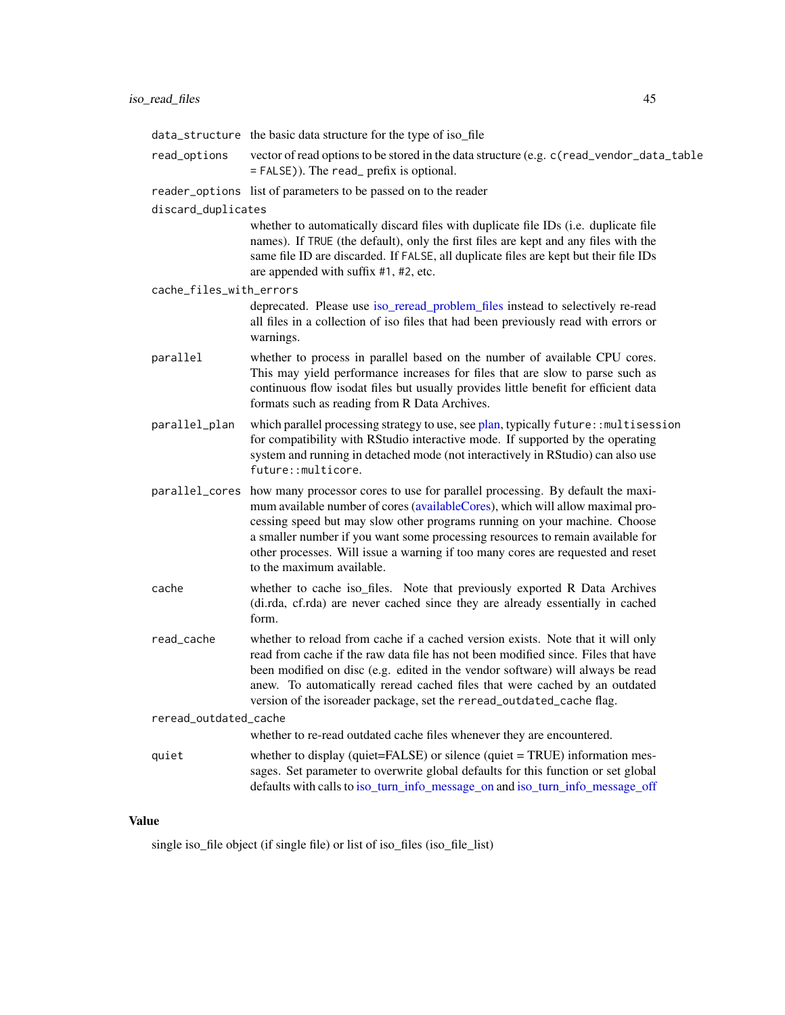<span id="page-44-0"></span>

|                         | data_structure the basic data structure for the type of iso_file                                                                                                                                                                                                                                                                                                                                                                                             |
|-------------------------|--------------------------------------------------------------------------------------------------------------------------------------------------------------------------------------------------------------------------------------------------------------------------------------------------------------------------------------------------------------------------------------------------------------------------------------------------------------|
| read_options            | vector of read options to be stored in the data structure (e.g. c (read_vendor_data_table<br>= FALSE)). The read_prefix is optional.                                                                                                                                                                                                                                                                                                                         |
|                         | reader_options list of parameters to be passed on to the reader                                                                                                                                                                                                                                                                                                                                                                                              |
| discard_duplicates      |                                                                                                                                                                                                                                                                                                                                                                                                                                                              |
|                         | whether to automatically discard files with duplicate file IDs (i.e. duplicate file<br>names). If TRUE (the default), only the first files are kept and any files with the<br>same file ID are discarded. If FALSE, all duplicate files are kept but their file IDs<br>are appended with suffix #1, #2, etc.                                                                                                                                                 |
| cache_files_with_errors |                                                                                                                                                                                                                                                                                                                                                                                                                                                              |
|                         | deprecated. Please use iso_reread_problem_files instead to selectively re-read<br>all files in a collection of iso files that had been previously read with errors or<br>warnings.                                                                                                                                                                                                                                                                           |
| parallel                | whether to process in parallel based on the number of available CPU cores.<br>This may yield performance increases for files that are slow to parse such as<br>continuous flow isodat files but usually provides little benefit for efficient data<br>formats such as reading from R Data Archives.                                                                                                                                                          |
| parallel_plan           | which parallel processing strategy to use, see plan, typically future:: multisession<br>for compatibility with RStudio interactive mode. If supported by the operating<br>system and running in detached mode (not interactively in RStudio) can also use<br>future::multicore.                                                                                                                                                                              |
|                         | parallel_cores how many processor cores to use for parallel processing. By default the maxi-<br>mum available number of cores (availableCores), which will allow maximal pro-<br>cessing speed but may slow other programs running on your machine. Choose<br>a smaller number if you want some processing resources to remain available for<br>other processes. Will issue a warning if too many cores are requested and reset<br>to the maximum available. |
| cache                   | whether to cache iso_files. Note that previously exported R Data Archives<br>(di.rda, cf.rda) are never cached since they are already essentially in cached<br>form.                                                                                                                                                                                                                                                                                         |
| read_cache              | whether to reload from cache if a cached version exists. Note that it will only<br>read from cache if the raw data file has not been modified since. Files that have<br>been modified on disc (e.g. edited in the vendor software) will always be read<br>anew. To automatically reread cached files that were cached by an outdated<br>version of the isoreader package, set the reread_outdated_cache flag.                                                |
| reread_outdated_cache   |                                                                                                                                                                                                                                                                                                                                                                                                                                                              |
|                         | whether to re-read outdated cache files whenever they are encountered.                                                                                                                                                                                                                                                                                                                                                                                       |
| quiet                   | whether to display (quiet=FALSE) or silence (quiet = TRUE) information mes-<br>sages. Set parameter to overwrite global defaults for this function or set global<br>defaults with calls to iso_turn_info_message_on and iso_turn_info_message_off                                                                                                                                                                                                            |

# Value

single iso\_file object (if single file) or list of iso\_files (iso\_file\_list)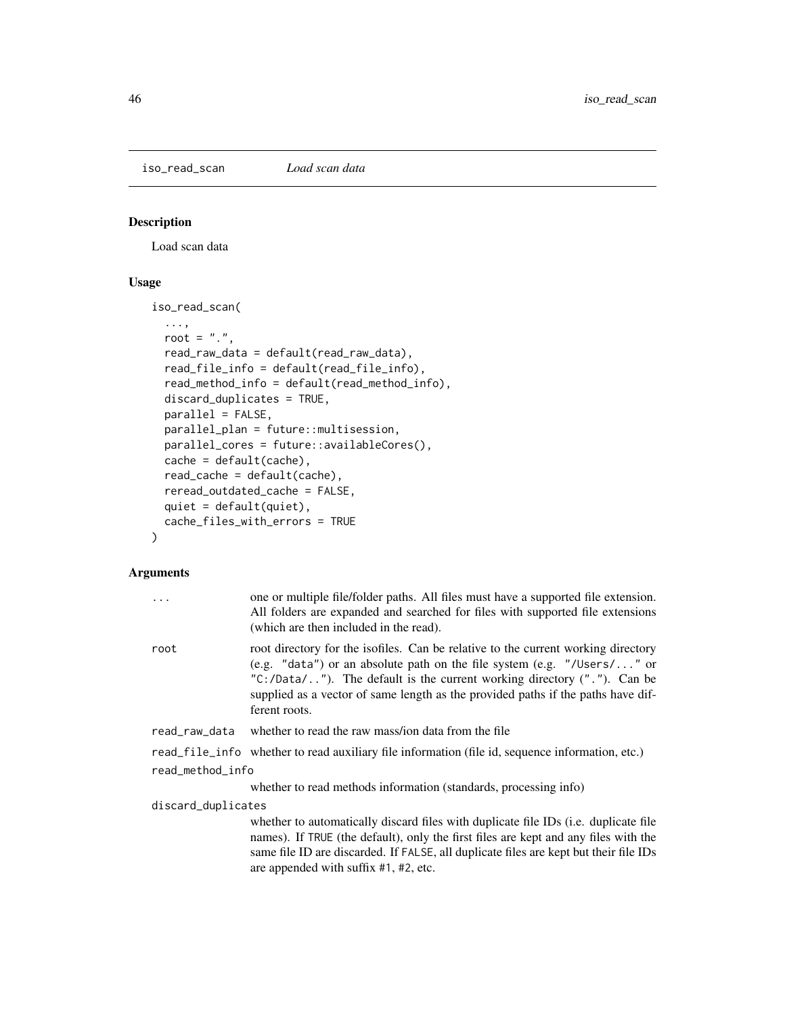<span id="page-45-1"></span><span id="page-45-0"></span>iso\_read\_scan *Load scan data*

# Description

Load scan data

# Usage

iso\_read\_scan(

```
...,
root = ".",
read_raw_data = default(read_raw_data),
read_file_info = default(read_file_info),
read_method_info = default(read_method_info),
discard_duplicates = TRUE,
parallel = FALSE,
parallel_plan = future::multisession,
parallel_cores = future::availableCores(),
cache = default(cache),
read_cache = default(cache),
reread_outdated_cache = FALSE,
quiet = default(quiet),
cache_files_with_errors = TRUE
```
#### Arguments

)

| .                  | one or multiple file/folder paths. All files must have a supported file extension.<br>All folders are expanded and searched for files with supported file extensions<br>(which are then included in the read).                                                                                                                                   |  |
|--------------------|--------------------------------------------------------------------------------------------------------------------------------------------------------------------------------------------------------------------------------------------------------------------------------------------------------------------------------------------------|--|
| root               | root directory for the isofiles. Can be relative to the current working directory<br>(e.g. "data") or an absolute path on the file system (e.g. "/Users/" or<br>" $C$ :/Data/"). The default is the current working directory ("."). Can be<br>supplied as a vector of same length as the provided paths if the paths have dif-<br>ferent roots. |  |
| read_raw_data      | whether to read the raw mass/ion data from the file                                                                                                                                                                                                                                                                                              |  |
|                    | read_file_info whether to read auxiliary file information (file id, sequence information, etc.)                                                                                                                                                                                                                                                  |  |
| read_method_info   |                                                                                                                                                                                                                                                                                                                                                  |  |
|                    | whether to read methods information (standards, processing info)                                                                                                                                                                                                                                                                                 |  |
| discard_duplicates |                                                                                                                                                                                                                                                                                                                                                  |  |
|                    | whether to automatically discard files with duplicate file IDs (i.e. duplicate file<br>names). If TRUE (the default), only the first files are kept and any files with the<br>same file ID are discarded. If FALSE, all duplicate files are kept but their file IDs<br>are appended with suffix #1, #2, etc.                                     |  |
|                    |                                                                                                                                                                                                                                                                                                                                                  |  |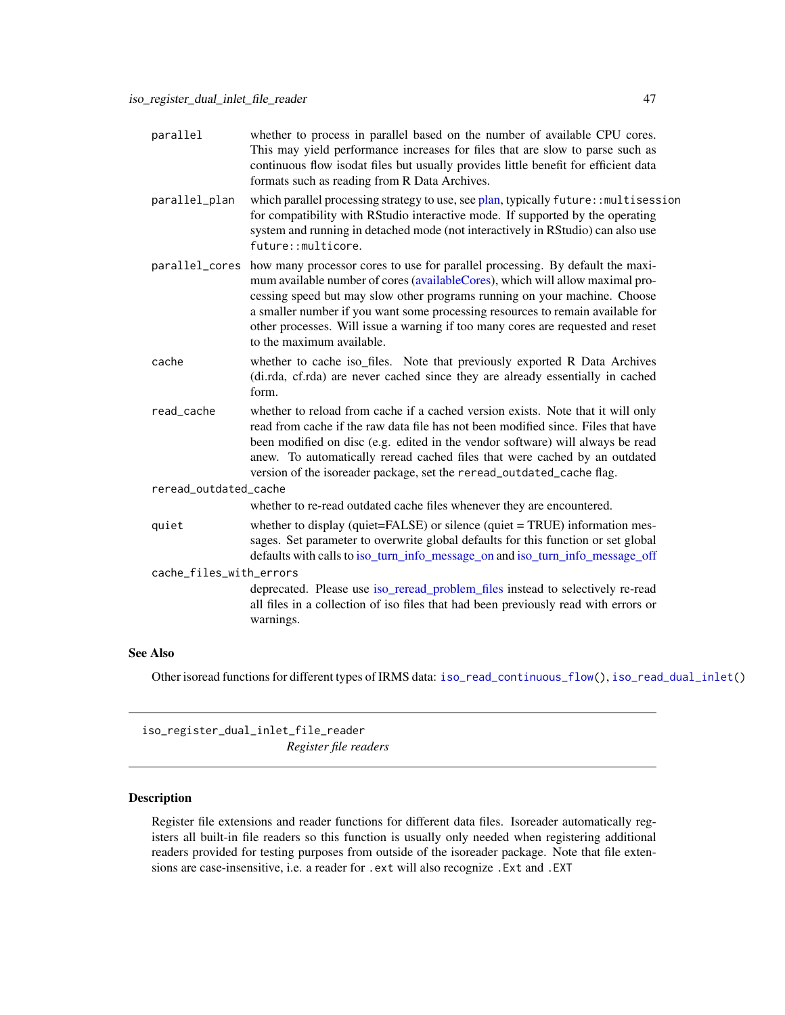<span id="page-46-0"></span>

| parallel                | whether to process in parallel based on the number of available CPU cores.<br>This may yield performance increases for files that are slow to parse such as<br>continuous flow isodat files but usually provides little benefit for efficient data<br>formats such as reading from R Data Archives.                                                                                                                                                          |  |
|-------------------------|--------------------------------------------------------------------------------------------------------------------------------------------------------------------------------------------------------------------------------------------------------------------------------------------------------------------------------------------------------------------------------------------------------------------------------------------------------------|--|
| parallel_plan           | which parallel processing strategy to use, see plan, typically future:: multisession<br>for compatibility with RStudio interactive mode. If supported by the operating<br>system and running in detached mode (not interactively in RStudio) can also use<br>future::multicore.                                                                                                                                                                              |  |
|                         | parallel_cores how many processor cores to use for parallel processing. By default the maxi-<br>mum available number of cores (availableCores), which will allow maximal pro-<br>cessing speed but may slow other programs running on your machine. Choose<br>a smaller number if you want some processing resources to remain available for<br>other processes. Will issue a warning if too many cores are requested and reset<br>to the maximum available. |  |
| cache                   | whether to cache iso_files. Note that previously exported R Data Archives<br>(di.rda, cf.rda) are never cached since they are already essentially in cached<br>form.                                                                                                                                                                                                                                                                                         |  |
| read_cache              | whether to reload from cache if a cached version exists. Note that it will only<br>read from cache if the raw data file has not been modified since. Files that have<br>been modified on disc (e.g. edited in the vendor software) will always be read<br>anew. To automatically reread cached files that were cached by an outdated<br>version of the isoreader package, set the reread_outdated_cache flag.                                                |  |
| reread_outdated_cache   |                                                                                                                                                                                                                                                                                                                                                                                                                                                              |  |
|                         | whether to re-read outdated cache files whenever they are encountered.                                                                                                                                                                                                                                                                                                                                                                                       |  |
| quiet                   | whether to display (quiet=FALSE) or silence (quiet = TRUE) information mes-<br>sages. Set parameter to overwrite global defaults for this function or set global<br>defaults with calls to iso_turn_info_message_on and iso_turn_info_message_off                                                                                                                                                                                                            |  |
| cache_files_with_errors |                                                                                                                                                                                                                                                                                                                                                                                                                                                              |  |
|                         | deprecated. Please use iso_reread_problem_files instead to selectively re-read<br>all files in a collection of iso files that had been previously read with errors or<br>warnings.                                                                                                                                                                                                                                                                           |  |
|                         |                                                                                                                                                                                                                                                                                                                                                                                                                                                              |  |

#### See Also

Other isoread functions for different types of IRMS data: [iso\\_read\\_continuous\\_flow\(](#page-39-1)), [iso\\_read\\_dual\\_inlet\(](#page-41-1))

<span id="page-46-1"></span>iso\_register\_dual\_inlet\_file\_reader *Register file readers*

# <span id="page-46-2"></span>Description

Register file extensions and reader functions for different data files. Isoreader automatically registers all built-in file readers so this function is usually only needed when registering additional readers provided for testing purposes from outside of the isoreader package. Note that file extensions are case-insensitive, i.e. a reader for .ext will also recognize .Ext and .EXT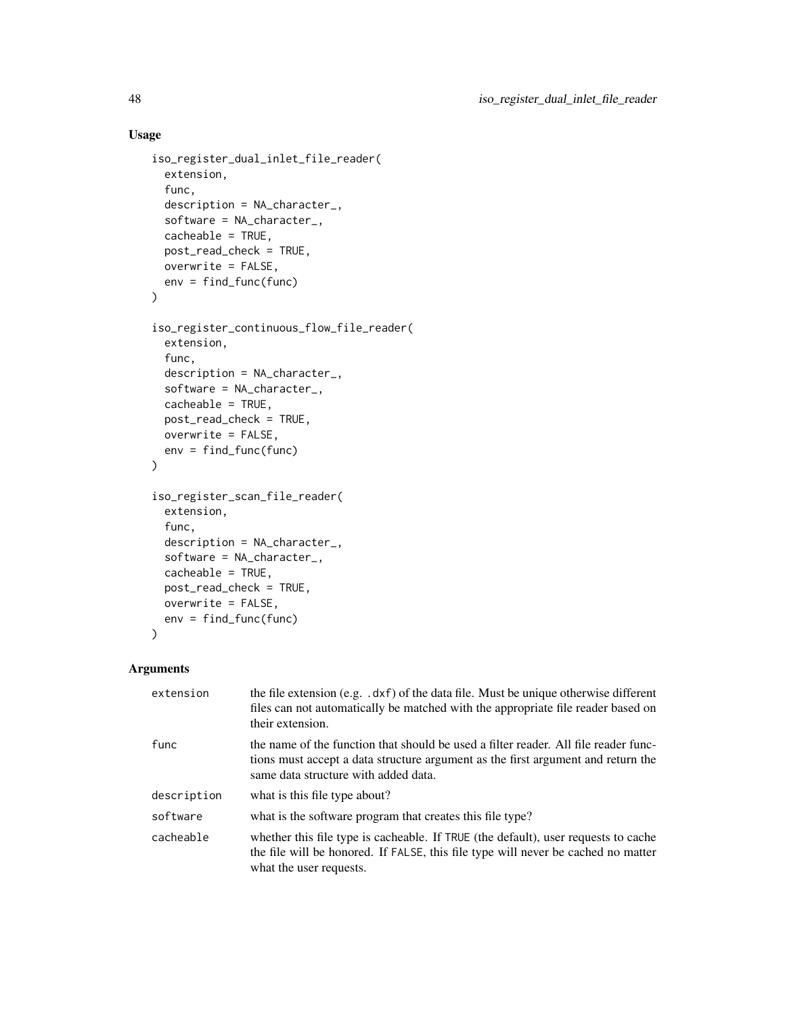# Usage

```
iso_register_dual_inlet_file_reader(
  extension,
  func,
 description = NA_character_,
  software = NA_character_,
 cacheable = TRUE,
 post_read_check = TRUE,
 overwrite = FALSE,
 env = find_func(func)
\mathcal{L}iso_register_continuous_flow_file_reader(
 extension,
  func,
 description = NA_character_,
  software = NA_character_,
 cacheable = TRUE,
 post_read_check = TRUE,
 overwrite = FALSE,
 env = find_func(func)
\mathcal{L}iso_register_scan_file_reader(
 extension,
  func,
 description = NA_character_,
  software = NA_character_,
 cacheable = TRUE,
 post_read_check = TRUE,
 overwrite = FALSE,
 env = find_func(func)
\mathcal{L}
```

| extension   | the file extension (e.g. .dxf) of the data file. Must be unique otherwise different<br>files can not automatically be matched with the appropriate file reader based on<br>their extension.                     |
|-------------|-----------------------------------------------------------------------------------------------------------------------------------------------------------------------------------------------------------------|
| func        | the name of the function that should be used a filter reader. All file reader func-<br>tions must accept a data structure argument as the first argument and return the<br>same data structure with added data. |
| description | what is this file type about?                                                                                                                                                                                   |
| software    | what is the software program that creates this file type?                                                                                                                                                       |
| cacheable   | whether this file type is cacheable. If TRUE (the default), user requests to cache<br>the file will be honored. If FALSE, this file type will never be cached no matter<br>what the user requests.              |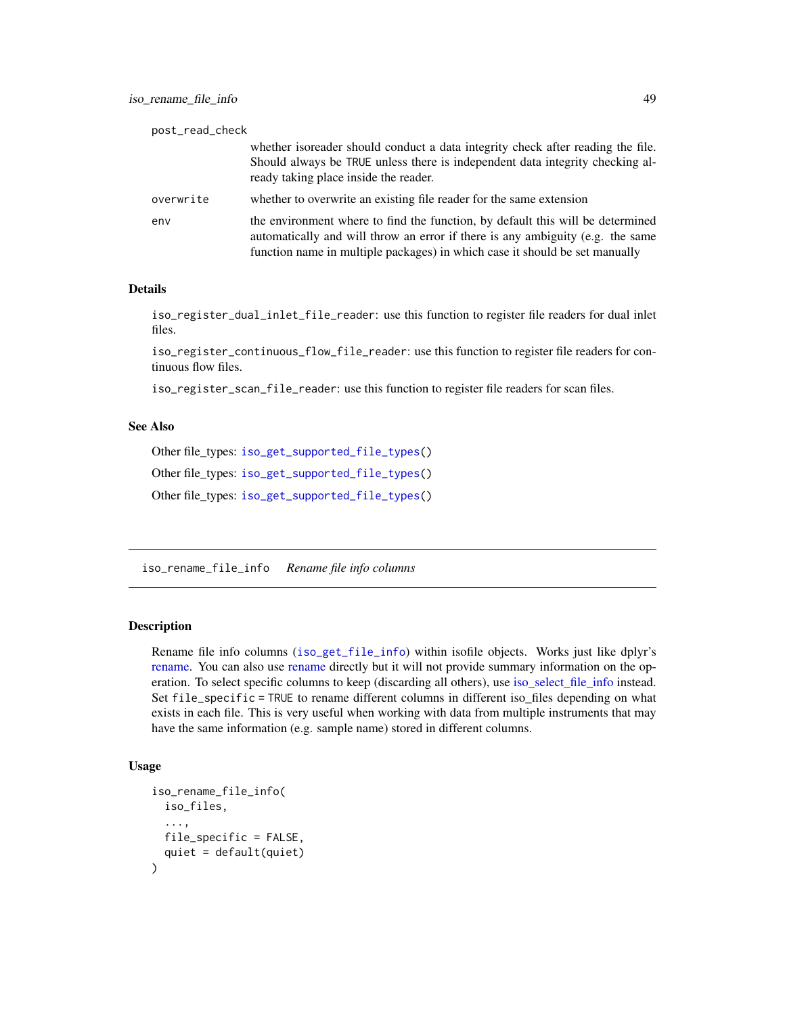<span id="page-48-0"></span>

| post_read_check |                                                                                                                                                                                                                                                 |
|-----------------|-------------------------------------------------------------------------------------------------------------------------------------------------------------------------------------------------------------------------------------------------|
|                 | whether isoreader should conduct a data integrity check after reading the file.<br>Should always be TRUE unless there is independent data integrity checking al-<br>ready taking place inside the reader.                                       |
| overwrite       | whether to overwrite an existing file reader for the same extension                                                                                                                                                                             |
| env             | the environment where to find the function, by default this will be determined<br>automatically and will throw an error if there is any ambiguity (e.g. the same<br>function name in multiple packages) in which case it should be set manually |

#### Details

iso\_register\_dual\_inlet\_file\_reader: use this function to register file readers for dual inlet files.

iso\_register\_continuous\_flow\_file\_reader: use this function to register file readers for continuous flow files.

iso\_register\_scan\_file\_reader: use this function to register file readers for scan files.

#### See Also

Other file\_types: [iso\\_get\\_supported\\_file\\_types\(](#page-29-1))

Other file\_types: [iso\\_get\\_supported\\_file\\_types\(](#page-29-1))

Other file\_types: [iso\\_get\\_supported\\_file\\_types\(](#page-29-1))

<span id="page-48-1"></span>iso\_rename\_file\_info *Rename file info columns*

### Description

Rename file info columns ([iso\\_get\\_file\\_info](#page-22-1)) within isofile objects. Works just like dplyr's [rename.](#page-0-0) You can also use [rename](#page-0-0) directly but it will not provide summary information on the operation. To select specific columns to keep (discarding all others), use [iso\\_select\\_file\\_info](#page-53-1) instead. Set file\_specific = TRUE to rename different columns in different iso\_files depending on what exists in each file. This is very useful when working with data from multiple instruments that may have the same information (e.g. sample name) stored in different columns.

```
iso_rename_file_info(
  iso_files,
  ...,
 file_specific = FALSE,
  quiet = default(quiet)
)
```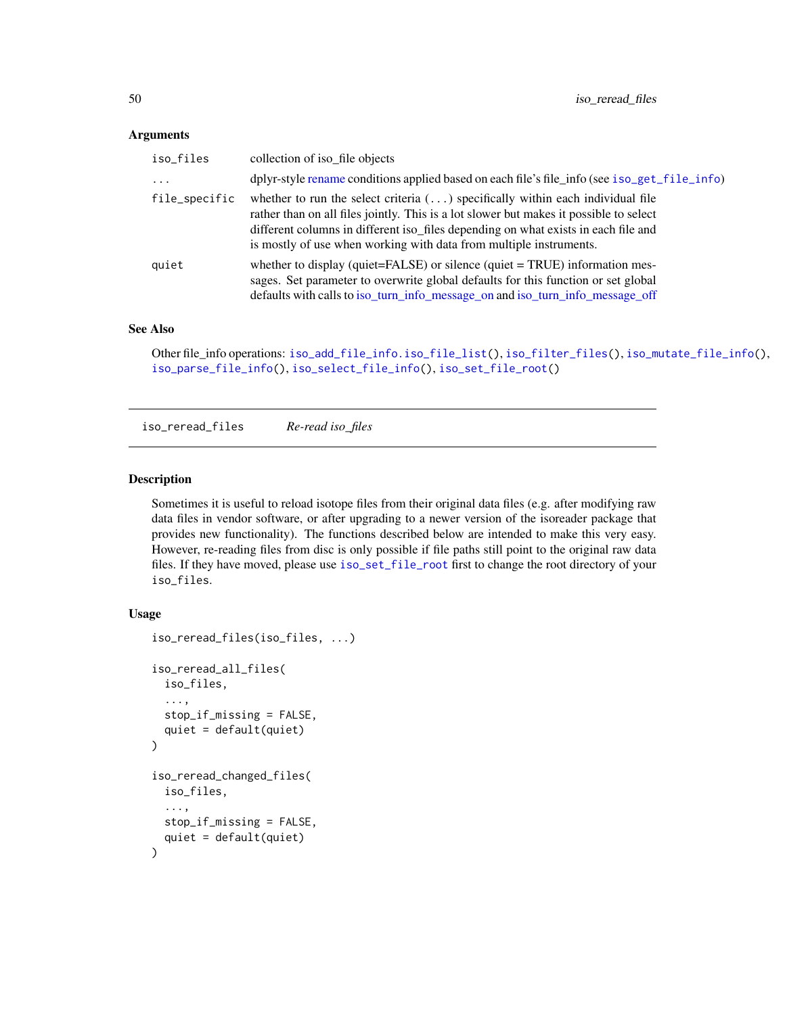#### <span id="page-49-0"></span>**Arguments**

| iso_files     | collection of iso_file objects                                                                                                                                                                                                                                                                                                               |
|---------------|----------------------------------------------------------------------------------------------------------------------------------------------------------------------------------------------------------------------------------------------------------------------------------------------------------------------------------------------|
| $\ddots$      | dplyr-style rename conditions applied based on each file's file_info (see iso_get_file_info)                                                                                                                                                                                                                                                 |
| file_specific | whether to run the select criteria $(\ldots)$ specifically within each individual file<br>rather than on all files jointly. This is a lot slower but makes it possible to select<br>different columns in different iso_files depending on what exists in each file and<br>is mostly of use when working with data from multiple instruments. |
| quiet         | whether to display (quiet=FALSE) or silence (quiet = TRUE) information mes-<br>sages. Set parameter to overwrite global defaults for this function or set global<br>defaults with calls to iso_turn_info_message_on and iso_turn_info_message_off                                                                                            |

#### See Also

```
Other file_info operations: iso_add_file_info.iso_file_list(), iso_filter_files(), iso_mutate_file_info(),
iso_parse_file_info(), iso_select_file_info(), iso_set_file_root()
```
<span id="page-49-2"></span>iso\_reread\_files *Re-read iso\_files*

#### <span id="page-49-1"></span>**Description**

Sometimes it is useful to reload isotope files from their original data files (e.g. after modifying raw data files in vendor software, or after upgrading to a newer version of the isoreader package that provides new functionality). The functions described below are intended to make this very easy. However, re-reading files from disc is only possible if file paths still point to the original raw data files. If they have moved, please use [iso\\_set\\_file\\_root](#page-55-1) first to change the root directory of your iso\_files.

```
iso_reread_files(iso_files, ...)
iso_reread_all_files(
  iso_files,
  ...,
 stop_if_missing = FALSE,
  quiet = default(quiet)
)
iso_reread_changed_files(
  iso_files,
  ...,
 stop_if_missing = FALSE,
  quiet = default(quiet)
)
```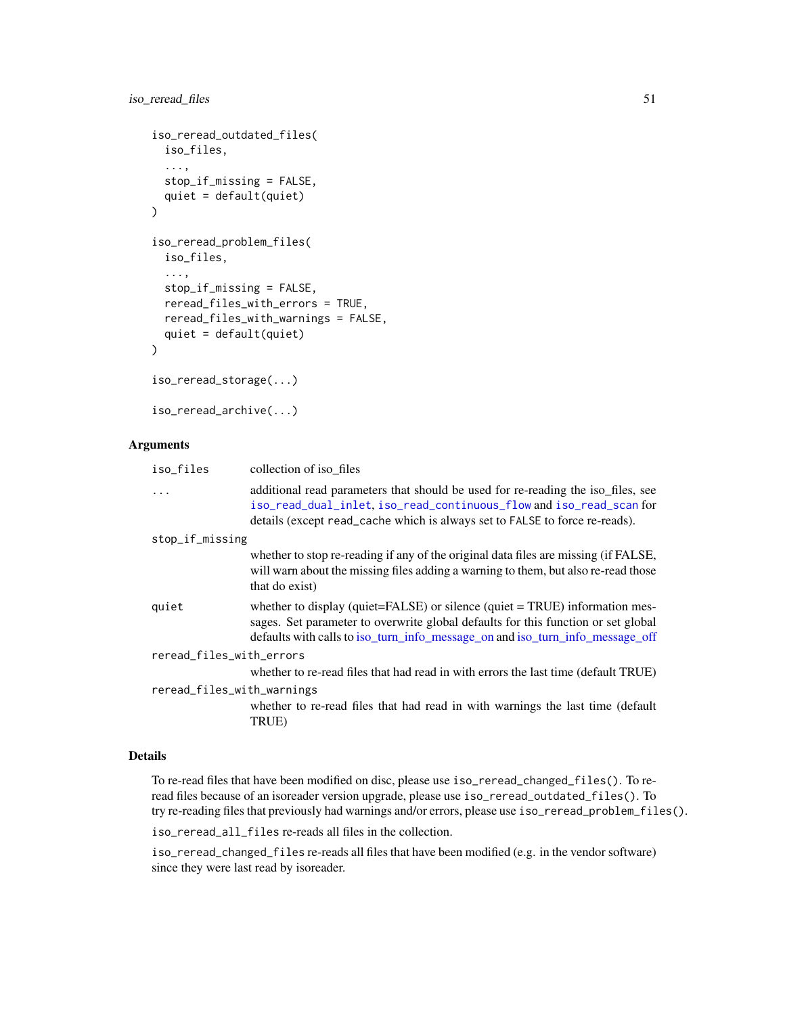## <span id="page-50-0"></span>iso\_reread\_files 51

```
iso_reread_outdated_files(
  iso_files,
  ...,
 stop_if_missing = FALSE,
 quiet = default(quiet)
)
iso_reread_problem_files(
 iso_files,
  ...,
 stop_if_missing = FALSE,
 reread_files_with_errors = TRUE,
 reread_files_with_warnings = FALSE,
 quiet = default(quiet)
\mathcal{L}iso_reread_storage(...)
```
iso\_reread\_archive(...)

# Arguments

| iso_files                  | collection of iso files                                                                                                                                                                                                                           |  |
|----------------------------|---------------------------------------------------------------------------------------------------------------------------------------------------------------------------------------------------------------------------------------------------|--|
| $\ddots$                   | additional read parameters that should be used for re-reading the iso files, see<br>iso_read_dual_inlet, iso_read_continuous_flow and iso_read_scan for<br>details (except read_cache which is always set to FALSE to force re-reads).            |  |
| stop_if_missing            |                                                                                                                                                                                                                                                   |  |
|                            | whether to stop re-reading if any of the original data files are missing (if FALSE,<br>will warn about the missing files adding a warning to them, but also re-read those<br>that do exist)                                                       |  |
| quiet                      | whether to display (quiet=FALSE) or silence (quiet = TRUE) information mes-<br>sages. Set parameter to overwrite global defaults for this function or set global<br>defaults with calls to iso_turn_info_message_on and iso_turn_info_message_off |  |
| reread_files_with_errors   |                                                                                                                                                                                                                                                   |  |
|                            | whether to re-read files that had read in with errors the last time (default TRUE)                                                                                                                                                                |  |
| reread_files_with_warnings |                                                                                                                                                                                                                                                   |  |
|                            | whether to re-read files that had read in with warnings the last time (default<br>TRUE)                                                                                                                                                           |  |

#### Details

To re-read files that have been modified on disc, please use iso\_reread\_changed\_files(). To reread files because of an isoreader version upgrade, please use iso\_reread\_outdated\_files(). To try re-reading files that previously had warnings and/or errors, please use iso\_reread\_problem\_files().

iso\_reread\_all\_files re-reads all files in the collection.

iso\_reread\_changed\_files re-reads all files that have been modified (e.g. in the vendor software) since they were last read by isoreader.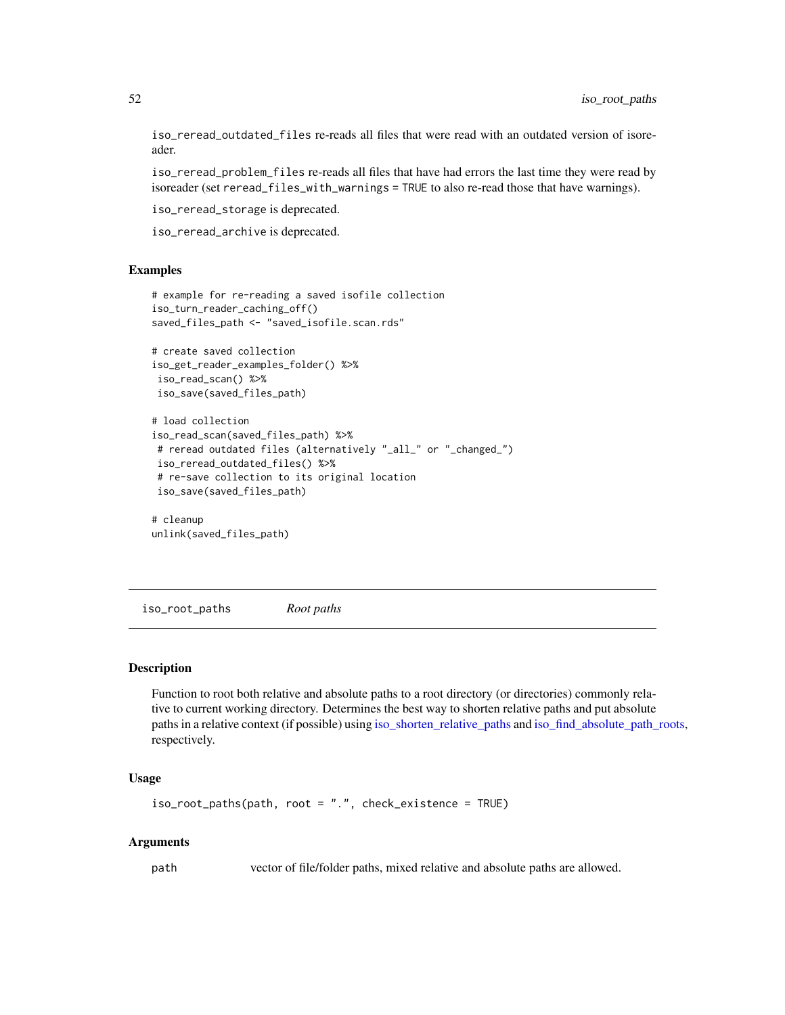<span id="page-51-0"></span>iso\_reread\_outdated\_files re-reads all files that were read with an outdated version of isoreader.

iso\_reread\_problem\_files re-reads all files that have had errors the last time they were read by isoreader (set reread\_files\_with\_warnings = TRUE to also re-read those that have warnings).

iso\_reread\_storage is deprecated.

iso\_reread\_archive is deprecated.

#### Examples

```
# example for re-reading a saved isofile collection
iso_turn_reader_caching_off()
saved_files_path <- "saved_isofile.scan.rds"
# create saved collection
iso_get_reader_examples_folder() %>%
iso_read_scan() %>%
iso_save(saved_files_path)
# load collection
iso_read_scan(saved_files_path) %>%
# reread outdated files (alternatively "_all_" or "_changed_")
iso_reread_outdated_files() %>%
 # re-save collection to its original location
iso_save(saved_files_path)
```
# cleanup unlink(saved\_files\_path)

<span id="page-51-1"></span>iso\_root\_paths *Root paths*

#### Description

Function to root both relative and absolute paths to a root directory (or directories) commonly relative to current working directory. Determines the best way to shorten relative paths and put absolute paths in a relative context (if possible) using [iso\\_shorten\\_relative\\_paths](#page-56-1) and [iso\\_find\\_absolute\\_path\\_roots,](#page-16-1) respectively.

#### Usage

```
iso_root_paths(path, root = ".", check_existence = TRUE)
```
#### Arguments

path vector of file/folder paths, mixed relative and absolute paths are allowed.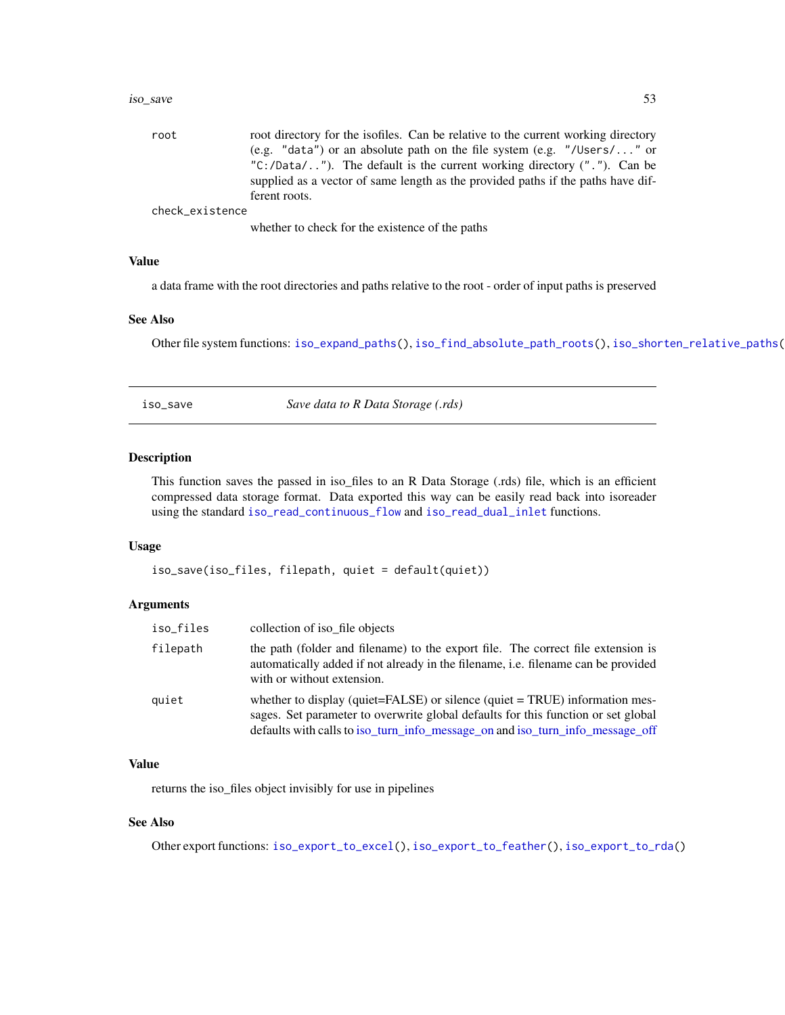#### <span id="page-52-0"></span>iso\_save 53

| root            | root directory for the isofiles. Can be relative to the current working directory                 |
|-----------------|---------------------------------------------------------------------------------------------------|
|                 | (e.g. "data") or an absolute path on the file system (e.g. "/Users/" or                           |
|                 | " $C$ :/Data/"). The default is the current working directory $(''.")$ . Can be                   |
|                 | supplied as a vector of same length as the provided paths if the paths have dif-<br>ferent roots. |
| check_existence |                                                                                                   |
|                 | whether to check for the existence of the paths                                                   |

Value

a data frame with the root directories and paths relative to the root - order of input paths is preserved

#### See Also

Other file system functions: [iso\\_expand\\_paths\(](#page-10-2)), [iso\\_find\\_absolute\\_path\\_roots\(](#page-16-1)), [iso\\_shorten\\_relative\\_paths\(](#page-56-1))

<span id="page-52-1"></span>iso\_save *Save data to R Data Storage (.rds)*

## Description

This function saves the passed in iso\_files to an R Data Storage (.rds) file, which is an efficient compressed data storage format. Data exported this way can be easily read back into isoreader using the standard [iso\\_read\\_continuous\\_flow](#page-39-1) and [iso\\_read\\_dual\\_inlet](#page-41-1) functions.

#### Usage

iso\_save(iso\_files, filepath, quiet = default(quiet))

#### Arguments

| iso_files | collection of iso_file objects                                                                                                                                                                                                                    |
|-----------|---------------------------------------------------------------------------------------------------------------------------------------------------------------------------------------------------------------------------------------------------|
| filepath  | the path (folder and filename) to the export file. The correct file extension is<br>automatically added if not already in the filename, i.e. filename can be provided<br>with or without extension.                                               |
| quiet     | whether to display (quiet=FALSE) or silence (quiet = TRUE) information mes-<br>sages. Set parameter to overwrite global defaults for this function or set global<br>defaults with calls to iso_turn_info_message_on and iso_turn_info_message_off |

#### Value

returns the iso\_files object invisibly for use in pipelines

#### See Also

Other export functions: [iso\\_export\\_to\\_excel\(](#page-10-1)), [iso\\_export\\_to\\_feather\(](#page-12-1)), [iso\\_export\\_to\\_rda\(](#page-14-1))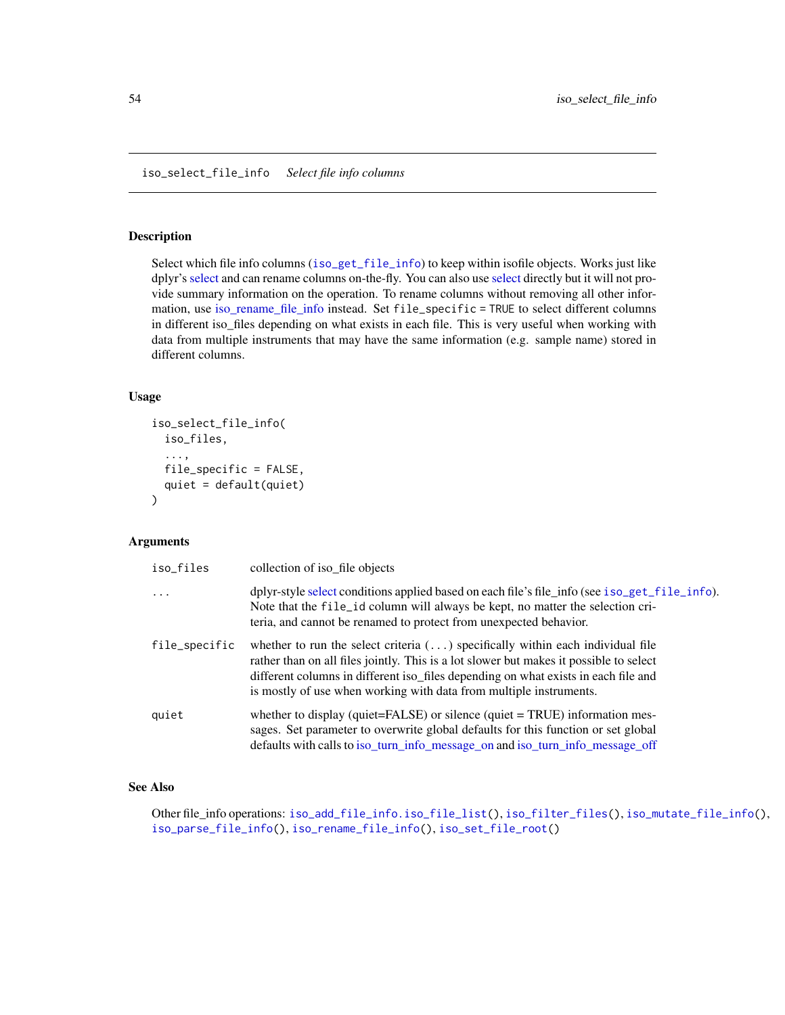#### <span id="page-53-1"></span><span id="page-53-0"></span>Description

Select which file info columns ([iso\\_get\\_file\\_info](#page-22-1)) to keep within isofile objects. Works just like dplyr's [select](#page-0-0) and can rename columns on-the-fly. You can also use [select](#page-0-0) directly but it will not provide summary information on the operation. To rename columns without removing all other information, use [iso\\_rename\\_file\\_info](#page-48-1) instead. Set file\_specific = TRUE to select different columns in different iso\_files depending on what exists in each file. This is very useful when working with data from multiple instruments that may have the same information (e.g. sample name) stored in different columns.

#### Usage

```
iso_select_file_info(
  iso_files,
  ...,
 file_specific = FALSE,
  quiet = default(quiet)
)
```
#### Arguments

| iso_files     | collection of iso_file objects                                                                                                                                                                                                                                                                                                               |
|---------------|----------------------------------------------------------------------------------------------------------------------------------------------------------------------------------------------------------------------------------------------------------------------------------------------------------------------------------------------|
| $\ddots$ .    | dplyr-style select conditions applied based on each file's file_info (see iso_get_file_info).<br>Note that the file id column will always be kept, no matter the selection cri-<br>teria, and cannot be renamed to protect from unexpected behavior.                                                                                         |
| file_specific | whether to run the select criteria $(\ldots)$ specifically within each individual file<br>rather than on all files jointly. This is a lot slower but makes it possible to select<br>different columns in different iso_files depending on what exists in each file and<br>is mostly of use when working with data from multiple instruments. |
| quiet         | whether to display (quiet= $FALSE$ ) or silence (quiet = $TRUE$ ) information mes-<br>sages. Set parameter to overwrite global defaults for this function or set global<br>defaults with calls to iso_turn_info_message_on and iso_turn_info_message_off                                                                                     |

#### See Also

Other file\_info operations: [iso\\_add\\_file\\_info.iso\\_file\\_list\(](#page-6-1)), [iso\\_filter\\_files\(](#page-15-1)), [iso\\_mutate\\_file\\_info\(](#page-35-1)), [iso\\_parse\\_file\\_info\(](#page-36-1)), [iso\\_rename\\_file\\_info\(](#page-48-1)), [iso\\_set\\_file\\_root\(](#page-55-1))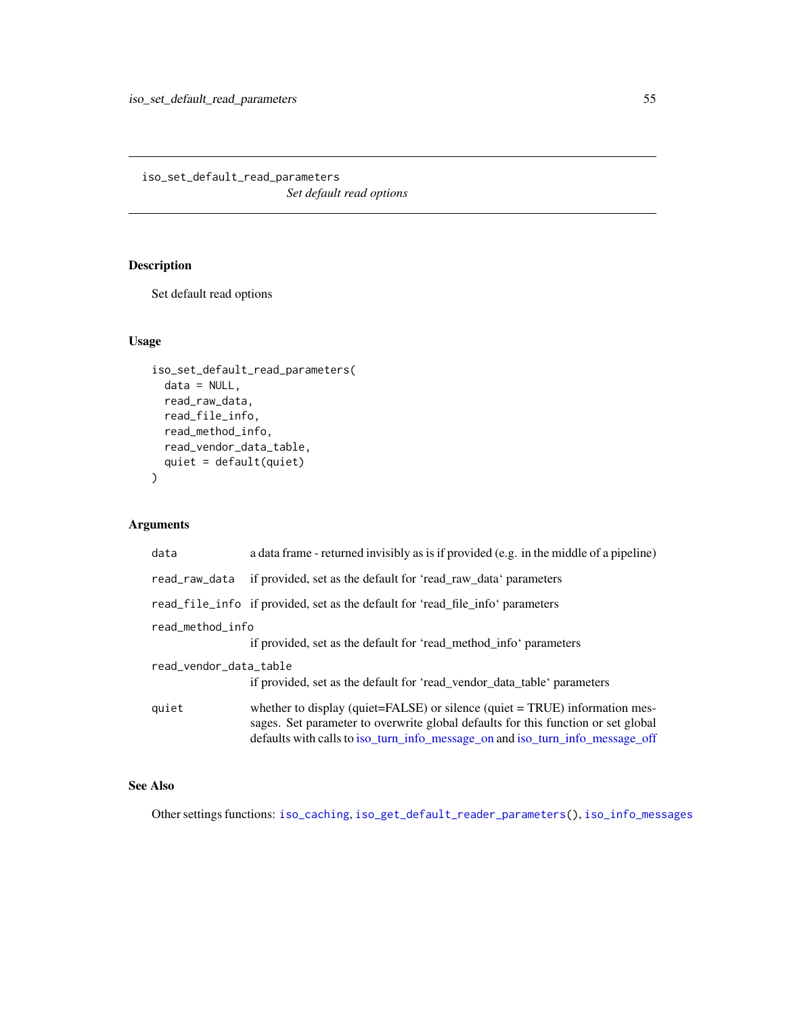<span id="page-54-1"></span><span id="page-54-0"></span>iso\_set\_default\_read\_parameters *Set default read options*

# Description

Set default read options

#### Usage

```
iso_set_default_read_parameters(
 data = NULL,
 read_raw_data,
 read_file_info,
 read_method_info,
 read_vendor_data_table,
  quiet = default(quiet)
\mathcal{L}
```
## Arguments

| data                                                                                              | a data frame - returned invisibly as is if provided (e.g. in the middle of a pipeline)                                                                                                                                                                   |
|---------------------------------------------------------------------------------------------------|----------------------------------------------------------------------------------------------------------------------------------------------------------------------------------------------------------------------------------------------------------|
| read_raw_data                                                                                     | if provided, set as the default for 'read_raw_data' parameters                                                                                                                                                                                           |
|                                                                                                   | read file info if provided, set as the default for 'read file info' parameters                                                                                                                                                                           |
| read_method_info                                                                                  | if provided, set as the default for 'read_method_info' parameters                                                                                                                                                                                        |
| read_vendor_data_table<br>if provided, set as the default for 'read_vendor_data_table' parameters |                                                                                                                                                                                                                                                          |
| quiet                                                                                             | whether to display (quiet= $FALSE$ ) or silence (quiet = $TRUE$ ) information mes-<br>sages. Set parameter to overwrite global defaults for this function or set global<br>defaults with calls to iso_turn_info_message_on and iso_turn_info_message_off |

## See Also

Other settings functions: [iso\\_caching](#page-7-1), [iso\\_get\\_default\\_reader\\_parameters\(](#page-22-2)), [iso\\_info\\_messages](#page-31-1)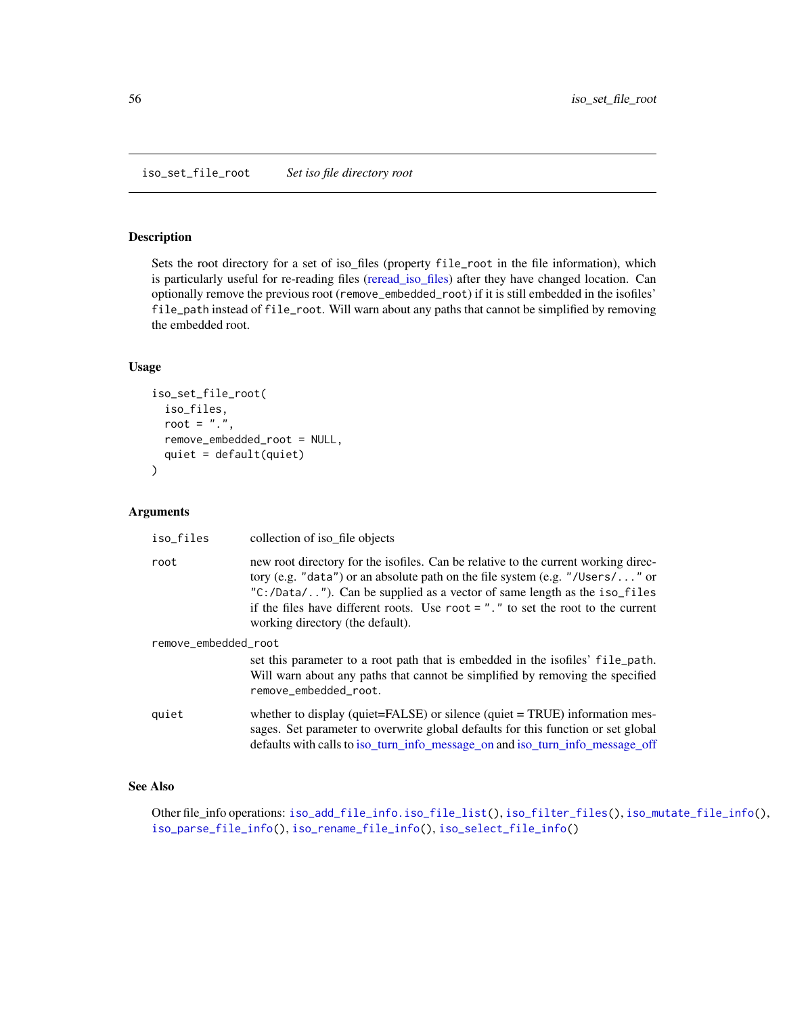#### <span id="page-55-1"></span><span id="page-55-0"></span>Description

Sets the root directory for a set of iso\_files (property file\_root in the file information), which is particularly useful for re-reading files [\(reread\\_iso\\_files\)](#page-61-1) after they have changed location. Can optionally remove the previous root (remove\_embedded\_root) if it is still embedded in the isofiles' file\_path instead of file\_root. Will warn about any paths that cannot be simplified by removing the embedded root.

## Usage

```
iso_set_file_root(
  iso_files,
  root = ".",
  remove_embedded_root = NULL,
  quiet = default(quiet)
)
```
#### Arguments

| iso_files            | collection of iso_file objects                                                                                                                                                                                                                                                                                                                                                 |  |
|----------------------|--------------------------------------------------------------------------------------------------------------------------------------------------------------------------------------------------------------------------------------------------------------------------------------------------------------------------------------------------------------------------------|--|
| root                 | new root directory for the isofiles. Can be relative to the current working direc-<br>tory (e.g. "data") or an absolute path on the file system (e.g. "/Users/" or<br>$C: / Data / $ "). Can be supplied as a vector of same length as the iso_files<br>if the files have different roots. Use root $=$ "." to set the root to the current<br>working directory (the default). |  |
| remove_embedded_root |                                                                                                                                                                                                                                                                                                                                                                                |  |
|                      | set this parameter to a root path that is embedded in the isofiles' file_path.<br>Will warn about any paths that cannot be simplified by removing the specified<br>remove embedded root.                                                                                                                                                                                       |  |
| quiet                | whether to display (quiet= $FALSE$ ) or silence (quiet = $TRUE$ ) information mes-<br>sages. Set parameter to overwrite global defaults for this function or set global<br>defaults with calls to iso_turn_info_message_on and iso_turn_info_message_off                                                                                                                       |  |

#### See Also

Other file\_info operations: [iso\\_add\\_file\\_info.iso\\_file\\_list\(](#page-6-1)), [iso\\_filter\\_files\(](#page-15-1)), [iso\\_mutate\\_file\\_info\(](#page-35-1)), [iso\\_parse\\_file\\_info\(](#page-36-1)), [iso\\_rename\\_file\\_info\(](#page-48-1)), [iso\\_select\\_file\\_info\(](#page-53-1))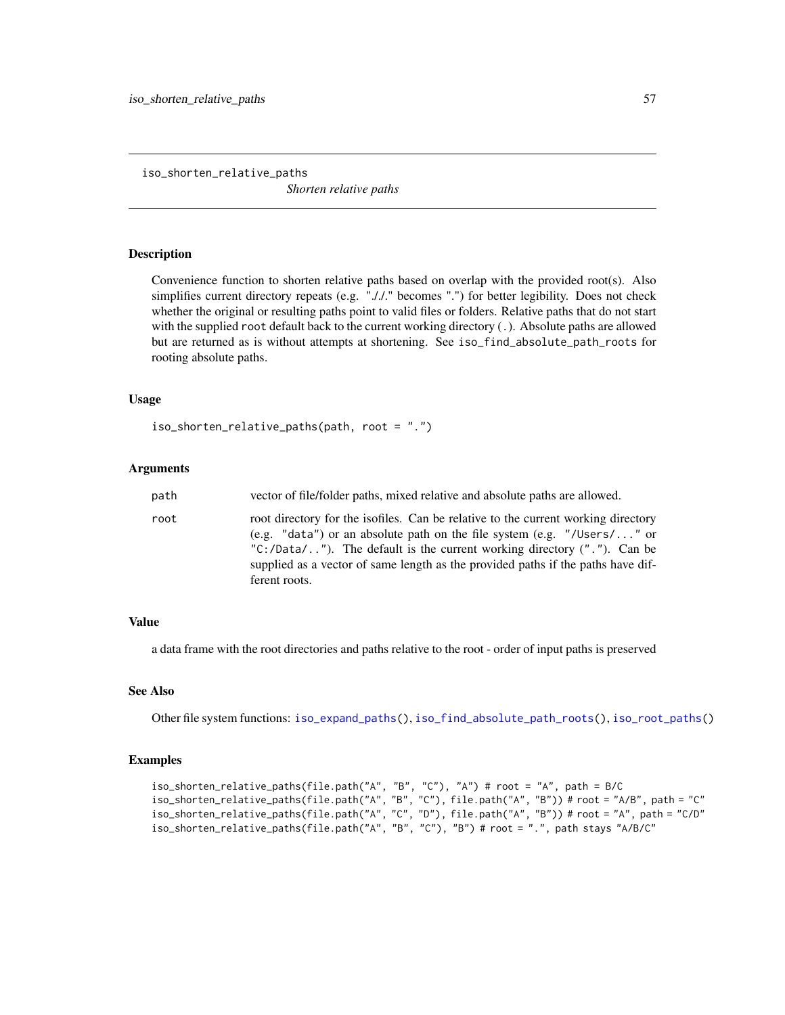<span id="page-56-1"></span><span id="page-56-0"></span>iso\_shorten\_relative\_paths

*Shorten relative paths*

### **Description**

Convenience function to shorten relative paths based on overlap with the provided root(s). Also simplifies current directory repeats (e.g. "././." becomes ".") for better legibility. Does not check whether the original or resulting paths point to valid files or folders. Relative paths that do not start with the supplied root default back to the current working directory (.). Absolute paths are allowed but are returned as is without attempts at shortening. See iso\_find\_absolute\_path\_roots for rooting absolute paths.

#### Usage

```
iso_shorten_relative_paths(path, root = ".")
```
#### Arguments

| path | vector of file/folder paths, mixed relative and absolute paths are allowed.                                                                                                                                                                                                                                                                          |
|------|------------------------------------------------------------------------------------------------------------------------------------------------------------------------------------------------------------------------------------------------------------------------------------------------------------------------------------------------------|
| root | root directory for the isofiles. Can be relative to the current working directory<br>(e.g. "data") or an absolute path on the file system (e.g. "/Users/" or<br>" $C$ :/Data/"). The default is the current working directory $(''.")$ . Can be<br>supplied as a vector of same length as the provided paths if the paths have dif-<br>ferent roots. |

#### Value

a data frame with the root directories and paths relative to the root - order of input paths is preserved

#### See Also

Other file system functions: [iso\\_expand\\_paths\(](#page-10-2)), [iso\\_find\\_absolute\\_path\\_roots\(](#page-16-1)), [iso\\_root\\_paths\(](#page-51-1))

#### Examples

```
iso_shorten_relative_paths(file.path("A", "B", "C"), "A") # root = "A", path = B/C
iso_shorten_relative_paths(file.path("A", "B", "C"), file.path("A", "B")) # root = "A/B", path = "C"
iso_shorten_relative_paths(file.path("A", "C", "D"), file.path("A", "B")) # root = "A", path = "C/D"
iso_shorten_relative_paths(file.path("A", "B", "C"), "B") # root = ".", path stays "A/B/C"
```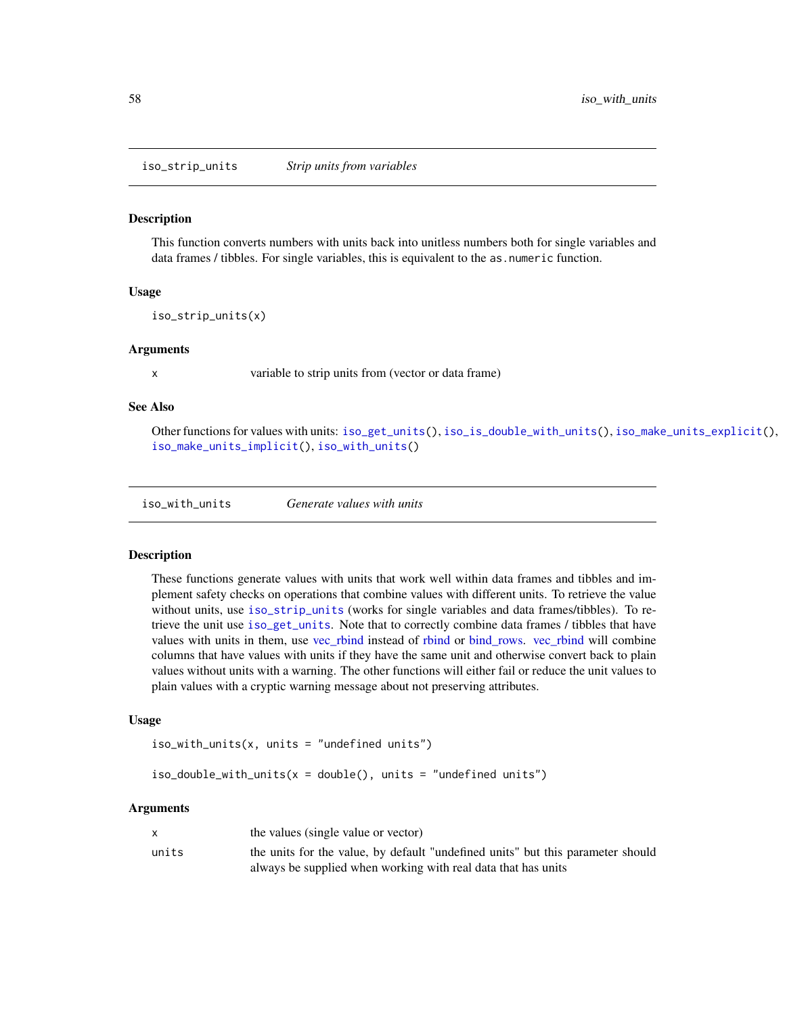<span id="page-57-3"></span><span id="page-57-0"></span>iso\_strip\_units *Strip units from variables*

#### Description

This function converts numbers with units back into unitless numbers both for single variables and data frames / tibbles. For single variables, this is equivalent to the as numeric function.

#### Usage

iso\_strip\_units(x)

#### Arguments

x variable to strip units from (vector or data frame)

#### See Also

Other functions for values with units: [iso\\_get\\_units\(](#page-29-2)), [iso\\_is\\_double\\_with\\_units\(](#page-32-1)), [iso\\_make\\_units\\_explicit\(](#page-34-1)), [iso\\_make\\_units\\_implicit\(](#page-34-2)), [iso\\_with\\_units\(](#page-57-2))

<span id="page-57-2"></span>iso\_with\_units *Generate values with units*

#### <span id="page-57-1"></span>Description

These functions generate values with units that work well within data frames and tibbles and implement safety checks on operations that combine values with different units. To retrieve the value without units, use [iso\\_strip\\_units](#page-57-3) (works for single variables and data frames/tibbles). To retrieve the unit use [iso\\_get\\_units](#page-29-2). Note that to correctly combine data frames / tibbles that have values with units in them, use [vec\\_rbind](#page-0-0) instead of [rbind](#page-0-0) or [bind\\_rows.](#page-0-0) [vec\\_rbind](#page-0-0) will combine columns that have values with units if they have the same unit and otherwise convert back to plain values without units with a warning. The other functions will either fail or reduce the unit values to plain values with a cryptic warning message about not preserving attributes.

#### Usage

```
iso_with_units(x, units = "undefined units")
```
 $iso\_double\_with\_units(x = double(), units = "undefined units")$ 

|       | the values (single value or vector)                                             |
|-------|---------------------------------------------------------------------------------|
| units | the units for the value, by default "undefined units" but this parameter should |
|       | always be supplied when working with real data that has units                   |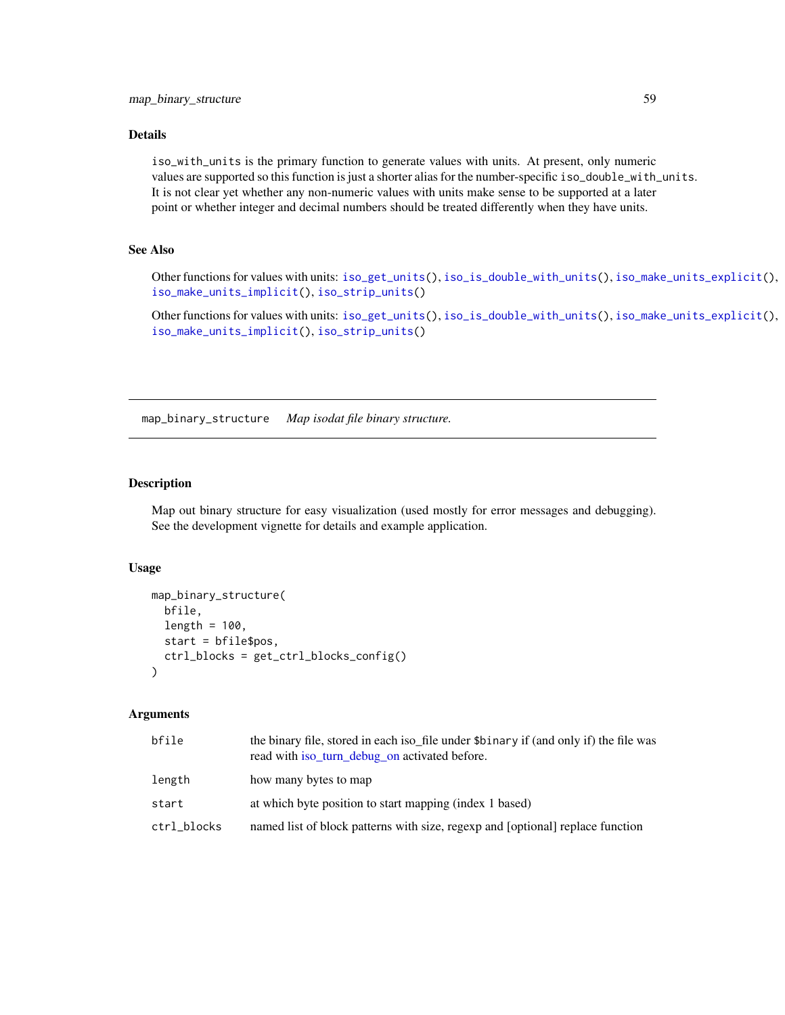#### <span id="page-58-0"></span>Details

iso\_with\_units is the primary function to generate values with units. At present, only numeric values are supported so this function is just a shorter alias for the number-specific iso\_double\_with\_units. It is not clear yet whether any non-numeric values with units make sense to be supported at a later point or whether integer and decimal numbers should be treated differently when they have units.

#### See Also

Other functions for values with units: [iso\\_get\\_units\(](#page-29-2)), [iso\\_is\\_double\\_with\\_units\(](#page-32-1)), [iso\\_make\\_units\\_explicit\(](#page-34-1)), [iso\\_make\\_units\\_implicit\(](#page-34-2)), [iso\\_strip\\_units\(](#page-57-3))

Other functions for values with units: [iso\\_get\\_units\(](#page-29-2)), [iso\\_is\\_double\\_with\\_units\(](#page-32-1)), [iso\\_make\\_units\\_explicit\(](#page-34-1)), [iso\\_make\\_units\\_implicit\(](#page-34-2)), [iso\\_strip\\_units\(](#page-57-3))

map\_binary\_structure *Map isodat file binary structure.*

#### Description

Map out binary structure for easy visualization (used mostly for error messages and debugging). See the development vignette for details and example application.

#### Usage

```
map_binary_structure(
  bfile,
  length = 100,
  start = bfile$pos,
  ctrl_blocks = get_ctrl_blocks_config()
\lambda
```

| bfile       | the binary file, stored in each iso_file under \$binary if (and only if) the file was<br>read with iso turn debug on activated before. |
|-------------|----------------------------------------------------------------------------------------------------------------------------------------|
| length      | how many bytes to map                                                                                                                  |
| start       | at which byte position to start mapping (index 1 based)                                                                                |
| ctrl_blocks | named list of block patterns with size, regexp and [optional] replace function                                                         |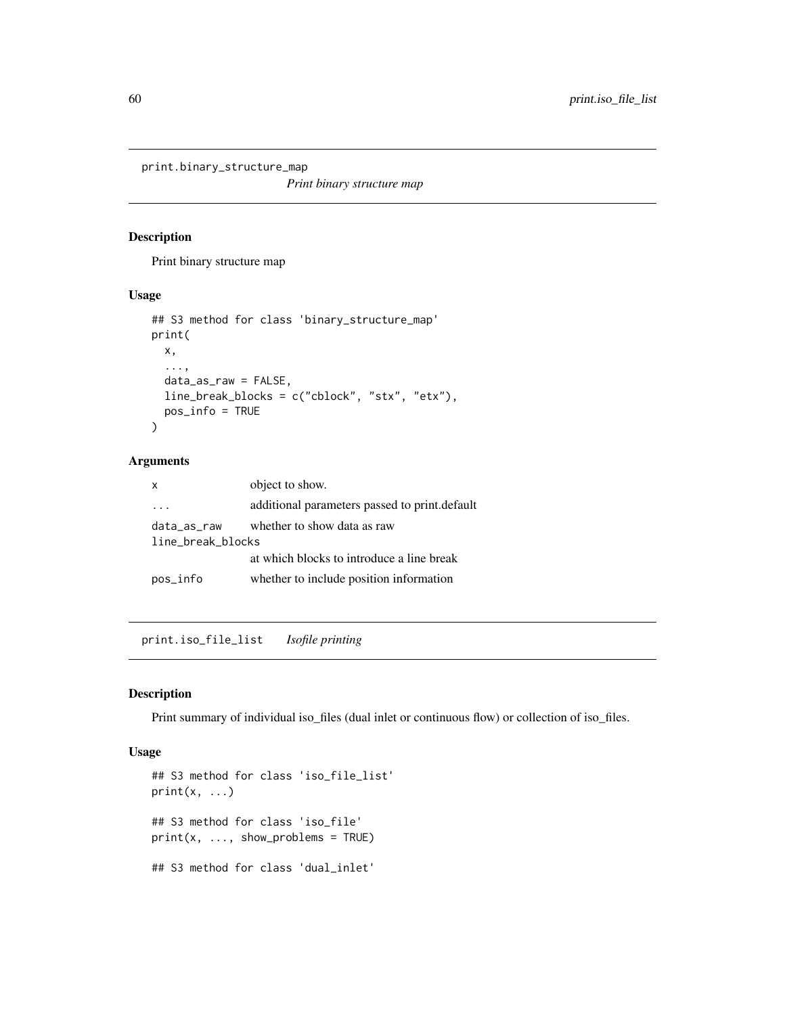<span id="page-59-0"></span>print.binary\_structure\_map

*Print binary structure map*

#### Description

Print binary structure map

#### Usage

```
## S3 method for class 'binary_structure_map'
print(
 x,
  ...,
 data_as_raw = FALSE,
 line_break_blocks = c("cblock", "stx", "etx"),
 pos_info = TRUE
)
```
## Arguments

| $\times$          | object to show.                               |
|-------------------|-----------------------------------------------|
|                   | additional parameters passed to print.default |
| data_as_raw       | whether to show data as raw                   |
| line_break_blocks |                                               |
|                   | at which blocks to introduce a line break     |
| pos_info          | whether to include position information       |

print.iso\_file\_list *Isofile printing*

#### Description

Print summary of individual iso\_files (dual inlet or continuous flow) or collection of iso\_files.

```
## S3 method for class 'iso_file_list'
print(x, \ldots)## S3 method for class 'iso_file'
print(x, ..., show\_problems = TRUE)## S3 method for class 'dual_inlet'
```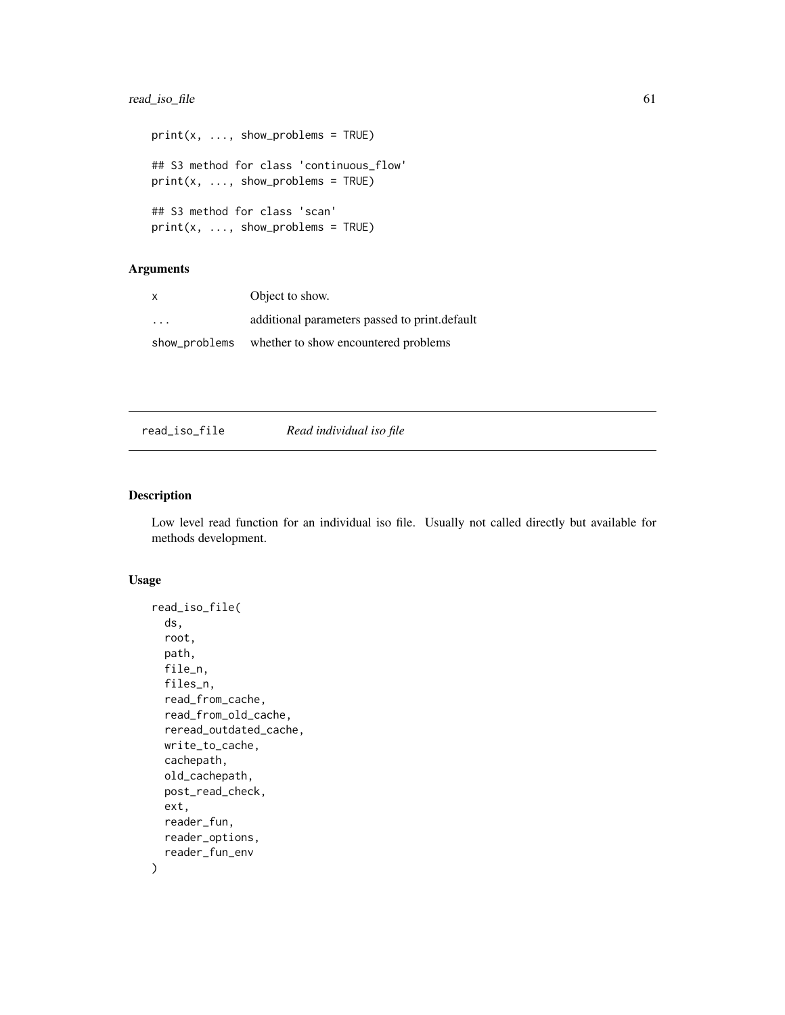## <span id="page-60-0"></span>read\_iso\_file 61

```
print(x, ..., show\_problems = TRUE)## S3 method for class 'continuous_flow'
print(x, ..., show\_problems = TRUE)## S3 method for class 'scan'
print(x, ..., show\_problems = TRUE)
```
# Arguments

| X             | Object to show.                               |
|---------------|-----------------------------------------------|
| $\cdot$       | additional parameters passed to print.default |
| show_problems | whether to show encountered problems          |

| read_iso_file | Read individual iso file |
|---------------|--------------------------|
|               |                          |

#### Description

Low level read function for an individual iso file. Usually not called directly but available for methods development.

```
read_iso_file(
  ds,
  root,
 path,
 file_n,
 files_n,
  read_from_cache,
  read_from_old_cache,
  reread_outdated_cache,
 write_to_cache,
 cachepath,
 old_cachepath,
 post_read_check,
 ext,
  reader_fun,
 reader_options,
  reader_fun_env
)
```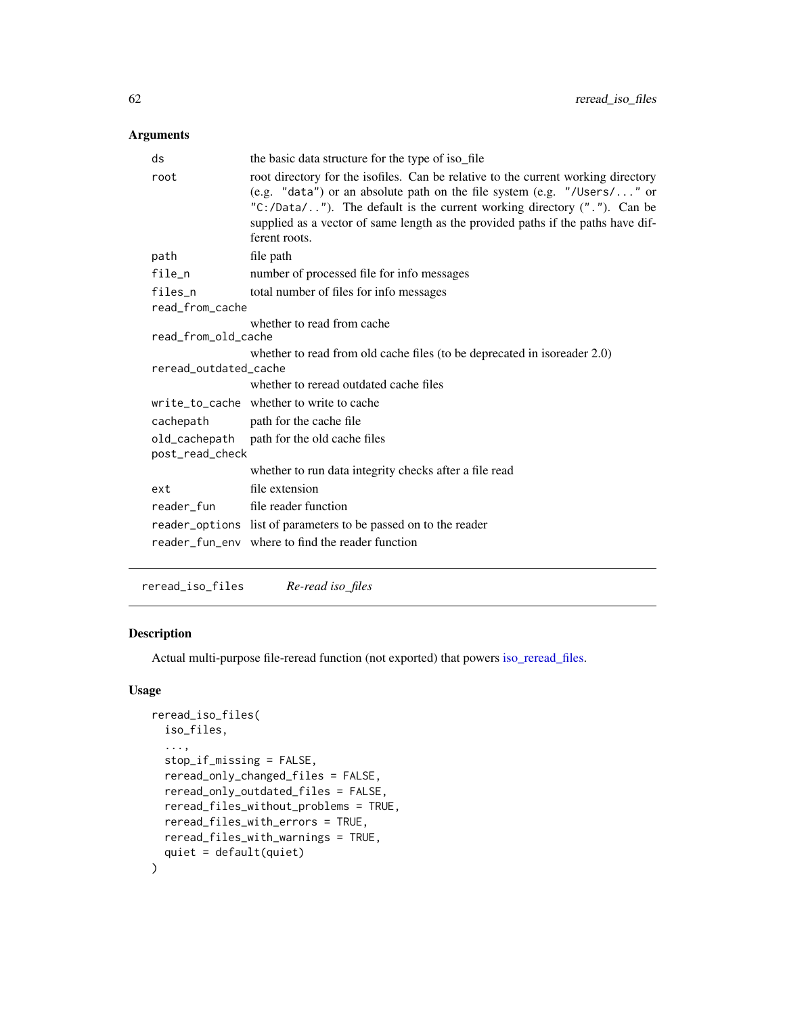#### <span id="page-61-0"></span>Arguments

|                            | ds                                                                                                | the basic data structure for the type of iso_file                                                                                                                                                                                                                                                                                                |  |
|----------------------------|---------------------------------------------------------------------------------------------------|--------------------------------------------------------------------------------------------------------------------------------------------------------------------------------------------------------------------------------------------------------------------------------------------------------------------------------------------------|--|
|                            | root                                                                                              | root directory for the isofiles. Can be relative to the current working directory<br>(e.g. "data") or an absolute path on the file system (e.g. "/Users/" or<br>"C:/Data/"). The default is the current working directory $(''.")$ . Can be<br>supplied as a vector of same length as the provided paths if the paths have dif-<br>ferent roots. |  |
|                            | path                                                                                              | file path                                                                                                                                                                                                                                                                                                                                        |  |
|                            | file_n                                                                                            | number of processed file for info messages                                                                                                                                                                                                                                                                                                       |  |
|                            | files_n                                                                                           | total number of files for info messages                                                                                                                                                                                                                                                                                                          |  |
|                            | read_from_cache                                                                                   |                                                                                                                                                                                                                                                                                                                                                  |  |
| whether to read from cache |                                                                                                   |                                                                                                                                                                                                                                                                                                                                                  |  |
|                            | read_from_old_cache                                                                               |                                                                                                                                                                                                                                                                                                                                                  |  |
|                            | whether to read from old cache files (to be deprecated in isoreader 2.0)<br>reread outdated cache |                                                                                                                                                                                                                                                                                                                                                  |  |
|                            |                                                                                                   | whether to reread outdated cache files                                                                                                                                                                                                                                                                                                           |  |
|                            |                                                                                                   | write_to_cache whether to write to cache                                                                                                                                                                                                                                                                                                         |  |
|                            | cachepath                                                                                         | path for the cache file                                                                                                                                                                                                                                                                                                                          |  |
|                            | post_read_check                                                                                   | old_cachepath path for the old cache files                                                                                                                                                                                                                                                                                                       |  |
|                            |                                                                                                   | whether to run data integrity checks after a file read                                                                                                                                                                                                                                                                                           |  |
|                            | ext                                                                                               | file extension                                                                                                                                                                                                                                                                                                                                   |  |
|                            | reader fun                                                                                        | file reader function                                                                                                                                                                                                                                                                                                                             |  |
|                            |                                                                                                   | reader_options list of parameters to be passed on to the reader                                                                                                                                                                                                                                                                                  |  |
|                            |                                                                                                   | reader fun eny where to find the reader function                                                                                                                                                                                                                                                                                                 |  |
|                            |                                                                                                   |                                                                                                                                                                                                                                                                                                                                                  |  |

<span id="page-61-1"></span>reread\_iso\_files *Re-read iso\_files*

# Description

Actual multi-purpose file-reread function (not exported) that powers [iso\\_reread\\_files.](#page-49-2)

```
reread_iso_files(
  iso_files,
  ...,
  stop_if_missing = FALSE,
  reread_only_changed_files = FALSE,
  reread_only_outdated_files = FALSE,
  reread_files_without_problems = TRUE,
  reread_files_with_errors = TRUE,
  reread_files_with_warnings = TRUE,
  quiet = default(quiet)
\mathcal{L}
```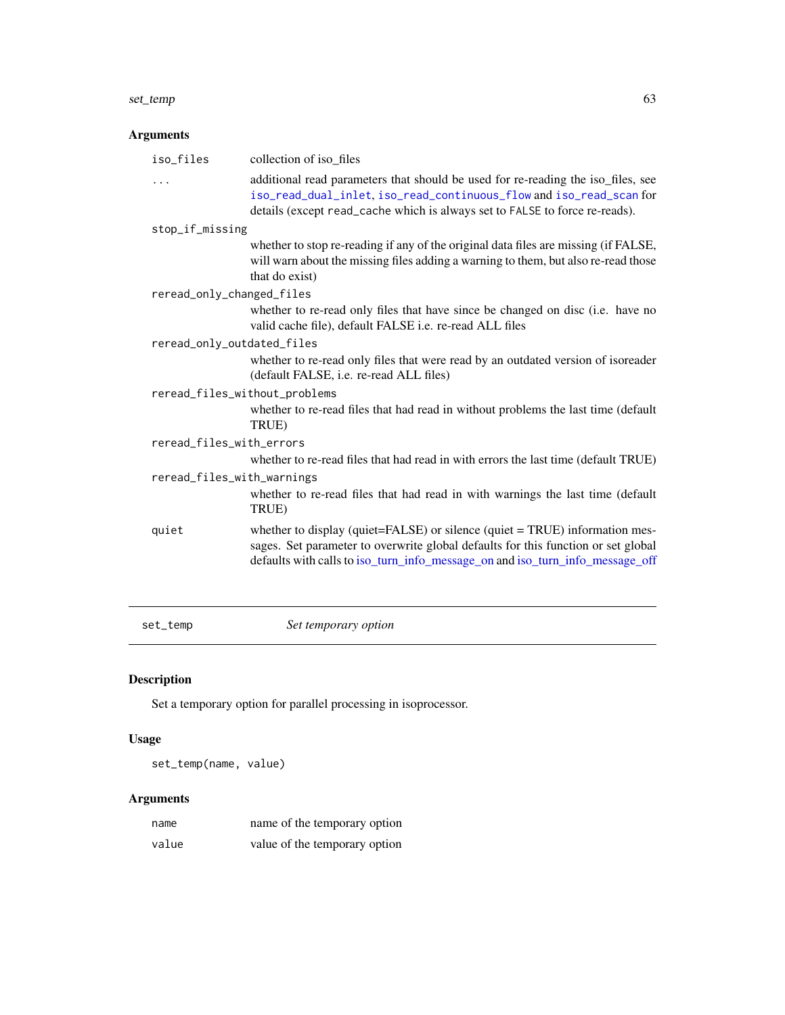#### <span id="page-62-0"></span>set\_temp 63

# Arguments

| iso_files                     | collection of iso_files                                                                                                                                                                                                                           |  |
|-------------------------------|---------------------------------------------------------------------------------------------------------------------------------------------------------------------------------------------------------------------------------------------------|--|
| .                             | additional read parameters that should be used for re-reading the iso_files, see<br>iso_read_dual_inlet, iso_read_continuous_flow and iso_read_scan for<br>details (except read_cache which is always set to FALSE to force re-reads).            |  |
| stop_if_missing               |                                                                                                                                                                                                                                                   |  |
|                               | whether to stop re-reading if any of the original data files are missing (if FALSE,<br>will warn about the missing files adding a warning to them, but also re-read those<br>that do exist)                                                       |  |
| reread_only_changed_files     |                                                                                                                                                                                                                                                   |  |
|                               | whether to re-read only files that have since be changed on disc (i.e. have no<br>valid cache file), default FALSE i.e. re-read ALL files                                                                                                         |  |
| reread_only_outdated_files    |                                                                                                                                                                                                                                                   |  |
|                               | whether to re-read only files that were read by an outdated version of isoreader<br>(default FALSE, i.e. re-read ALL files)                                                                                                                       |  |
| reread_files_without_problems |                                                                                                                                                                                                                                                   |  |
|                               | whether to re-read files that had read in without problems the last time (default<br>TRUE)                                                                                                                                                        |  |
| reread_files_with_errors      |                                                                                                                                                                                                                                                   |  |
|                               | whether to re-read files that had read in with errors the last time (default TRUE)                                                                                                                                                                |  |
| reread_files_with_warnings    |                                                                                                                                                                                                                                                   |  |
|                               | whether to re-read files that had read in with warnings the last time (default<br>TRUE)                                                                                                                                                           |  |
| quiet                         | whether to display (quiet=FALSE) or silence (quiet = TRUE) information mes-<br>sages. Set parameter to overwrite global defaults for this function or set global<br>defaults with calls to iso_turn_info_message_on and iso_turn_info_message_off |  |

set\_temp *Set temporary option*

# Description

Set a temporary option for parallel processing in isoprocessor.

# Usage

set\_temp(name, value)

| name  | name of the temporary option  |
|-------|-------------------------------|
| value | value of the temporary option |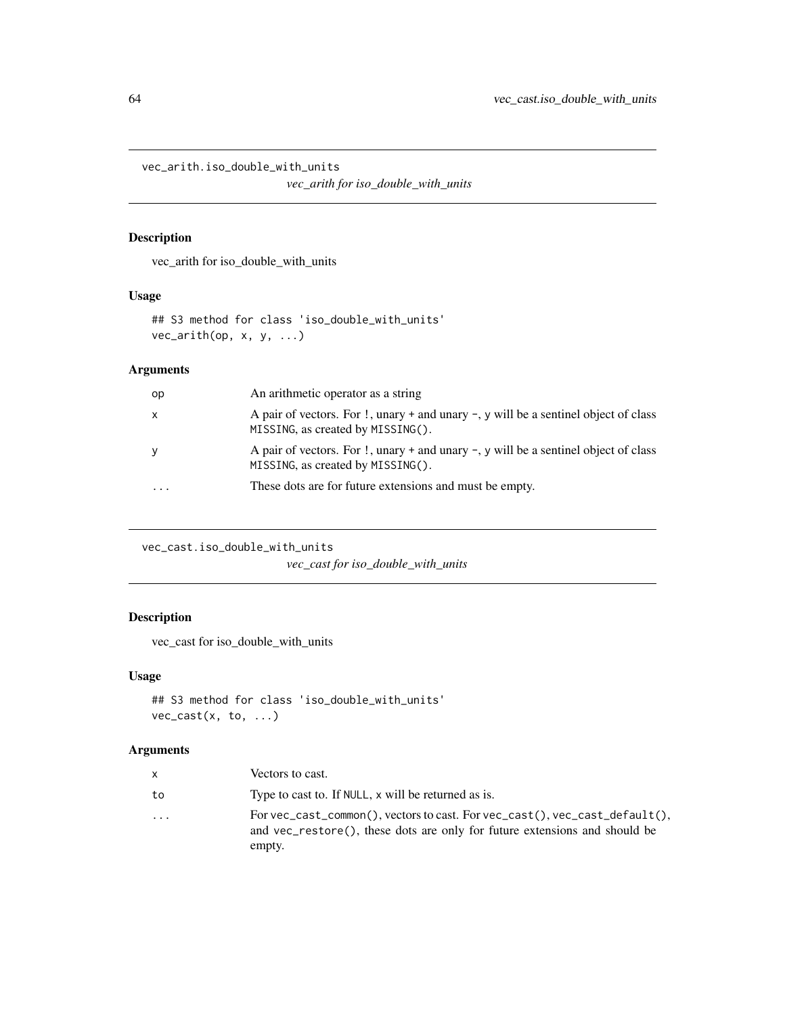<span id="page-63-0"></span>vec\_arith.iso\_double\_with\_units

*vec\_arith for iso\_double\_with\_units*

# Description

vec\_arith for iso\_double\_with\_units

# Usage

```
## S3 method for class 'iso_double_with_units'
vec\_arith(op, x, y, ...)
```
# Arguments

| op | An arithmetic operator as a string                                                                                              |
|----|---------------------------------------------------------------------------------------------------------------------------------|
| X  | A pair of vectors. For !, unary + and unary $\neg$ , y will be a sentinel object of class<br>MISSING, as created by MISSING().  |
| y  | A pair of vectors. For $\cdot$ , unary + and unary -, y will be a sentinel object of class<br>MISSING, as created by MISSING(). |
|    | These dots are for future extensions and must be empty.                                                                         |

vec\_cast.iso\_double\_with\_units

*vec\_cast for iso\_double\_with\_units*

# Description

vec\_cast for iso\_double\_with\_units

## Usage

```
## S3 method for class 'iso_double_with_units'
vec_cast(x, to, ...)
```

| X  | Vectors to cast.                                                                                                                                                    |
|----|---------------------------------------------------------------------------------------------------------------------------------------------------------------------|
| to | Type to cast to. If NULL, x will be returned as is.                                                                                                                 |
| .  | For vec_cast_common(), vectors to cast. For vec_cast(), vec_cast_default(),<br>and vec_restore(), these dots are only for future extensions and should be<br>empty. |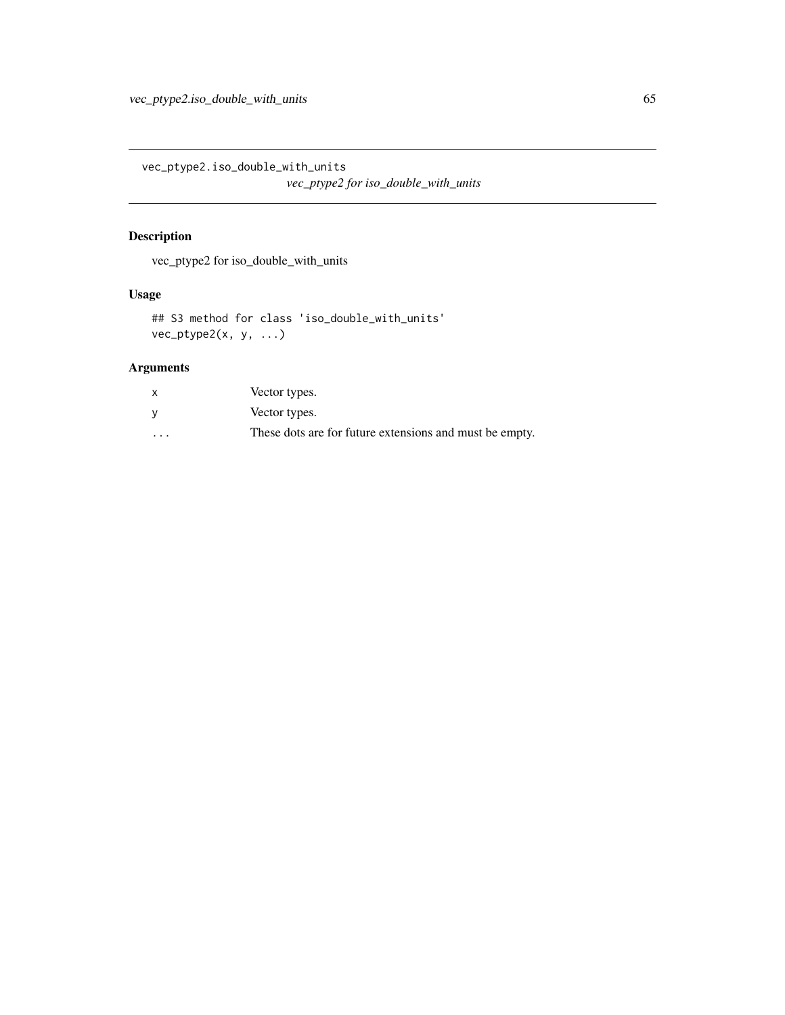<span id="page-64-0"></span>vec\_ptype2.iso\_double\_with\_units *vec\_ptype2 for iso\_double\_with\_units*

# Description

vec\_ptype2 for iso\_double\_with\_units

## Usage

```
## S3 method for class 'iso_double_with_units'
vec_ptype2(x, y, ...)
```

| $\mathsf{x}$         | Vector types.                                           |
|----------------------|---------------------------------------------------------|
|                      | Vector types.                                           |
| $\ddot{\phantom{0}}$ | These dots are for future extensions and must be empty. |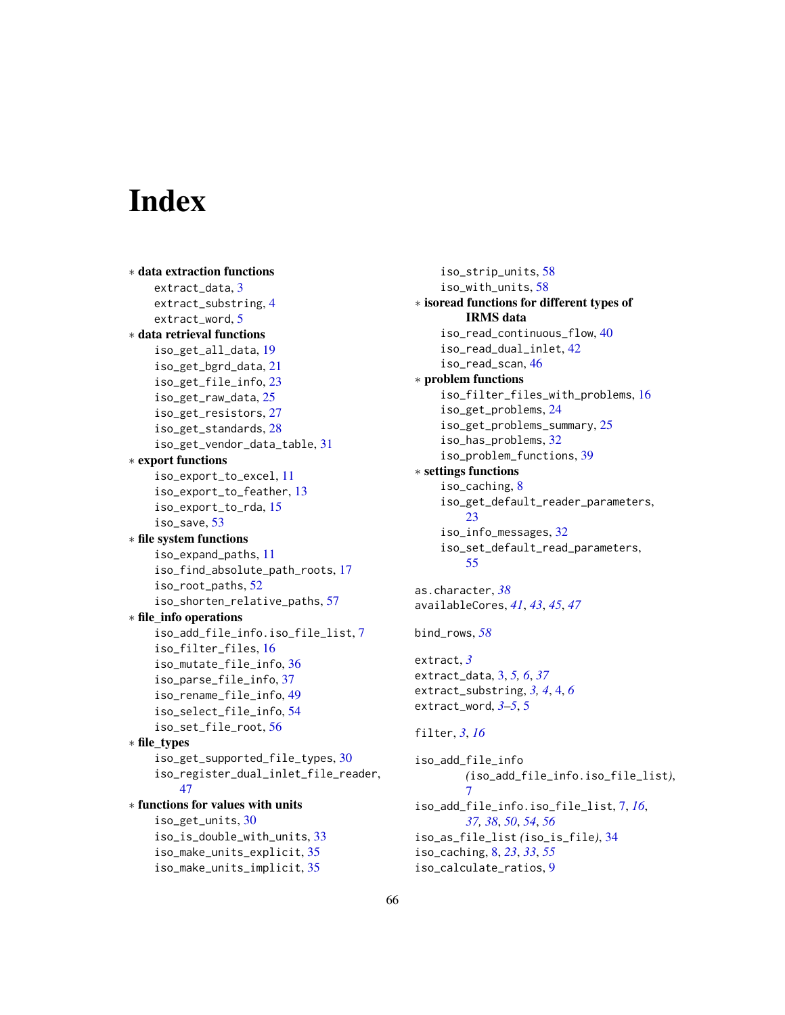# <span id="page-65-0"></span>**Index**

```
∗ data extraction functions
    extract_data, 3
    extract_substring, 4
    extract_word, 5
∗ data retrieval functions
    iso_get_all_data, 19
    iso_get_bgrd_data, 21
    iso_get_file_info, 23
    iso_get_raw_data, 25
    iso_get_resistors, 27
    iso_get_standards, 28
    iso_get_vendor_data_table, 31
∗ export functions
    iso_export_to_excel, 11
    iso_export_to_feather, 13
    iso_export_to_rda, 15
    iso_save, 53
∗ file system functions
    iso_expand_paths, 11
    iso_find_absolute_path_roots, 17
    iso_root_paths, 52
    iso_shorten_relative_paths, 57
∗ file_info operations
    iso_add_file_info.iso_file_list, 7
    iso_filter_files, 16
    iso_mutate_file_info, 36
    iso_parse_file_info, 37
    iso_rename_file_info, 49
    iso_select_file_info, 54
    iso_set_file_root, 56
∗ file_types
    iso_get_supported_file_types, 30
    iso_register_dual_inlet_file_reader,
        47
∗ functions for values with units
    iso_get_units, 30
    iso_is_double_with_units, 33
    iso_make_units_explicit, 35
    iso_make_units_implicit, 35
```
iso\_strip\_units, [58](#page-57-0) iso\_with\_units, [58](#page-57-0) ∗ isoread functions for different types of IRMS data iso\_read\_continuous\_flow, [40](#page-39-0) iso\_read\_dual\_inlet, [42](#page-41-0) iso\_read\_scan, [46](#page-45-0) ∗ problem functions iso\_filter\_files\_with\_problems, [16](#page-15-0) iso\_get\_problems, [24](#page-23-0) iso\_get\_problems\_summary, [25](#page-24-0) iso\_has\_problems, [32](#page-31-0) iso\_problem\_functions, [39](#page-38-0) ∗ settings functions iso\_caching, [8](#page-7-0) iso\_get\_default\_reader\_parameters, [23](#page-22-0) iso\_info\_messages, [32](#page-31-0) iso\_set\_default\_read\_parameters, [55](#page-54-0) as.character, *[38](#page-37-0)* availableCores, *[41](#page-40-0)*, *[43](#page-42-0)*, *[45](#page-44-0)*, *[47](#page-46-0)* bind\_rows, *[58](#page-57-0)* extract, *[3](#page-2-0)* extract\_data, [3,](#page-2-0) *[5,](#page-4-0) [6](#page-5-0)*, *[37](#page-36-0)* extract\_substring, *[3,](#page-2-0) [4](#page-3-0)*, [4,](#page-3-0) *[6](#page-5-0)* extract\_word, *[3](#page-2-0)[–5](#page-4-0)*, [5](#page-4-0) filter, *[3](#page-2-0)*, *[16](#page-15-0)* iso\_add\_file\_info *(*iso\_add\_file\_info.iso\_file\_list*)*,  $\overline{7}$  $\overline{7}$  $\overline{7}$ iso\_add\_file\_info.iso\_file\_list, [7,](#page-6-0) *[16](#page-15-0)*, *[37,](#page-36-0) [38](#page-37-0)*, *[50](#page-49-0)*, *[54](#page-53-0)*, *[56](#page-55-0)* iso\_as\_file\_list *(*iso\_is\_file*)*, [34](#page-33-0) iso\_caching, [8,](#page-7-0) *[23](#page-22-0)*, *[33](#page-32-0)*, *[55](#page-54-0)*

iso\_calculate\_ratios, [9](#page-8-0)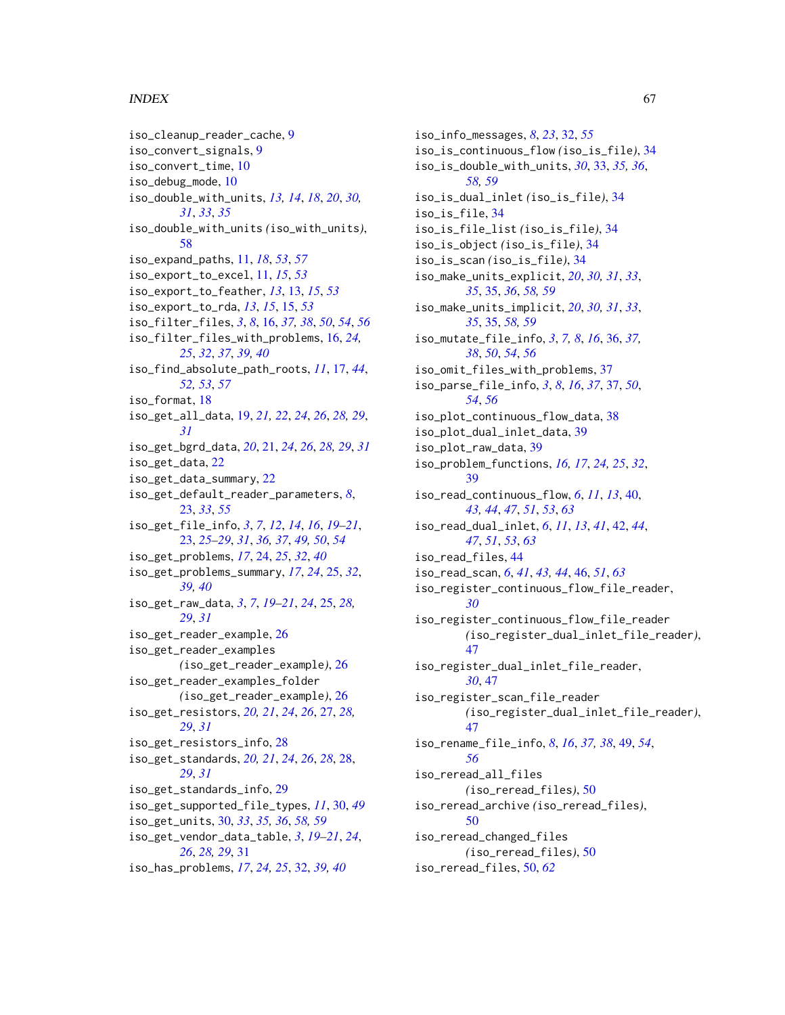#### INDEX  $67$

iso\_cleanup\_reader\_cache, [9](#page-8-0) iso\_convert\_signals, [9](#page-8-0) iso\_convert\_time, [10](#page-9-0) iso\_debug\_mode, [10](#page-9-0) iso\_double\_with\_units, *[13,](#page-12-0) [14](#page-13-0)*, *[18](#page-17-0)*, *[20](#page-19-0)*, *[30,](#page-29-0) [31](#page-30-0)*, *[33](#page-32-0)*, *[35](#page-34-0)* iso\_double\_with\_units *(*iso\_with\_units*)*, [58](#page-57-0) iso\_expand\_paths, [11,](#page-10-0) *[18](#page-17-0)*, *[53](#page-52-0)*, *[57](#page-56-0)* iso\_export\_to\_excel, [11,](#page-10-0) *[15](#page-14-0)*, *[53](#page-52-0)* iso\_export\_to\_feather, *[13](#page-12-0)*, [13,](#page-12-0) *[15](#page-14-0)*, *[53](#page-52-0)* iso\_export\_to\_rda, *[13](#page-12-0)*, *[15](#page-14-0)*, [15,](#page-14-0) *[53](#page-52-0)* iso\_filter\_files, *[3](#page-2-0)*, *[8](#page-7-0)*, [16,](#page-15-0) *[37,](#page-36-0) [38](#page-37-0)*, *[50](#page-49-0)*, *[54](#page-53-0)*, *[56](#page-55-0)* iso\_filter\_files\_with\_problems, [16,](#page-15-0) *[24,](#page-23-0) [25](#page-24-0)*, *[32](#page-31-0)*, *[37](#page-36-0)*, *[39,](#page-38-0) [40](#page-39-0)* iso\_find\_absolute\_path\_roots, *[11](#page-10-0)*, [17,](#page-16-0) *[44](#page-43-0)*, *[52,](#page-51-0) [53](#page-52-0)*, *[57](#page-56-0)* iso\_format, [18](#page-17-0) iso\_get\_all\_data, [19,](#page-18-0) *[21,](#page-20-0) [22](#page-21-0)*, *[24](#page-23-0)*, *[26](#page-25-0)*, *[28,](#page-27-0) [29](#page-28-0)*, *[31](#page-30-0)* iso\_get\_bgrd\_data, *[20](#page-19-0)*, [21,](#page-20-0) *[24](#page-23-0)*, *[26](#page-25-0)*, *[28,](#page-27-0) [29](#page-28-0)*, *[31](#page-30-0)* iso\_get\_data, [22](#page-21-0) iso\_get\_data\_summary, [22](#page-21-0) iso\_get\_default\_reader\_parameters, *[8](#page-7-0)*, [23,](#page-22-0) *[33](#page-32-0)*, *[55](#page-54-0)* iso\_get\_file\_info, *[3](#page-2-0)*, *[7](#page-6-0)*, *[12](#page-11-0)*, *[14](#page-13-0)*, *[16](#page-15-0)*, *[19–](#page-18-0)[21](#page-20-0)*, [23,](#page-22-0) *[25](#page-24-0)[–29](#page-28-0)*, *[31](#page-30-0)*, *[36,](#page-35-0) [37](#page-36-0)*, *[49,](#page-48-0) [50](#page-49-0)*, *[54](#page-53-0)* iso\_get\_problems, *[17](#page-16-0)*, [24,](#page-23-0) *[25](#page-24-0)*, *[32](#page-31-0)*, *[40](#page-39-0)* iso\_get\_problems\_summary, *[17](#page-16-0)*, *[24](#page-23-0)*, [25,](#page-24-0) *[32](#page-31-0)*, *[39,](#page-38-0) [40](#page-39-0)* iso\_get\_raw\_data, *[3](#page-2-0)*, *[7](#page-6-0)*, *[19–](#page-18-0)[21](#page-20-0)*, *[24](#page-23-0)*, [25,](#page-24-0) *[28,](#page-27-0) [29](#page-28-0)*, *[31](#page-30-0)* iso\_get\_reader\_example, [26](#page-25-0) iso\_get\_reader\_examples *(*iso\_get\_reader\_example*)*, [26](#page-25-0) iso\_get\_reader\_examples\_folder *(*iso\_get\_reader\_example*)*, [26](#page-25-0) iso\_get\_resistors, *[20,](#page-19-0) [21](#page-20-0)*, *[24](#page-23-0)*, *[26](#page-25-0)*, [27,](#page-26-0) *[28,](#page-27-0) [29](#page-28-0)*, *[31](#page-30-0)* iso\_get\_resistors\_info, [28](#page-27-0) iso\_get\_standards, *[20,](#page-19-0) [21](#page-20-0)*, *[24](#page-23-0)*, *[26](#page-25-0)*, *[28](#page-27-0)*, [28,](#page-27-0) *[29](#page-28-0)*, *[31](#page-30-0)* iso\_get\_standards\_info, [29](#page-28-0) iso\_get\_supported\_file\_types, *[11](#page-10-0)*, [30,](#page-29-0) *[49](#page-48-0)* iso\_get\_units, [30,](#page-29-0) *[33](#page-32-0)*, *[35,](#page-34-0) [36](#page-35-0)*, *[58,](#page-57-0) [59](#page-58-0)* iso\_get\_vendor\_data\_table, *[3](#page-2-0)*, *[19–](#page-18-0)[21](#page-20-0)*, *[24](#page-23-0)*, *[26](#page-25-0)*, *[28,](#page-27-0) [29](#page-28-0)*, [31](#page-30-0) iso\_has\_problems, *[17](#page-16-0)*, *[24,](#page-23-0) [25](#page-24-0)*, [32,](#page-31-0) *[39,](#page-38-0) [40](#page-39-0)*

iso\_info\_messages, *[8](#page-7-0)*, *[23](#page-22-0)*, [32,](#page-31-0) *[55](#page-54-0)* iso\_is\_continuous\_flow *(*iso\_is\_file*)*, [34](#page-33-0) iso\_is\_double\_with\_units, *[30](#page-29-0)*, [33,](#page-32-0) *[35,](#page-34-0) [36](#page-35-0)*, *[58,](#page-57-0) [59](#page-58-0)* iso\_is\_dual\_inlet *(*iso\_is\_file*)*, [34](#page-33-0) iso\_is\_file, [34](#page-33-0) iso\_is\_file\_list *(*iso\_is\_file*)*, [34](#page-33-0) iso\_is\_object *(*iso\_is\_file*)*, [34](#page-33-0) iso\_is\_scan *(*iso\_is\_file*)*, [34](#page-33-0) iso\_make\_units\_explicit, *[20](#page-19-0)*, *[30,](#page-29-0) [31](#page-30-0)*, *[33](#page-32-0)*, *[35](#page-34-0)*, [35,](#page-34-0) *[36](#page-35-0)*, *[58,](#page-57-0) [59](#page-58-0)* iso\_make\_units\_implicit, *[20](#page-19-0)*, *[30,](#page-29-0) [31](#page-30-0)*, *[33](#page-32-0)*, *[35](#page-34-0)*, [35,](#page-34-0) *[58,](#page-57-0) [59](#page-58-0)* iso\_mutate\_file\_info, *[3](#page-2-0)*, *[7,](#page-6-0) [8](#page-7-0)*, *[16](#page-15-0)*, [36,](#page-35-0) *[37,](#page-36-0) [38](#page-37-0)*, *[50](#page-49-0)*, *[54](#page-53-0)*, *[56](#page-55-0)* iso\_omit\_files\_with\_problems, [37](#page-36-0) iso\_parse\_file\_info, *[3](#page-2-0)*, *[8](#page-7-0)*, *[16](#page-15-0)*, *[37](#page-36-0)*, [37,](#page-36-0) *[50](#page-49-0)*, *[54](#page-53-0)*, *[56](#page-55-0)* iso\_plot\_continuous\_flow\_data, [38](#page-37-0) iso\_plot\_dual\_inlet\_data, [39](#page-38-0) iso\_plot\_raw\_data, [39](#page-38-0) iso\_problem\_functions, *[16,](#page-15-0) [17](#page-16-0)*, *[24,](#page-23-0) [25](#page-24-0)*, *[32](#page-31-0)*, [39](#page-38-0) iso\_read\_continuous\_flow, *[6](#page-5-0)*, *[11](#page-10-0)*, *[13](#page-12-0)*, [40,](#page-39-0) *[43,](#page-42-0) [44](#page-43-0)*, *[47](#page-46-0)*, *[51](#page-50-0)*, *[53](#page-52-0)*, *[63](#page-62-0)* iso\_read\_dual\_inlet, *[6](#page-5-0)*, *[11](#page-10-0)*, *[13](#page-12-0)*, *[41](#page-40-0)*, [42,](#page-41-0) *[44](#page-43-0)*, *[47](#page-46-0)*, *[51](#page-50-0)*, *[53](#page-52-0)*, *[63](#page-62-0)* iso\_read\_files, [44](#page-43-0) iso\_read\_scan, *[6](#page-5-0)*, *[41](#page-40-0)*, *[43,](#page-42-0) [44](#page-43-0)*, [46,](#page-45-0) *[51](#page-50-0)*, *[63](#page-62-0)* iso\_register\_continuous\_flow\_file\_reader, *[30](#page-29-0)* iso\_register\_continuous\_flow\_file\_reader *(*iso\_register\_dual\_inlet\_file\_reader*)*, [47](#page-46-0) iso\_register\_dual\_inlet\_file\_reader, *[30](#page-29-0)*, [47](#page-46-0) iso\_register\_scan\_file\_reader *(*iso\_register\_dual\_inlet\_file\_reader*)*, [47](#page-46-0) iso\_rename\_file\_info, *[8](#page-7-0)*, *[16](#page-15-0)*, *[37,](#page-36-0) [38](#page-37-0)*, [49,](#page-48-0) *[54](#page-53-0)*, *[56](#page-55-0)* iso\_reread\_all\_files *(*iso\_reread\_files*)*, [50](#page-49-0) iso\_reread\_archive *(*iso\_reread\_files*)*, [50](#page-49-0) iso\_reread\_changed\_files *(*iso\_reread\_files*)*, [50](#page-49-0) iso\_reread\_files, [50,](#page-49-0) *[62](#page-61-0)*